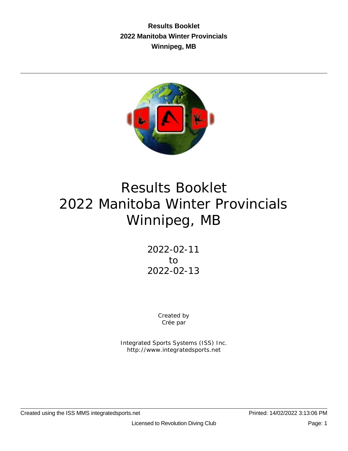**Results Booklet 2022 Manitoba Winter Provincials Winnipeg, MB**



# Results Booklet 2022 Manitoba Winter Provincials Winnipeg, MB

2022-02-11 to 2022-02-13

> Created by Crée par

Integrated Sports Systems (ISS) Inc. http://www.integratedsports.net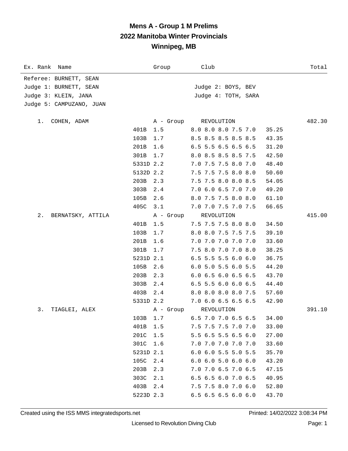| Ex. Rank Name            |           | Group     | Club                                        | Total           |
|--------------------------|-----------|-----------|---------------------------------------------|-----------------|
| Referee: BURNETT, SEAN   |           |           |                                             |                 |
| Judge 1: BURNETT, SEAN   |           |           | Judge 2: BOYS, BEV                          |                 |
| Judge 3: KLEIN, JANA     |           |           | Judge 4: TOTH, SARA                         |                 |
| Judge 5: CAMPUZANO, JUAN |           |           |                                             |                 |
|                          |           |           |                                             |                 |
| COHEN, ADAM<br>1.        | 401B      | 1.5       | A - Group REVOLUTION<br>8.0 8.0 8.0 7.5 7.0 | 482.30<br>35.25 |
|                          | 103B      | 1.7       | 8.5 8.5 8.5 8.5 8.5                         |                 |
|                          | 201B      | 1.6       | 6.5 5.5 6.5 6.5 6.5                         | 43.35<br>31.20  |
|                          |           |           |                                             |                 |
|                          | 301B      | 1.7       | 8.0 8.5 8.5 8.5 7.5                         | 42.50           |
|                          | 5331D 2.2 |           | 7.0 7.5 7.5 8.0 7.0                         | 48.40           |
|                          | 5132D 2.2 |           | 7.5 7.5 7.5 8.0 8.0                         | 50.60           |
|                          | 203B      | 2.3       | 7.5 7.5 8.0 8.0 8.5                         | 54.05           |
|                          | 303B      | 2.4       | 7.0 6.0 6.5 7.0 7.0                         | 49.20           |
|                          | 105B      | 2.6       | 8.0 7.5 7.5 8.0 8.0                         | 61.10           |
|                          | 405C 3.1  |           | 7.0 7.0 7.5 7.0 7.5                         | 66.65           |
| 2.<br>BERNATSKY, ATTILA  |           | A - Group | REVOLUTION                                  | 415.00          |
|                          | 401B      | 1.5       | 7.5 7.5 7.5 8.0 8.0                         | 34.50           |
|                          | 103B      | 1.7       | 8.0 8.0 7.5 7.5 7.5                         | 39.10           |
|                          | 201B      | 1.6       | 7.0 7.0 7.0 7.0 7.0                         | 33.60           |
|                          | 301B      | 1.7       | 7.5 8.0 7.0 7.0 8.0                         | 38.25           |
|                          | 5231D 2.1 |           | $6.5$ 5.5 5.5 6.0 6.0                       | 36.75           |
|                          | 105B      | 2.6       | $6.0$ 5.0 5.5 6.0 5.5                       | 44.20           |
|                          | 203B      | 2.3       | 6.0 6.5 6.0 6.5 6.5                         | 43.70           |
|                          | 303B      | 2.4       | 6.5 5.5 6.0 6.0 6.5                         | 44.40           |
|                          | 403B 2.4  |           | 8.0 8.0 8.0 8.0 7.5                         | 57.60           |
|                          | 5331D 2.2 |           | 7.0 6.0 6.5 6.5 6.5                         | 42.90           |
| 3.<br>TIAGLEI, ALEX      |           | A - Group | REVOLUTION                                  | 391.10          |
|                          | 103B 1.7  |           | 6.5 7.0 7.0 6.5 6.5                         | 34.00           |
|                          | 401B      | 1.5       | 7.5 7.5 7.5 7.0 7.0                         | 33.00           |
|                          | 201C      | 1.5       | 5.5 6.5 5.5 6.5 6.0                         | 27.00           |
|                          | 301C      | 1.6       | 7.0 7.0 7.0 7.0 7.0                         | 33.60           |
|                          | 5231D 2.1 |           | $6.0$ $6.0$ $5.5$ $5.0$ $5.5$               | 35.70           |
|                          | 105C      | $2.4$     | 6.06.05.06.06.0                             | 43.20           |
|                          | 203B      | 2.3       | 7.0 7.0 6.5 7.0 6.5                         | 47.15           |
|                          | 303C      | 2.1       | 6.5 6.5 6.0 7.0 6.5                         | 40.95           |
|                          | 403B      | 2.4       | 7.5 7.5 8.0 7.0 6.0                         | 52.80           |
|                          | 5223D 2.3 |           | 6.5 6.5 6.5 6.0 6.0                         | 43.70           |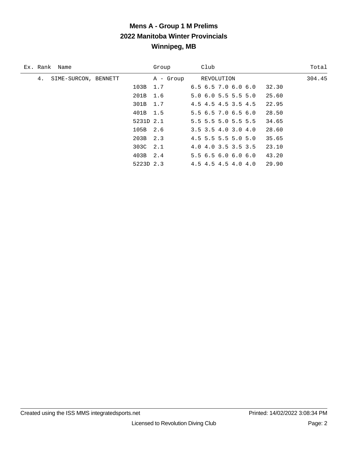| Ex. Rank Name              | Group      | Club                          | Total  |
|----------------------------|------------|-------------------------------|--------|
| SIME-SURCON, BENNETT<br>4. | A - Group  | REVOLUTION                    | 304.45 |
|                            | 103B 1.7   | $6.5$ $6.5$ $7.0$ $6.0$ $6.0$ | 32.30  |
|                            | 201B 1.6   | $5.0$ 6.0 5.5 5.5 5.0         | 25.60  |
|                            | 301B 1.7   | 4.5 4.5 4.5 3.5 4.5           | 22.95  |
|                            | 401B 1.5   | 5.56.57.06.56.0               | 28.50  |
|                            | 5231D 2.1  | $5.5$ 5.5 5.0 5.5 5.5         | 34.65  |
|                            | 105B 2.6   | $3.5$ $3.5$ $4.0$ $3.0$ $4.0$ | 28.60  |
|                            | $203B$ 2.3 | $4.5$ 5.5 5.5 5.0 5.0         | 35.65  |
|                            | 303C 2.1   | 4.0 4.0 3.5 3.5 3.5           | 23.10  |
|                            | 403B 2.4   | 5.56.56.06.06.0               | 43.20  |
|                            | 5223D 2.3  | 4.5 4.5 4.5 4.0 4.0           | 29.90  |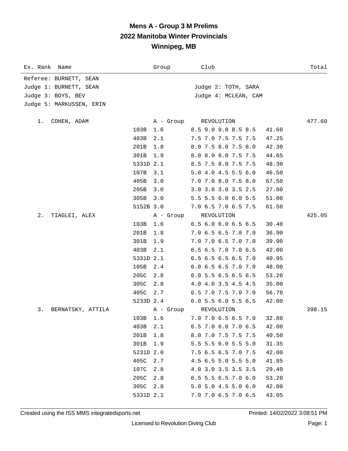| Ex. Rank Name            | Group       |           | Club                          | Total  |
|--------------------------|-------------|-----------|-------------------------------|--------|
| Referee: BURNETT, SEAN   |             |           |                               |        |
| Judge 1: BURNETT, SEAN   |             |           | Judge 2: TOTH, SARA           |        |
| Judge 3: BOYS, BEV       |             |           | Judge 4: MCLEAN, CAM          |        |
| Judge 5: MARKUSSEN, ERIN |             |           |                               |        |
| COHEN, ADAM<br>1.        |             |           | A - Group REVOLUTION          | 477.60 |
|                          | 1.6<br>103B |           | 8.5 9.0 9.0 8.5 8.5           | 41.60  |
|                          | 403B<br>2.1 |           | 7.5 7.0 7.5 7.5 7.5           | 47.25  |
|                          | 201B<br>1.8 |           | 8.0 7.5 8.0 7.5 8.0           | 42.30  |
|                          | 301B<br>1.9 |           | 8.0 8.0 8.0 7.5 7.5           | 44.65  |
|                          | 5331D 2.1   |           | 8.5 7.5 8.0 7.5 7.5           | 48.30  |
|                          | 107B<br>3.1 |           | 5.0 4.0 4.5 5.5 6.0           | 46.50  |
|                          | 405B<br>3.0 |           | 7.0 7.0 8.0 7.5 8.0           | 67.50  |
|                          | 205B<br>3.0 |           | 3.0 3.0 3.0 3.5 2.5           | 27.00  |
|                          | 305B<br>3.0 |           | 5.5 5.5 6.0 6.0 5.5           | 51.00  |
|                          | 5152B 3.0   |           | 7.0 6.5 7.0 6.5 7.5           | 61.50  |
| $2$ .<br>TIAGLEI, ALEX   |             | A - Group | REVOLUTION                    | 425.05 |
|                          | 103B<br>1.6 |           | $6.5$ $6.0$ $6.0$ $6.5$ $6.5$ | 30.40  |
|                          | 1.8<br>201B |           | 7.0 6.5 6.5 7.0 7.0           | 36.90  |
|                          | 301B<br>1.9 |           | 7.0 7.0 6.5 7.0 7.0           | 39.90  |
|                          | 2.1<br>403B |           | 6.5 6.5 7.0 7.0 6.5           | 42.00  |
|                          | 5331D 2.1   |           | 6.5 6.5 6.5 6.5 7.0           | 40.95  |
|                          | 105B<br>2.4 |           | 6.0 6.5 6.5 7.0 7.0           | 48.00  |
|                          | 205C<br>2.8 |           | 6.0 5.5 6.5 6.5 6.5           | 53.20  |
|                          | 2.8<br>305C |           | 4.0 4.0 3.5 4.5 4.5           | 35.00  |
|                          | 405C<br>2.7 |           | 6.5 7.0 7.5 7.0 7.0           | 56.70  |
|                          | 5233D 2.4   |           | $6.0$ 5.5 $6.0$ 5.5 $6.5$     | 42.00  |
| 3.<br>BERNATSKY, ATTILA  |             | A - Group | REVOLUTION                    | 398.15 |
|                          | 103B 1.6    |           | 7.0 7.0 6.5 6.5 7.0           | 32.80  |
|                          | 403B<br>2.1 |           | 6.5 7.0 6.0 7.0 6.5           | 42.00  |
|                          | 201B<br>1.8 |           | 8.0 7.0 7.5 7.5 7.5           | 40.50  |
|                          | 301B<br>1.9 |           | 5.5 5.5 6.0 5.5 5.0           | 31.35  |
|                          | 5231D 2.0   |           | 7.5 6.5 6.5 7.0 7.5           | 42.00  |
|                          | 405C<br>2.7 |           | 4.5 6.5 5.0 5.5 5.0           | 41.85  |
|                          | 107C<br>2.8 |           | 4.0 3.0 3.5 3.5 3.5           | 29.40  |
|                          | 205C<br>2.8 |           | $6.5$ 5.5 6.5 7.0 6.0         | 53.20  |
|                          | 305C<br>2.8 |           | $5.0$ 5.0 4.5 5.0 6.0         | 42.00  |
|                          | 5331D 2.1   |           | 7.0 7.0 6.5 7.0 6.5           | 43.05  |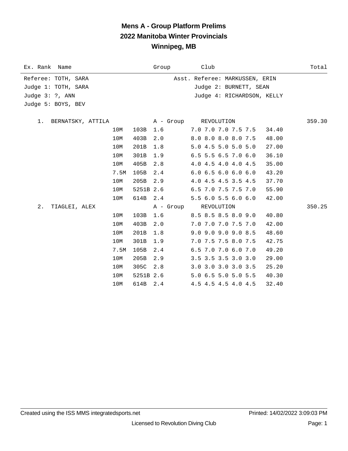# **Mens A - Group Platform Prelims 2022 Manitoba Winter Provincials Winnipeg, MB**

| Ex. Rank Name           |      |           | Group     | Club                           | Total  |
|-------------------------|------|-----------|-----------|--------------------------------|--------|
| Referee: TOTH, SARA     |      |           |           | Asst. Referee: MARKUSSEN, ERIN |        |
| Judge 1: TOTH, SARA     |      |           |           | Judge 2: BURNETT, SEAN         |        |
| Judge $3: ?$ , ANN      |      |           |           | Judge 4: RICHARDSON, KELLY     |        |
| Judge 5: BOYS, BEV      |      |           |           |                                |        |
|                         |      |           |           |                                |        |
| 1.<br>BERNATSKY, ATTILA |      |           |           | A - Group REVOLUTION           | 359.30 |
|                         | 10M  | 103B      | 1.6       | 7.0 7.0 7.0 7.5 7.5<br>34.40   |        |
|                         | 10M  | 403B      | 2.0       | 8.0 8.0 8.0 8.0 7.5<br>48.00   |        |
|                         | 10M  | 201B      | 1.8       | 5.0 4.5 5.0 5.0 5.0<br>27.00   |        |
|                         | 10M  | 301B      | 1.9       | 6.5 5.5 6.5 7.0 6.0<br>36.10   |        |
|                         | 10M  | 405B      | 2.8       | 4.0 4.5 4.0 4.0 4.5<br>35.00   |        |
|                         | 7.5M | 105B      | 2.4       | 6.06.56.06.06.0<br>43.20       |        |
|                         | 10M  | 205B      | 2.9       | 4.0 4.5 4.5 3.5 4.5<br>37.70   |        |
|                         | 10M  | 5251B 2.6 |           | 6.5 7.0 7.5 7.5 7.0<br>55.90   |        |
|                         | 10M  | 614B      | 2.4       | 5.56.05.56.06.0<br>42.00       |        |
| 2.<br>TIAGLEI, ALEX     |      |           | A - Group | REVOLUTION                     | 350.25 |
|                         | 10M  | 103B      | 1.6       | 8.5 8.5 8.5 8.0 9.0<br>40.80   |        |
|                         | 10M  | 403B      | 2.0       | 7.0 7.0 7.0 7.5 7.0<br>42.00   |        |
|                         | 10M  | 201B      | 1.8       | 9.0 9.0 9.0 9.0 8.5<br>48.60   |        |
|                         | 10M  | 301B      | 1.9       | 7.0 7.5 7.5 8.0 7.5<br>42.75   |        |
|                         | 7.5M | 105B      | 2.4       | 6.5 7.0 7.0 6.0 7.0<br>49.20   |        |
|                         | 10M  | 205B      | 2.9       | 3.5 3.5 3.5 3.0 3.0<br>29.00   |        |
|                         | 10M  | 305C      | 2.8       | 3.0 3.0 3.0 3.0 3.5<br>25.20   |        |
|                         | 10M  | 5251B 2.6 |           | 5.0 6.5 5.0 5.0 5.5<br>40.30   |        |
|                         | 10M  | 614B 2.4  |           | 4.5 4.5 4.5 4.0 4.5<br>32.40   |        |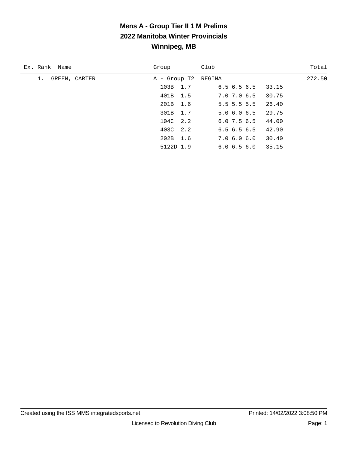| Ex. Rank Name       | Group               | Club                      | Total  |
|---------------------|---------------------|---------------------------|--------|
| GREEN, CARTER<br>1. | A - Group T2 REGINA |                           | 272.50 |
|                     | 103B 1.7            | 6.5 6.5 6.5 33.15         |        |
|                     | 401B 1.5            | 30.75<br>7.0 7.0 6.5      |        |
|                     | 201B 1.6            | $5.5$ 5.5 5.5<br>26.40    |        |
|                     | 301B 1.7            | $5.0$ 6.0 6.5 29.75       |        |
|                     | 104C 2.2            | 44.00<br>6.0 7.5 6.5      |        |
|                     | 403C 2.2            | $6.5$ $6.5$ $6.5$ $42.90$ |        |
|                     | 202B 1.6            | 7.0 6.0 6.0 30.40         |        |
|                     | 5122D 1.9           | 35.15<br>6.06.56.0        |        |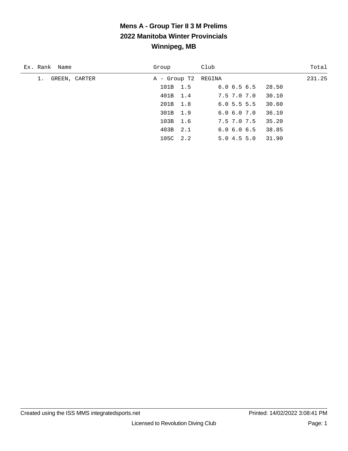| Ex. Rank Name       | Group               | Club                 | Total  |
|---------------------|---------------------|----------------------|--------|
| GREEN, CARTER<br>1. | A - Group T2 REGINA |                      | 231.25 |
|                     | 101B 1.5            | 6.06.56.5<br>28.50   |        |
|                     | 401B 1.4            | 7.5 7.0 7.0<br>30.10 |        |
|                     | 201B 1.8            | 6.05.55.5<br>30.60   |        |
|                     | 301B 1.9            | 36.10<br>6.06.07.0   |        |
|                     | 103B 1.6            | 35.20<br>7.5 7.0 7.5 |        |
|                     | 403B 2.1            | 38.85<br>6.06.06.5   |        |
|                     | 105C 2.2            | 31.90<br>5.04.55.0   |        |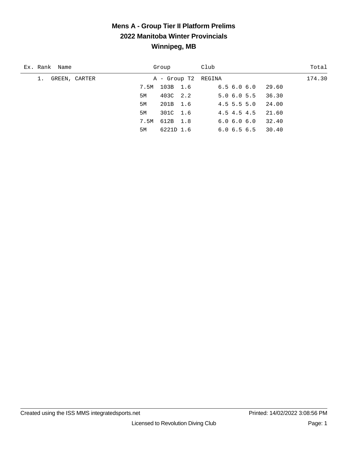#### **Mens A - Group Tier II Platform Prelims 2022 Manitoba Winter Provincials Winnipeg, MB**

| Ex. Rank Name       |      | Group     | Club                      | Total  |
|---------------------|------|-----------|---------------------------|--------|
| GREEN, CARTER<br>1. |      |           | A - Group T2 REGINA       | 174.30 |
|                     | 7.5M | 103B 1.6  | 6.5 6.0 6.0<br>29.60      |        |
|                     | 5M   | 403C 2.2  | $5.0 \t6.0 \t5.5 \t36.30$ |        |
|                     | 5M   | 201B 1.6  | $4.5$ 5.5 5.0<br>24.00    |        |
|                     | 5M   | 301C 1.6  | 4.5 4.5 4.5<br>21.60      |        |
|                     | 7.5M | 612B 1.8  | 32.40<br>6.06.06.0        |        |
|                     | 5M   | 6221D 1.6 | 30.40<br>6.0 6.5 6.5      |        |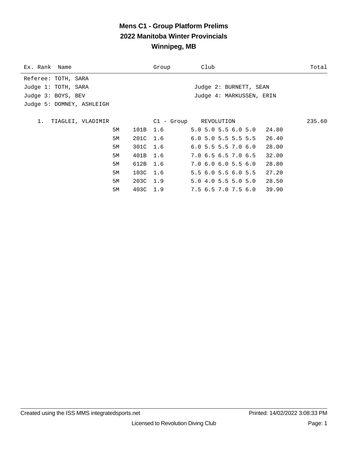# **Mens C1 - Group Platform Prelims 2022 Manitoba Winter Provincials Winnipeg, MB**

| Ex. Rank Name             |    |          | Group | Club                           | Total  |
|---------------------------|----|----------|-------|--------------------------------|--------|
| Referee: TOTH, SARA       |    |          |       |                                |        |
| Judge 1: TOTH, SARA       |    |          |       | Judge 2: BURNETT, SEAN         |        |
| Judge 3: BOYS, BEV        |    |          |       | Judge 4: MARKUSSEN, ERIN       |        |
| Judge 5: DOMNEY, ASHLEIGH |    |          |       |                                |        |
|                           |    |          |       |                                |        |
| 1.<br>TIAGLEI, VLADIMIR   |    |          |       | C1 - Group REVOLUTION          | 235.60 |
|                           | 5M | 101B 1.6 |       | 5.05.05.56.05.0<br>24.80       |        |
|                           | 5M | 201C 1.6 |       | 6.05.05.55.5.5<br>26.40        |        |
|                           | 5M | 301C 1.6 |       | $6.0$ 5.5 5.5 7.0 6.0<br>28.00 |        |
|                           | 5M | 401B 1.6 |       | 7.06.56.57.06.5<br>32.00       |        |
|                           | 5M | 612B 1.6 |       | 7.06.06.05.56.0<br>28.80       |        |
|                           | 5M | 103C 1.6 |       | 5.5 6.0 5.5 6.0 5.5<br>27.20   |        |
|                           | 5M | 203C 1.9 |       | 5.04.05.55.05.0<br>28.50       |        |
|                           | 5M | 403C 1.9 |       | 7.5 6.5 7.0 7.5 6.0 39.90      |        |
|                           |    |          |       |                                |        |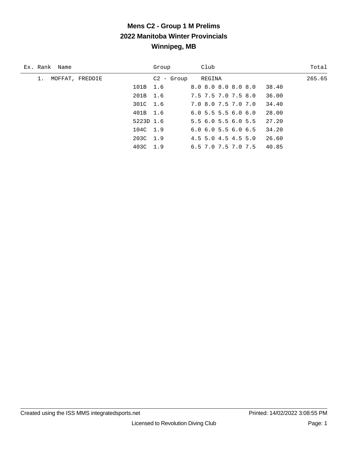| Ex. Rank Name   |           | Group        | Club                                   | Total  |
|-----------------|-----------|--------------|----------------------------------------|--------|
| MOFFAT, FREDDIE |           | $C2 -$ Group | REGINA                                 | 265.65 |
|                 | 101B 1.6  |              | 8.0 8.0 8.0 8.0 8.0<br>38.40           |        |
|                 | 201B 1.6  |              | 7.5 7.5 7.0 7.5 8.0<br>36.00           |        |
|                 | 301C 1.6  |              | 34.40<br>7.0 8.0 7.5 7.0 7.0           |        |
|                 | 401B 1.6  |              | 28.00<br>6.05.55.56.06.0               |        |
|                 | 5223D 1.6 |              | 27.20<br>5.5 6.0 5.5 6.0 5.5           |        |
|                 | 104C 1.9  |              | $6.0$ $6.0$ $5.5$ $6.0$ $6.5$<br>34.20 |        |
|                 | 203C 1.9  |              | $4.5$ 5.0 4.5 4.5 5.0<br>26.60         |        |
|                 | 403C 1.9  |              | 40.85<br>6.5 7.0 7.5 7.0 7.5           |        |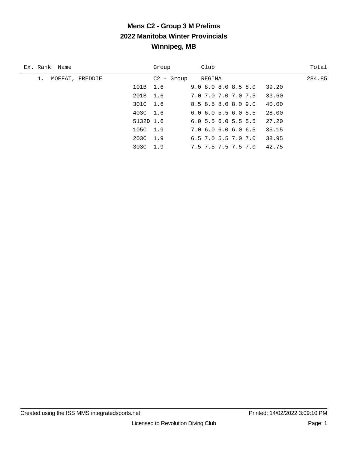| Ex. Rank Name   |           | Group        | Club                                   | Total  |
|-----------------|-----------|--------------|----------------------------------------|--------|
| MOFFAT, FREDDIE |           | $C2 - Group$ | REGINA                                 | 284.85 |
|                 | 101B 1.6  |              | $9.0$ $8.0$ $8.0$ $8.5$ $8.0$<br>39.20 |        |
|                 | 201B 1.6  |              | 7.0 7.0 7.0 7.0 7.5<br>33.60           |        |
|                 | 301C 1.6  |              | 8.5 8.5 8.0 8.0 9.0<br>40.00           |        |
|                 | 403C 1.6  |              | $6.0$ $6.0$ $5.5$ $6.0$ $5.5$<br>28.00 |        |
|                 | 5132D 1.6 |              | $6.0$ 5.5 $6.0$ 5.5 5.5<br>27.20       |        |
|                 | 105C 1.9  |              | 7.0 6.0 6.0 6.0 6.5<br>35.15           |        |
|                 | 203C 1.9  |              | 38.95<br>$6.5$ 7.0 5.5 7.0 7.0         |        |
|                 | 303C 1.9  |              | 42.75<br>7.5 7.5 7.5 7.5 7.0           |        |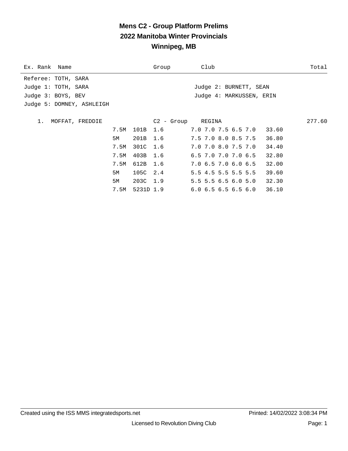# **Mens C2 - Group Platform Prelims 2022 Manitoba Winter Provincials Winnipeg, MB**

| Ex. Rank Name             |      |          | Group             | Club                      | Total  |
|---------------------------|------|----------|-------------------|---------------------------|--------|
| Referee: TOTH, SARA       |      |          |                   |                           |        |
| Judge 1: TOTH, SARA       |      |          |                   | Judge 2: BURNETT, SEAN    |        |
| Judge 3: BOYS, BEV        |      |          |                   | Judge 4: MARKUSSEN, ERIN  |        |
| Judge 5: DOMNEY, ASHLEIGH |      |          |                   |                           |        |
|                           |      |          |                   |                           |        |
| MOFFAT, FREDDIE<br>1.     |      |          | C2 - Group REGINA |                           | 277.60 |
|                           | 7.5M | 101B 1.6 |                   | 7.0 7.0 7.5 6.5 7.0 33.60 |        |
|                           | 5M   | 201B 1.6 |                   | 7.5 7.0 8.0 8.5 7.5       | 36.80  |
|                           | 7.5M | 301C 1.6 |                   | 7.0 7.0 8.0 7.5 7.0       | 34.40  |
|                           | 7.5M | 403B 1.6 |                   | $6.5$ 7.0 7.0 7.0 6.5     | 32.80  |
|                           | 7.5M | 612B 1.6 |                   | 7.0 6.5 7.0 6.0 6.5       | 32.00  |
|                           | 5M   | 105C 2.4 |                   | $5.5$ 4.5 5.5 5.5 5.5     | 39.60  |
|                           | 5M   | 203C 1.9 |                   | $5.5$ 5.5 6.5 6.0 5.0     | 32.30  |
|                           | 7.5M |          | 5231D 1.9         | 6.06.56.56.56.036.10      |        |
|                           |      |          |                   |                           |        |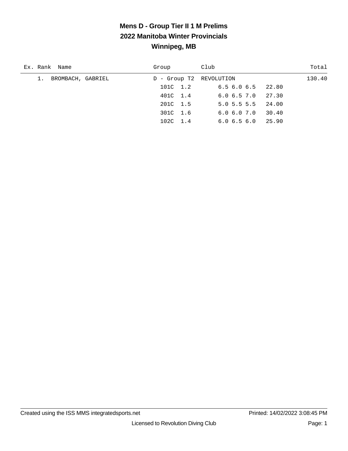| Ex. Rank Name        | Group                   | Club                      | Total  |
|----------------------|-------------------------|---------------------------|--------|
| 1. BROMBACH, GABRIEL | D - Group T2 REVOLUTION |                           | 130.40 |
|                      | 101C 1.2                | $6.5$ $6.0$ $6.5$ $22.80$ |        |
|                      | 401C 1.4                | $6.0 \t6.5 \t7.0 \t27.30$ |        |
|                      | 201C 1.5                | $5.0$ 5.5 5.5 24.00       |        |
|                      | 301C 1.6                | 30.40<br>6.06.07.0        |        |
|                      | 102C 1.4                | 25.90<br>6.06.56.0        |        |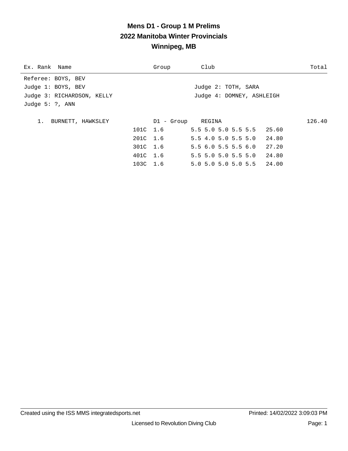| Ex. Rank Name              | Group             | Club                           | Total  |
|----------------------------|-------------------|--------------------------------|--------|
| Referee: BOYS, BEV         |                   |                                |        |
| Judge 1: BOYS, BEV         |                   | Judge 2: TOTH, SARA            |        |
| Judge 3: RICHARDSON, KELLY |                   | Judge 4: DOMNEY, ASHLEIGH      |        |
| Judge $5: ?$ , ANN         |                   |                                |        |
|                            |                   |                                |        |
| 1.<br>BURNETT, HAWKSLEY    | D1 - Group REGINA |                                | 126.40 |
|                            | 101C 1.6          | 5.5 5.0 5.0 5.5 5.5 25.60      |        |
|                            | 201C 1.6          | 5.5 4.0 5.0 5.5 5.0 24.80      |        |
|                            | 301C 1.6          | 5.56.05.55.56.0<br>27.20       |        |
|                            | 401C 1.6          | $5.5$ 5.0 5.0 5.5 5.0<br>24.80 |        |
|                            | 103C 1.6          | 5.0 5.0 5.0 5.0 5.5 24.00      |        |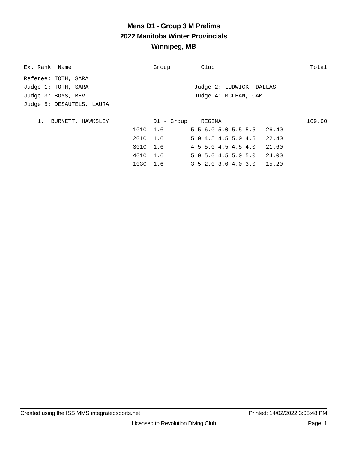| Ex. Rank Name             | Group    | Club                          | Total  |
|---------------------------|----------|-------------------------------|--------|
| Referee: TOTH, SARA       |          |                               |        |
| Judge 1: TOTH, SARA       |          | Judge 2: LUDWICK, DALLAS      |        |
| Judge 3: BOYS, BEV        |          | Judge 4: MCLEAN, CAM          |        |
| Judge 5: DESAUTELS, LAURA |          |                               |        |
|                           |          |                               |        |
| 1.<br>BURNETT, HAWKSLEY   |          | D1 - Group REGINA             | 109.60 |
|                           | 101C 1.6 | 5.5 6.0 5.0 5.5 5.5 26.40     |        |
|                           | 201C 1.6 | 5.0 4.5 4.5 5.0 4.5 22.40     |        |
|                           | 301C 1.6 | 4.5 5.0 4.5 4.5 4.0           | 21.60  |
|                           | 401C 1.6 | $5.0$ $5.0$ $4.5$ $5.0$ $5.0$ | 24.00  |
|                           | 103C 1.6 | $3.5$ 2.0 3.0 4.0 3.0 15.20   |        |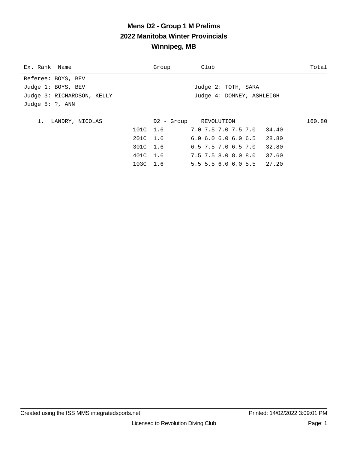| Ex. Rank Name              | Group    | Club                                  | Total  |
|----------------------------|----------|---------------------------------------|--------|
| Referee: BOYS, BEV         |          |                                       |        |
| Judge 1: BOYS, BEV         |          | Judge 2: TOTH, SARA                   |        |
| Judge 3: RICHARDSON, KELLY |          | Judge 4: DOMNEY, ASHLEIGH             |        |
| Judge $5: ?$ , ANN         |          |                                       |        |
|                            |          |                                       |        |
| LANDRY, NICOLAS            |          | D2 - Group REVOLUTION                 | 160.80 |
|                            | 101C 1.6 | 7.0 7.5 7.0 7.5 7.0<br>34.40          |        |
|                            | 201C 1.6 | $6.0$ $6.0$ $6.0$ $6.0$ $6.5$ $28.80$ |        |
|                            | 301C 1.6 | $6.5$ 7.5 7.0 $6.5$ 7.0<br>32.80      |        |
|                            | 401C 1.6 | 7.5 7.5 8.0 8.0 8.0<br>37.60          |        |
|                            | 103C 1.6 | $5.5$ 5.5 6.0 6.0 5.5 27.20           |        |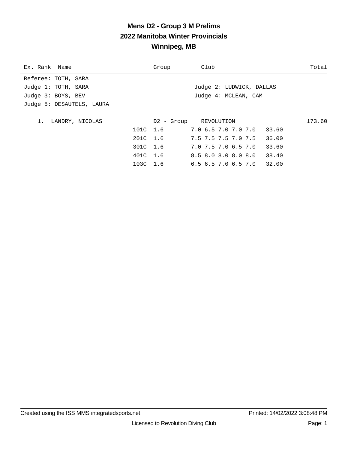| Ex. Rank Name             | Group | Club                                  | Total  |
|---------------------------|-------|---------------------------------------|--------|
| Referee: TOTH, SARA       |       |                                       |        |
| Judge 1: TOTH, SARA       |       | Judge 2: LUDWICK, DALLAS              |        |
| Judge 3: BOYS, BEV        |       | Judge 4: MCLEAN, CAM                  |        |
| Judge 5: DESAUTELS, LAURA |       |                                       |        |
|                           |       |                                       |        |
| LANDRY, NICOLAS<br>$1$ .  |       | D2 - Group REVOLUTION                 | 173.60 |
| 101C 1.6                  |       | 7.0 6.5 7.0 7.0 7.0                   | 33.60  |
| 201C 1.6                  |       | 7.5 7.5 7.5 7.0 7.5                   | 36.00  |
| 301C 1.6                  |       | 7.0 7.5 7.0 6.5 7.0                   | 33.60  |
| 401C 1.6                  |       | 8.5 8.0 8.0 8.0 8.0                   | 38.40  |
| 103C 1.6                  |       | $6.5$ $6.5$ $7.0$ $6.5$ $7.0$ $32.00$ |        |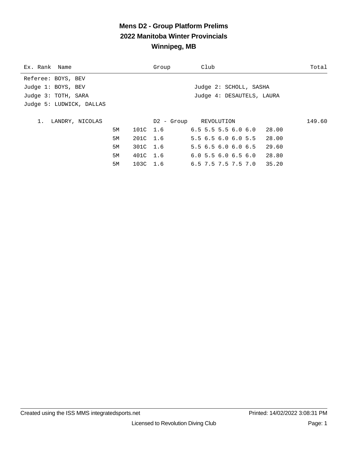# **Mens D2 - Group Platform Prelims 2022 Manitoba Winter Provincials Winnipeg, MB**

| Ex. Rank Name            |    |          | Group | Club                               | Total  |
|--------------------------|----|----------|-------|------------------------------------|--------|
| Referee: BOYS, BEV       |    |          |       |                                    |        |
| Judge 1: BOYS, BEV       |    |          |       | Judge 2: SCHOLL, SASHA             |        |
| Judge 3: TOTH, SARA      |    |          |       | Judge 4: DESAUTELS, LAURA          |        |
| Judge 5: LUDWICK, DALLAS |    |          |       |                                    |        |
|                          |    |          |       |                                    |        |
| LANDRY, NICOLAS<br>$1$ . |    |          |       | D2 - Group REVOLUTION              | 149.60 |
|                          | 5M | 101C 1.6 |       | $6.5\,5.5\,5.5\,6.0\,6.0$<br>28.00 |        |
|                          | 5M | 201C 1.6 |       | 5.56.56.06.05.5<br>28.00           |        |
|                          | 5M | 301C 1.6 |       | 5.56.56.06.06.5<br>29.60           |        |
|                          | 5M | 401C 1.6 |       | 6.05.56.06.56.0<br>28.80           |        |
|                          | 5M | 103C 1.6 |       | $6.5$ 7.5 7.5 7.5 7.0 35.20        |        |
|                          |    |          |       |                                    |        |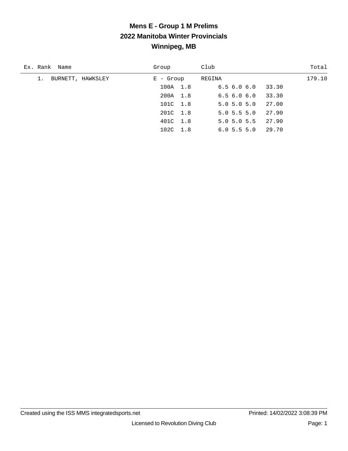| Ex. Rank Name           | Group       | Club                   | Total  |
|-------------------------|-------------|------------------------|--------|
| BURNETT, HAWKSLEY<br>1. | $E -$ Group | REGINA                 | 179.10 |
|                         | 100A 1.8    | 6.56.06.0<br>33.30     |        |
|                         | 200A 1.8    | 33.30<br>6.56.06.0     |        |
|                         | 101C 1.8    | 27.00<br>5.05.05.0     |        |
|                         | 201C 1.8    | 27.90<br>$5.0$ 5.5 5.0 |        |
|                         | 401C 1.8    | $5.0$ 5.0 5.5<br>27.90 |        |
|                         | 102C 1.8    | 29.70<br>6.05.55.0     |        |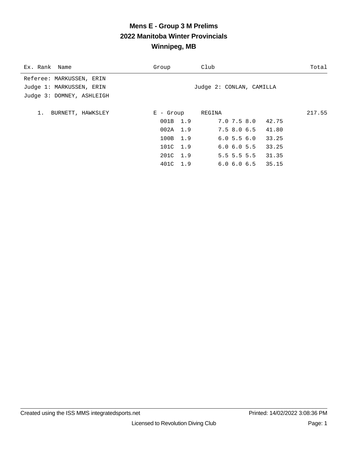| Ex. Rank Name             | Group            | Club                      |       | Total  |
|---------------------------|------------------|---------------------------|-------|--------|
| Referee: MARKUSSEN, ERIN  |                  |                           |       |        |
| Judge 1: MARKUSSEN, ERIN  |                  | Judge 2: CONLAN, CAMILLA  |       |        |
| Judge 3: DOMNEY, ASHLEIGH |                  |                           |       |        |
|                           |                  |                           |       |        |
| 1.<br>BURNETT, HAWKSLEY   | E - Group REGINA |                           |       | 217.55 |
|                           | 001B 1.9         | 7.0 7.5 8.0 42.75         |       |        |
|                           | 002A 1.9         | 7.5 8.0 6.5 41.80         |       |        |
|                           | 100B 1.9         | 6.05.56.0                 | 33.25 |        |
|                           | 101C 1.9         | $6.0$ $6.0$ $5.5$ $33.25$ |       |        |
|                           | 201C 1.9         | $5.5$ 5.5 5.5 31.35       |       |        |
|                           | 401C 1.9         | $6.0$ $6.0$ $6.5$ $35.15$ |       |        |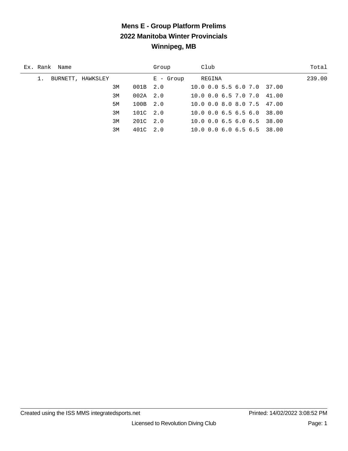# **Mens E - Group Platform Prelims 2022 Manitoba Winter Provincials Winnipeg, MB**

| Ex. Rank Name     | Group        | Club                       | Total  |
|-------------------|--------------|----------------------------|--------|
| BURNETT, HAWKSLEY | $E -$ Group  | REGINA                     | 239.00 |
| 3M                | $001B$ $2.0$ | 10.0 0.0 5.5 6.0 7.0 37.00 |        |
| 3M                | $002A$ 2.0   | 10.0 0.0 6.5 7.0 7.0 41.00 |        |
| 5M                | 100B 2.0     | 10.0 0.0 8.0 8.0 7.5 47.00 |        |
| 3M                | 101C 2.0     | 10.0 0.0 6.5 6.5 6.0 38.00 |        |
| 3M                | 201C 2.0     | 10.0 0.0 6.5 6.0 6.5 38.00 |        |
| 3M                | 401C 2.0     | 10.0 0.0 6.0 6.5 6.5 38.00 |        |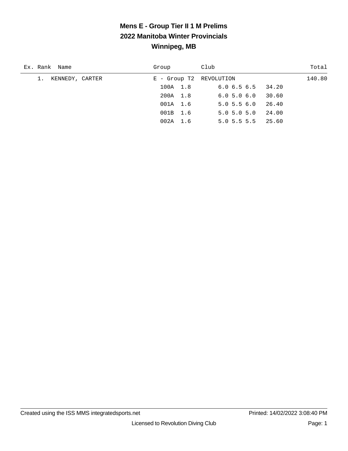| Ex. Rank Name         | Group                   | Club                      | Total  |
|-----------------------|-------------------------|---------------------------|--------|
| 1.<br>KENNEDY, CARTER | E - Group T2 REVOLUTION |                           | 140.80 |
|                       | 100A 1.8                | $6.0$ $6.5$ $6.5$ $34.20$ |        |
|                       | 200A 1.8                | 6.05.06.0                 | 30.60  |
|                       | 001A 1.6                | 5.05.56.0                 | 26.40  |
|                       | 001B 1.6                | 5.05.05.0                 | 24.00  |
|                       | $002A$ 1.6              | $5.0 \, 5.5 \, 5.5$       | 25.60  |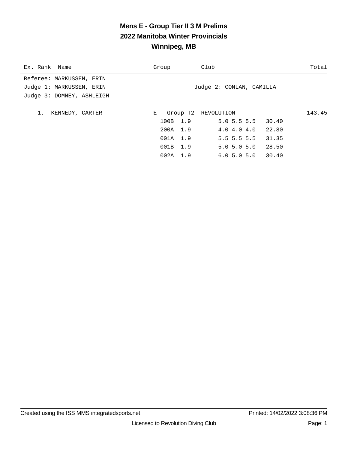# **Mens E - Group Tier II 3 M Prelims 2022 Manitoba Winter Provincials Winnipeg, MB**

| Ex. Rank Name             | Group            | Club                    |                           |       | Total  |
|---------------------------|------------------|-------------------------|---------------------------|-------|--------|
| Referee: MARKUSSEN, ERIN  |                  |                         |                           |       |        |
| Judge 1: MARKUSSEN, ERIN  |                  |                         | Judge 2: CONLAN, CAMILLA  |       |        |
| Judge 3: DOMNEY, ASHLEIGH |                  |                         |                           |       |        |
| 1.<br>KENNEDY, CARTER     |                  | E - Group T2 REVOLUTION |                           |       | 143.45 |
|                           |                  | 100B 1.9                | $5.0$ 5.5 5.5 30.40       |       |        |
|                           | 200A 1.9         |                         | 4.04.04.0                 | 22.80 |        |
|                           | 001A 1.9         |                         | $5.5$ 5.5 5.5             | 31.35 |        |
|                           | 001B 1.9         |                         | $5.0$ $5.0$ $5.0$ $28.50$ |       |        |
|                           | $002A \quad 1.9$ |                         | 6.05.05.0                 | 30.40 |        |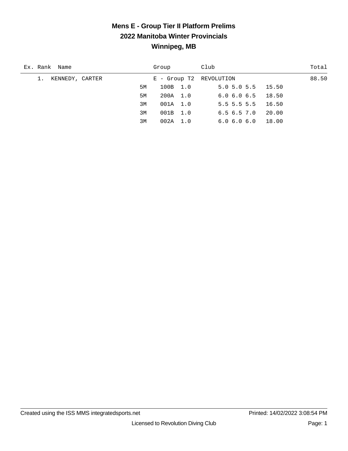## **Mens E - Group Tier II Platform Prelims 2022 Manitoba Winter Provincials Winnipeg, MB**

| Ex. Rank Name         | Group                   | Club                      | Total |
|-----------------------|-------------------------|---------------------------|-------|
| KENNEDY, CARTER<br>1. | E - Group T2 REVOLUTION |                           | 88.50 |
| 5M                    | 100B 1.0                | $5.0$ $5.0$ $5.5$ $15.50$ |       |
| 5M                    | 200A 1.0                | $6.0$ $6.0$ $6.5$ $18.50$ |       |
| 3M                    | 001A 1.0                | $5.5$ 5.5 5.5 16.50       |       |
| 3M                    | 001B 1.0                | 6.56.57.0                 | 20.00 |
| 3M                    | 002A 1.0                | 6.0 6.0 6.0               | 18.00 |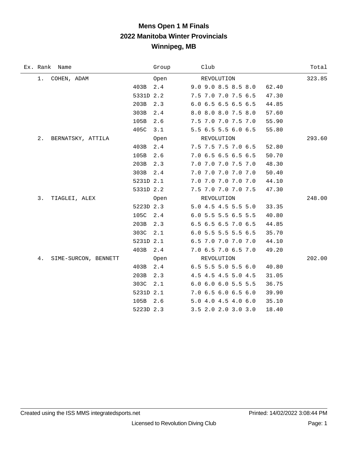# **Mens Open 1 M Finals 2022 Manitoba Winter Provincials Winnipeg, MB**

|    | Ex. Rank Name        |           | Group | Club                           | Total  |
|----|----------------------|-----------|-------|--------------------------------|--------|
| 1. | COHEN, ADAM          |           | Open  | REVOLUTION                     | 323.85 |
|    |                      | 403B      | 2.4   | 9.0 9.0 8.5 8.5 8.0<br>62.40   |        |
|    |                      | 5331D 2.2 |       | 7.5 7.0 7.0 7.5 6.5<br>47.30   |        |
|    |                      | 203B      | 2.3   | 6.0 6.5 6.5 6.5 6.5<br>44.85   |        |
|    |                      | 303B      | 2.4   | 8.0 8.0 8.0 7.5 8.0<br>57.60   |        |
|    |                      | 105B      | 2.6   | 7.5 7.0 7.0 7.5 7.0<br>55.90   |        |
|    |                      | 405C      | 3.1   | 5.5 6.5 5.5 6.0 6.5<br>55.80   |        |
| 2. | BERNATSKY, ATTILA    |           | Open  | REVOLUTION                     | 293.60 |
|    |                      | 403B      | 2.4   | 7.5 7.5 7.5 7.0 6.5<br>52.80   |        |
|    |                      | 105B      | 2.6   | 7.0 6.5 6.5 6.5 6.5<br>50.70   |        |
|    |                      | 203B      | 2.3   | 7.0 7.0 7.0 7.5 7.0<br>48.30   |        |
|    |                      | 303B      | 2.4   | 7.0 7.0 7.0 7.0 7.0<br>50.40   |        |
|    |                      | 5231D 2.1 |       | 7.0 7.0 7.0 7.0 7.0<br>44.10   |        |
|    |                      | 5331D 2.2 |       | 7.5 7.0 7.0 7.0 7.5<br>47.30   |        |
| 3. | TIAGLEI, ALEX        |           | Open  | REVOLUTION                     | 248.00 |
|    |                      | 5223D 2.3 |       | 5.0 4.5 4.5 5.5 5.0<br>33.35   |        |
|    |                      | 105C 2.4  |       | 6.0 5.5 5.5 6.5 5.5<br>40.80   |        |
|    |                      | 203B      | 2.3   | 6.5 6.5 6.5 7.0 6.5<br>44.85   |        |
|    |                      | 303C      | 2.1   | 6.0 5.5 5.5 5.5 6.5<br>35.70   |        |
|    |                      | 5231D 2.1 |       | 6.5 7.0 7.0 7.0 7.0<br>44.10   |        |
|    |                      | 403B 2.4  |       | 7.0 6.5 7.0 6.5 7.0<br>49.20   |        |
| 4. | SIME-SURCON, BENNETT |           | Open  | REVOLUTION                     | 202.00 |
|    |                      | 403B      | 2.4   | $6.5$ 5.5 5.0 5.5 6.0<br>40.80 |        |
|    |                      | 203B      | 2.3   | 4.5 4.5 4.5 5.0 4.5<br>31.05   |        |
|    |                      | 303C      | 2.1   | 6.0 6.0 6.0 5.5 5.5<br>36.75   |        |
|    |                      | 5231D 2.1 |       | 7.0 6.5 6.0 6.5 6.0<br>39.90   |        |
|    |                      | 105B      | 2.6   | 5.0 4.0 4.5 4.0 6.0<br>35.10   |        |
|    |                      | 5223D 2.3 |       | 3.5 2.0 2.0 3.0 3.0<br>18.40   |        |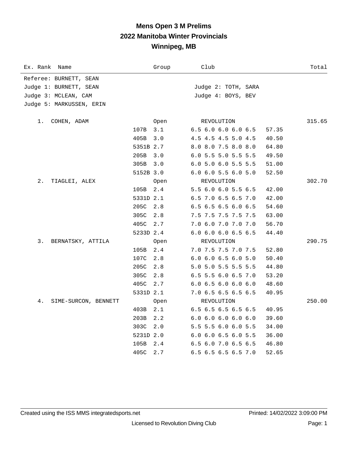## **Mens Open 3 M Prelims 2022 Manitoba Winter Provincials Winnipeg, MB**

| Ex. Rank<br>Name           |           | Group | Club                          | Total  |
|----------------------------|-----------|-------|-------------------------------|--------|
| Referee: BURNETT, SEAN     |           |       |                               |        |
| Judge 1: BURNETT, SEAN     |           |       | Judge 2: TOTH, SARA           |        |
| Judge 3: MCLEAN, CAM       |           |       | Judge 4: BOYS, BEV            |        |
| Judge 5: MARKUSSEN, ERIN   |           |       |                               |        |
| COHEN, ADAM<br>1.          |           | Open  | REVOLUTION                    | 315.65 |
|                            | 107B      | 3.1   | 6.5 6.0 6.0 6.0 6.5           | 57.35  |
|                            | 405B      | 3.0   | 4.5 4.5 4.5 5.0 4.5           | 40.50  |
|                            | 5351B 2.7 |       | 8.0 8.0 7.5 8.0 8.0           | 64.80  |
|                            | 205B      | 3.0   | 6.0 5.5 5.0 5.5 5.5           | 49.50  |
|                            | 305B      | 3.0   | 6.0 5.0 6.0 5.5 5.5           | 51.00  |
|                            | 5152B 3.0 |       | 6.0 6.0 5.5 6.0 5.0           | 52.50  |
| 2.<br>TIAGLEI, ALEX        |           | Open  | REVOLUTION                    | 302.70 |
|                            | 105B      | 2.4   | 5.5 6.0 6.0 5.5 6.5           | 42.00  |
|                            | 5331D 2.1 |       | 6.5 7.0 6.5 6.5 7.0           | 42.00  |
|                            | 205C      | 2.8   | 6.5 6.5 6.5 6.0 6.5           | 54.60  |
|                            | 305C      | 2.8   | 7.5 7.5 7.5 7.5 7.5           | 63.00  |
|                            | 405C      | 2.7   | 7.0 6.0 7.0 7.0 7.0           | 56.70  |
|                            | 5233D 2.4 |       | 6.0 6.0 6.0 6.5 6.5           | 44.40  |
| 3.<br>BERNATSKY, ATTILA    |           | 0pen  | REVOLUTION                    | 290.75 |
|                            | 105B      | 2.4   | 7.0 7.5 7.5 7.0 7.5           | 52.80  |
|                            | 107C      | 2.8   | $6.0$ $6.0$ $6.5$ $6.0$ $5.0$ | 50.40  |
|                            | 205C      | 2.8   | 5.0 5.0 5.5 5.5 5.5           | 44.80  |
|                            | 305C      | 2.8   | 6.5 5.5 6.0 6.5 7.0           | 53.20  |
|                            | 405C      | 2.7   | 6.06.56.06.06.0               | 48.60  |
|                            | 5331D 2.1 |       | 7.0 6.5 6.5 6.5 6.5           | 40.95  |
| 4.<br>SIME-SURCON, BENNETT |           | 0pen  | REVOLUTION                    | 250.00 |
|                            | 403B      | 2.1   | 6.5 6.5 6.5 6.5 6.5           | 40.95  |
|                            | 203B      | 2.2   | 6.06.06.06.06.0               | 39.60  |
|                            | 303C      | 2.0   | 5.5 5.5 6.0 6.0 5.5           | 34.00  |
|                            | 5231D 2.0 |       | 6.0 6.0 6.5 6.0 5.5           | 36.00  |
|                            | 105B      | 2.4   | 6.5 6.0 7.0 6.5 6.5           | 46.80  |
|                            | 405C      | 2.7   | 6.5 6.5 6.5 6.5 7.0           | 52.65  |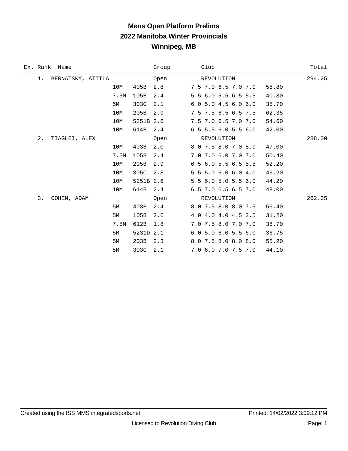## **Mens Open Platform Prelims 2022 Manitoba Winter Provincials Winnipeg, MB**

|    | Ex. Rank Name     |      |           | Group | Club                  |            |  |       | Total  |
|----|-------------------|------|-----------|-------|-----------------------|------------|--|-------|--------|
| 1. | BERNATSKY, ATTILA |      |           | Open  |                       | REVOLUTION |  |       | 294.25 |
|    |                   | 10M  | 405B      | 2.8   | 7.5 7.0 6.5 7.0 7.0   |            |  | 58.80 |        |
|    |                   | 7.5M | 105B      | 2.4   | 5.5 6.0 5.5 6.5 5.5   |            |  | 40.80 |        |
|    |                   | 5М   | 303C      | 2.1   | $6.0$ 5.0 4.5 6.0 6.0 |            |  | 35.70 |        |
|    |                   | 10M  | 205B      | 2.9   | 7.5 7.5 6.5 6.5 7.5   |            |  | 62.35 |        |
|    |                   | 10M  | 5251B 2.6 |       | 7.5 7.0 6.5 7.0 7.0   |            |  | 54.60 |        |
|    |                   | 10M  | 614B      | 2.4   | 6.5 5.5 6.0 5.5 6.0   |            |  | 42.00 |        |
| 2. | TIAGLEI, ALEX     |      |           | Open  |                       | REVOLUTION |  |       | 288.00 |
|    |                   | 10M  | 403B      | 2.0   | 8.0 7.5 8.0 7.0 8.0   |            |  | 47.00 |        |
|    |                   | 7.5M | 105B      | 2.4   | 7.0 7.0 6.0 7.0 7.0   |            |  | 50.40 |        |
|    |                   | 10M  | 205B      | 2.9   | 6.5 6.0 5.5 6.5 5.5   |            |  | 52.20 |        |
|    |                   | 10M  | 305C      | 2.8   | 5.5 5.0 6.0 6.0 4.0   |            |  | 46.20 |        |
|    |                   | 10M  | 5251B 2.6 |       | 5.5 6.0 5.0 5.5 6.0   |            |  | 44.20 |        |
|    |                   | 10M  | 614B      | 2.4   | $6.5$ 7.0 6.5 6.5 7.0 |            |  | 48.00 |        |
| 3. | COHEN, ADAM       |      |           | Open  |                       | REVOLUTION |  |       | 262.35 |
|    |                   | 5M   | 403B      | 2.4   | 8.0 7.5 8.0 8.0 7.5   |            |  | 56.40 |        |
|    |                   | 5M   | 105B      | 2.6   | 4.0 4.0 4.0 4.5 3.5   |            |  | 31.20 |        |
|    |                   | 7.5M | 612B      | 1.8   | 7.0 7.5 8.0 7.0 7.0   |            |  | 38.70 |        |
|    |                   | 5M   | 5231D 2.1 |       | 6.0 5.0 6.0 5.5 6.0   |            |  | 36.75 |        |
|    |                   | 5M   | 203B      | 2.3   | 8.0 7.5 8.0 8.0 8.0   |            |  | 55.20 |        |
|    |                   | 5М   | 303C      | 2.1   | 7.0 6.0 7.0 7.5 7.0   |            |  | 44.10 |        |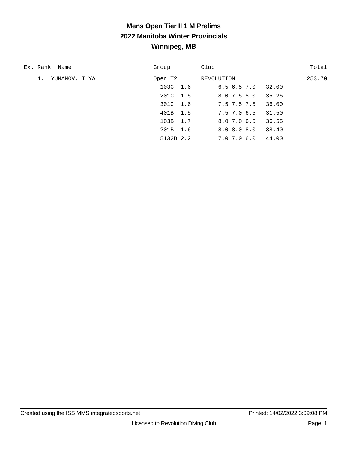# **Mens Open Tier II 1 M Prelims 2022 Manitoba Winter Provincials Winnipeg, MB**

| Ex. Rank Name       | Group     | Club                     | Total  |
|---------------------|-----------|--------------------------|--------|
| YUNANOV, ILYA<br>1. | Open T2   | REVOLUTION               | 253.70 |
|                     | 103C 1.6  | 6.56.57.0<br>32.00       |        |
|                     | 201C 1.5  | 35.25<br>$8.0$ 7.5 $8.0$ |        |
|                     | 301C 1.6  | 36.00<br>7.5 7.5 7.5     |        |
|                     | 401B 1.5  | 7.5 7.0 6.5<br>31.50     |        |
|                     | 103B 1.7  | 8.0 7.0 6.5<br>36.55     |        |
|                     | 201B 1.6  | 8.0 8.0 8.0<br>38.40     |        |
|                     | 5132D 2.2 | 44.00<br>7.0 7.0 6.0     |        |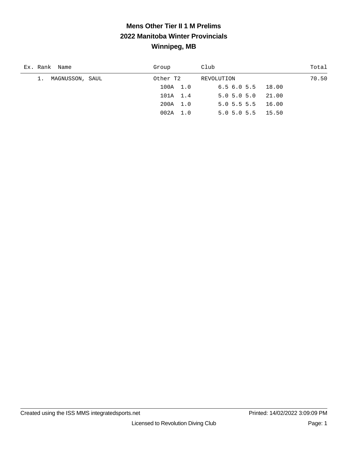# **Mens Other Tier II 1 M Prelims 2022 Manitoba Winter Provincials Winnipeg, MB**

| Ex. Rank Name      | Group      | Club                      | Total |
|--------------------|------------|---------------------------|-------|
| 1. MAGNUSSON, SAUL | Other T2   | REVOLUTION                | 70.50 |
|                    | 100A 1.0   | $6.5$ $6.0$ $5.5$ $18.00$ |       |
|                    | 101A 1.4   | $5.0$ $5.0$ $5.0$ $21.00$ |       |
|                    | 200A 1.0   | $5.0$ 5.5 5.5 16.00       |       |
|                    | $002A$ 1.0 | $5.0$ $5.0$ $5.5$ $15.50$ |       |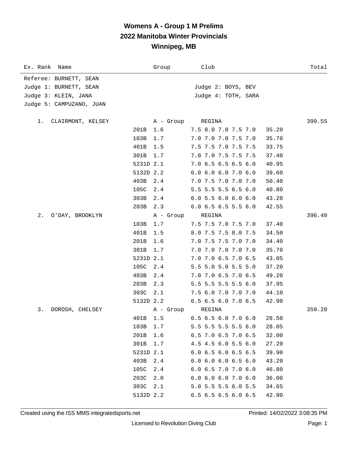| Referee: BURNETT, SEAN<br>Judge 1: BURNETT, SEAN<br>Judge 2: BOYS, BEV<br>Judge 3: KLEIN, JANA<br>Judge 4: TOTH, SARA<br>Judge 5: CAMPUZANO, JUAN |
|---------------------------------------------------------------------------------------------------------------------------------------------------|
|                                                                                                                                                   |
|                                                                                                                                                   |
|                                                                                                                                                   |
|                                                                                                                                                   |
|                                                                                                                                                   |
| 399.55<br>CLAIRMONT, KELSEY<br>A - Group<br>REGINA<br>1.                                                                                          |
| 7.5 8.0 7.0 7.5 7.0<br>201B<br>1.6<br>35.20                                                                                                       |
| 103B<br>1.7<br>7.0 7.0 7.0 7.5 7.0<br>35.70                                                                                                       |
| 401B<br>1.5<br>7.5 7.5 7.0 7.5 7.5<br>33.75                                                                                                       |
| 301B<br>1.7<br>7.0 7.0 7.5 7.5 7.5<br>37.40                                                                                                       |
| 5231D 2.1<br>7.0 6.5 6.5 6.5 6.0<br>40.95                                                                                                         |
| 5132D 2.2<br>6.0 6.0 6.0 7.0 6.0<br>39.60                                                                                                         |
| 403B<br>2.4<br>7.0 7.5 7.0 7.0 7.0<br>50.40                                                                                                       |
| 5.5 5.5 5.5 6.5 6.0<br>105C<br>2.4<br>40.80                                                                                                       |
| 303B<br>2.4<br>6.05.56.06.06.0<br>43.20                                                                                                           |
| 203B 2.3<br>6.0 6.5 6.5 5.5 6.0<br>42.55                                                                                                          |
| REGINA<br>396.40<br>2.<br>O'DAY, BROOKLYN<br>A - Group                                                                                            |
| 103B<br>1.7<br>7.5 7.5 7.0 7.5 7.0<br>37.40                                                                                                       |
| 401B<br>1.5<br>8.0 7.5 7.5 8.0 7.5<br>34.50                                                                                                       |
| 201B<br>1.6<br>7.0 7.5 7.5 7.0 7.0<br>34.40                                                                                                       |
| 1.7<br>7.0 7.0 7.0 7.0 7.0<br>35.70<br>301B                                                                                                       |
| 5231D 2.1<br>7.0 7.0 6.5 7.0 6.5<br>43.05                                                                                                         |
| 105C<br>2.4<br>5.5 5.0 5.0 5.5 5.0<br>37.20                                                                                                       |
| 403B<br>2.4<br>7.0 7.0 6.5 7.0 6.5<br>49.20                                                                                                       |
| 2.3<br>5.5 5.5 5.5 5.5 6.0<br>203B<br>37.95                                                                                                       |
| 303C 2.1<br>7.5 6.0 7.0 7.0 7.0<br>44.10                                                                                                          |
| 5132D 2.2<br>6.5 6.5 6.0 7.0 6.5<br>42.90                                                                                                         |
| 359.20<br>3.<br>A - Group<br>REGINA<br>DOROSH, CHELSEY                                                                                            |
| 401B 1.5<br>6.5 6.5 6.0 7.0 6.0<br>28.50                                                                                                          |
| 5.5 5.5 5.5 5.5 6.0<br>103B<br>1.7<br>28.05                                                                                                       |
| 201B<br>1.6<br>6.5 7.0 6.5 7.0 6.5<br>32.00                                                                                                       |
| 301B<br>1.7<br>4.5 4.5 6.0 5.5 6.0<br>27.20                                                                                                       |
| 5231D 2.1<br>$6.0$ 6.5 6.0 6.5 6.5<br>39.90                                                                                                       |
| 6.0 6.0 6.0 6.5 6.0<br>403B<br>2.4<br>43.20                                                                                                       |
| 105C<br>6.0 6.5 7.0 7.0 6.0<br>2.4<br>46.80                                                                                                       |
| 203C<br>2.0<br>6.0 6.0 6.0 7.0 6.0<br>36.00                                                                                                       |
| 5.0 5.5 5.5 6.0 5.5<br>303C<br>2.1<br>34.65                                                                                                       |
| 5132D 2.2<br>6.5 6.5 6.5 6.0 6.5<br>42.90                                                                                                         |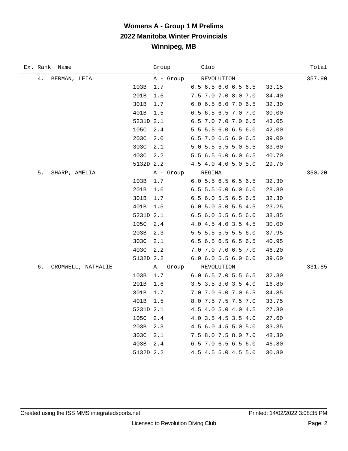| Ex. Rank<br>Name         | Group     | Club                          | Total  |
|--------------------------|-----------|-------------------------------|--------|
| 4.<br>BERMAN, LEIA       | A - Group | REVOLUTION                    | 357.90 |
| 103B                     | 1.7       | 6.5 6.5 6.0 6.5 6.5           | 33.15  |
| 201B                     | 1.6       | 7.5 7.0 7.0 8.0 7.0           | 34.40  |
| 301B                     | 1.7       | 6.0 6.5 6.0 7.0 6.5           | 32.30  |
| 401B                     | $1.5\,$   | 6.5 6.5 6.5 7.0 7.0           | 30.00  |
|                          | 5231D 2.1 | 6.5 7.0 7.0 7.0 6.5           | 43.05  |
| 105C                     | 2.4       | 5.5 5.5 6.0 6.5 6.0           | 42.00  |
| 203C                     | 2.0       | 6.5 7.0 6.5 6.0 6.5           | 39.00  |
| 303C                     | 2.1       | 5.0 5.5 5.5 5.0 5.5           | 33.60  |
| 403C                     | 2.2       | 5.5 6.5 6.0 6.0 6.5           | 40.70  |
|                          | 5132D 2.2 | 4.5 4.0 4.0 5.0 5.0           | 29.70  |
| 5.<br>SHARP, AMELIA      |           | A - Group REGINA              | 350.20 |
| 103B                     | $1.7$     | 6.0 5.5 6.5 6.5 6.5           | 32.30  |
| 201B                     | 1.6       | 6.5 5.5 6.0 6.0 6.0           | 28.80  |
| 301B                     | 1.7       | 6.5 6.0 5.5 6.5 6.5           | 32.30  |
| 401B                     | 1.5       | 6.0 5.0 5.0 5.5 4.5           | 23.25  |
|                          | 5231D 2.1 | 6.5 6.0 5.5 6.5 6.0           | 38.85  |
| 105C                     | 2.4       | 4.0 4.5 4.0 3.5 4.5           | 30.00  |
| 203B                     | 2.3       | 5.5 5.5 5.5 5.5 6.0           | 37.95  |
| 303C                     | 2.1       | 6.5 6.5 6.5 6.5 6.5           | 40.95  |
| 403C                     | 2.2       | 7.0 7.0 7.0 6.5 7.0           | 46.20  |
|                          | 5132D 2.2 | $6.0$ $6.0$ $5.5$ $6.0$ $6.0$ | 39.60  |
| б.<br>CROMWELL, NATHALIE | A - Group | REVOLUTION                    | 331.85 |
| 103B                     | 1.7       | 6.0 6.5 7.0 5.5 6.5           | 32.30  |
| 201B                     | 1.6       | 3.5 3.5 3.0 3.5 4.0           | 16.80  |
| 301B                     | 1.7       | 7.0 7.0 6.0 7.0 6.5           | 34.85  |
| 401B                     | 1.5       | 8.0 7.5 7.5 7.5 7.0           | 33.75  |
|                          | 5231D 2.1 | 4.5 4.0 5.0 4.0 4.5           | 27.30  |
| 105C                     | 2.4       | 4.0 3.5 4.5 3.5 4.0           | 27.60  |
| 203B                     | 2.3       | 4.5 6.0 4.5 5.0 5.0           | 33.35  |
| 303C                     | 2.1       | 7.5 8.0 7.5 8.0 7.0           | 48.30  |
| 403B                     | 2.4       | 6.5 7.0 6.5 6.5 6.0           | 46.80  |
|                          | 5132D 2.2 | 4.5 4.5 5.0 4.5 5.0           | 30.80  |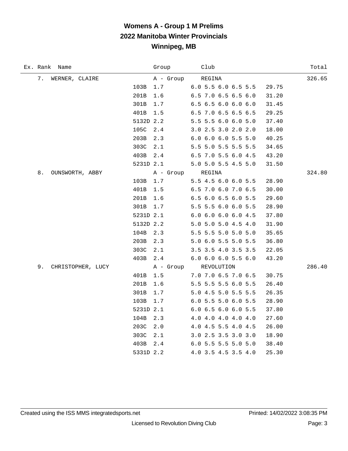| Ex. Rank Name           |           | Group     | Club                                         | Total  |
|-------------------------|-----------|-----------|----------------------------------------------|--------|
| 7.<br>WERNER, CLAIRE    |           | A - Group | REGINA                                       | 326.65 |
|                         | 103B      | 1.7       | 6.0 5.5 6.0 6.5 5.5<br>29.75                 |        |
|                         | 201B      | 1.6       | 6.5 7.0 6.5 6.5 6.0<br>31.20                 |        |
|                         | 301B      | $1.7$     | 6.5 6.5 6.0 6.0 6.0<br>31.45                 |        |
|                         | 401B      | 1.5       | 6.5 7.0 6.5 6.5 6.5<br>29.25                 |        |
|                         | 5132D 2.2 |           | 5.5 5.5 6.0 6.0 5.0<br>37.40                 |        |
|                         | 105C      | 2.4       | 3.0 2.5 3.0 2.0 2.0<br>18.00                 |        |
|                         | 203B      | 2.3       | 6.0 6.0 6.0 5.5 5.0<br>40.25                 |        |
|                         | 303C      | 2.1       | 5.5 5.0 5.5 5.5 5.5<br>34.65                 |        |
|                         | 403B      | 2.4       | 6.5 7.0 5.5 6.0 4.5<br>43.20                 |        |
|                         | 5231D 2.1 |           | 5.0 5.0 5.5 4.5 5.0<br>31.50                 |        |
| 8.<br>OUNSWORTH, ABBY   |           | A - Group | REGINA                                       | 324.80 |
|                         | 103B      | 1.7       | 5.5 4.5 6.0 6.0 5.5<br>28.90                 |        |
|                         | 401B      | 1.5       | 6.5 7.0 6.0 7.0 6.5<br>30.00                 |        |
|                         | 201B      | 1.6       | 6.5 6.0 6.5 6.0 5.5<br>29.60                 |        |
|                         | 301B      | 1.7       | 5.5 5.5 6.0 6.0 5.5<br>28.90                 |        |
|                         | 5231D 2.1 |           | 6.0 6.0 6.0 6.0 4.5<br>37.80                 |        |
|                         | 5132D 2.2 |           | 5.0 5.0 5.0 4.5 4.0<br>31.90                 |        |
|                         | 104B      | 2.3       | 5.5 5.5 5.0 5.0 5.0<br>35.65                 |        |
|                         | 203B      | 2.3       | 5.0 6.0 5.5 5.0 5.5<br>36.80                 |        |
|                         | 303C      | 2.1       | 3.5 3.5 4.0 3.5 3.5<br>22.05                 |        |
|                         | 403B      | $2.4$     | 6.0 6.0 6.0 5.5 6.0<br>43.20                 |        |
| 9.<br>CHRISTOPHER, LUCY |           |           | A - Group REVOLUTION                         | 286.40 |
|                         | 401B      | 1.5       | 7.0 7.0 6.5 7.0 6.5<br>30.75                 |        |
|                         | 201B      | 1.6       | 5.5 5.5 5.5 6.0 5.5<br>26.40                 |        |
|                         | 301B      | 1.7       | 5.0 4.5 5.0 5.5 5.5<br>26.35                 |        |
|                         | 103B      | 1.7       | 6.0 5.5 5.0 6.0 5.5<br>28.90                 |        |
|                         | 5231D 2.1 |           | 6.0 6.5 6.0 6.0 5.5<br>37.80                 |        |
|                         | 104B      | 2.3       | $4.0$ $4.0$ $4.0$ $4.0$ $4.0$ $4.0$<br>27.60 |        |
|                         | 203C      | 2.0       | 4.0 4.5 5.5 4.0 4.5<br>26.00                 |        |
|                         | 303C      | 2.1       | 3.0 2.5 3.5 3.0 3.0<br>18.90                 |        |
|                         | 403B      | 2.4       | 6.0 5.5 5.5 5.0 5.0<br>38.40                 |        |
|                         | 5331D 2.2 |           | 4.0 3.5 4.5 3.5 4.0<br>25.30                 |        |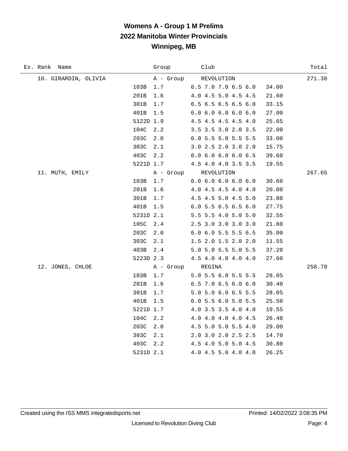| Ex. Rank Name        |           | Group     | Club                  | Total  |
|----------------------|-----------|-----------|-----------------------|--------|
| 10. GIRARDIN, OLIVIA |           | A - Group | REVOLUTION            | 271.30 |
|                      | 103B      | 1.7       | 6.5 7.0 7.0 6.5 6.0   | 34.00  |
|                      | 201B      | 1.6       | 4.0 4.5 5.0 4.5 4.5   | 21.60  |
|                      | 301B      | 1.7       | 6.5 6.5 6.5 6.5 6.0   | 33.15  |
|                      | 401B      | 1.5       | 6.06.06.06.06.0       | 27.00  |
|                      | 5122D 1.9 |           | $4.5$ 4.5 4.5 4.5 4.0 | 25.65  |
|                      | 104C      | 2.2       | 3.5 3.5 3.0 2.0 3.5   | 22.00  |
|                      | 203C      | 2.0       | 6.0 5.5 5.0 5.5 5.5   | 33.00  |
|                      | 303C      | 2.1       | 3.0 2.5 2.0 3.0 2.0   | 15.75  |
|                      | 403C 2.2  |           | 6.06.06.06.06.5       | 39.60  |
|                      | 5221D 1.7 |           | 4.5 4.0 4.0 3.5 3.5   | 19.55  |
| 11. MUTH, EMILY      |           | A - Group | REVOLUTION            | 267.65 |
|                      | 103B      | 1.7       | 6.06.06.06.06.0       | 30.60  |
|                      | 201B      | 1.6       | 4.0 4.5 4.5 4.0 4.0   | 20.00  |
|                      | 301B      | 1.7       | 4.5 4.5 5.0 4.5 5.0   | 23.80  |
|                      | 401B      | 1.5       | 6.0 5.5 6.5 6.5 6.0   | 27.75  |
|                      | 5231D 2.1 |           | 5.5 5.5 4.0 5.0 5.0   | 32.55  |
|                      | 105C      | 2.4       | 2.5 3.0 3.0 3.0 3.0   | 21.60  |
|                      | 203C      | 2.0       | 6.0 6.0 5.5 5.5 6.5   | 35.00  |
|                      | 303C      | 2.1       | 1.5 2.0 1.5 2.0 2.0   | 11.55  |
|                      | 403B      | 2.4       | 5.0 5.0 5.5 5.0 5.5   | 37.20  |
|                      | 5223D 2.3 |           | 4.5 4.0 4.0 4.0 4.0   | 27.60  |
| 12. JONES, CHLOE     |           | A - Group | REGINA                | 258.70 |
|                      | 103B      | 1.7       | 5.0 5.5 6.0 5.5 5.5   | 28.05  |
|                      | 201B      | 1.6       | 6.5 7.0 6.5 6.0 6.0   | 30.40  |
|                      | 301B      | 1.7       | 5.0 5.0 6.0 6.5 5.5   | 28.05  |
|                      | 401B      | 1.5       | 6.0 5.5 6.0 5.0 5.5   | 25.50  |
|                      | 5221D 1.7 |           | 4.0 3.5 3.5 4.0 4.0   | 19.55  |
|                      | 104C      | 2.2       | 4.0 4.0 4.0 4.0 4.5   | 26.40  |
|                      | 203C      | 2.0       | 4.5 5.0 5.0 5.5 4.0   | 29.00  |
|                      | 303C      | 2.1       | 2.0 3.0 2.0 2.5 2.5   | 14.70  |
|                      | 403C      | 2.2       | 4.5 4.0 5.0 5.0 4.5   | 30.80  |
|                      | 5231D 2.1 |           | 4.0 4.5 5.0 4.0 4.0   | 26.25  |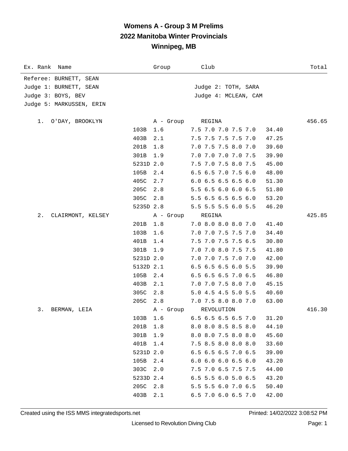| Ex. Rank Name              | Group       | Club                  | Total  |
|----------------------------|-------------|-----------------------|--------|
| Referee: BURNETT, SEAN     |             |                       |        |
| Judge 1: BURNETT, SEAN     |             | Judge 2: TOTH, SARA   |        |
| Judge 3: BOYS, BEV         |             | Judge 4: MCLEAN, CAM  |        |
| Judge 5: MARKUSSEN, ERIN   |             |                       |        |
| O'DAY, BROOKLYN<br>1.      | A - Group   | REGINA                | 456.65 |
|                            | 103B<br>1.6 | 7.5 7.0 7.0 7.5 7.0   | 34.40  |
|                            | 403B<br>2.1 | 7.5 7.5 7.5 7.5 7.0   | 47.25  |
|                            | 201B<br>1.8 | 7.0 7.5 7.5 8.0 7.0   | 39.60  |
|                            | 301B<br>1.9 | 7.0 7.0 7.0 7.0 7.5   | 39.90  |
|                            | 5231D 2.0   | 7.5 7.0 7.5 8.0 7.5   | 45.00  |
|                            | 105B<br>2.4 | 6.5 6.5 7.0 7.5 6.0   | 48.00  |
|                            | 405C<br>2.7 | $6.0$ 6.5 6.5 6.5 6.0 | 51.30  |
|                            | 205C<br>2.8 | 5.5 6.5 6.0 6.0 6.5   | 51.80  |
|                            | 305C 2.8    | 5.5 6.5 6.5 6.5 6.0   | 53.20  |
|                            | 5235D 2.8   | 5.5 5.5 5.5 6.0 5.5   | 46.20  |
| $2$ .<br>CLAIRMONT, KELSEY | A - Group   | REGINA                | 425.85 |
|                            | 201B<br>1.8 | 7.0 8.0 8.0 8.0 7.0   | 41.40  |
|                            | 103B<br>1.6 | 7.0 7.0 7.5 7.5 7.0   | 34.40  |
|                            | 401B<br>1.4 | 7.5 7.0 7.5 7.5 6.5   | 30.80  |
|                            | 301B<br>1.9 | 7.0 7.0 8.0 7.5 7.5   | 41.80  |
|                            | 5231D 2.0   | 7.0 7.0 7.5 7.0 7.0   | 42.00  |
|                            | 5132D 2.1   | 6.5 6.5 6.5 6.0 5.5   | 39.90  |
|                            | 105B<br>2.4 | 6.5 6.5 6.5 7.0 6.5   | 46.80  |
|                            | 403B<br>2.1 | 7.0 7.0 7.5 8.0 7.0   | 45.15  |
|                            | 305C<br>2.8 | 5.0 4.5 4.5 5.0 5.5   | 40.60  |
|                            | 205C<br>2.8 | 7.0 7.5 8.0 8.0 7.0   | 63.00  |
| 3.<br>BERMAN, LEIA         | A - Group   | REVOLUTION            | 416.30 |
|                            | 103B 1.6    | 6.5 6.5 6.5 6.5 7.0   | 31.20  |
|                            | 201B<br>1.8 | 8.0 8.0 8.5 8.5 8.0   | 44.10  |
|                            | 301B 1.9    | 8.0 8.0 7.5 8.0 8.0   | 45.60  |
|                            | 401B 1.4    | 7.5 8.5 8.0 8.0 8.0   | 33.60  |
|                            | 5231D 2.0   | 6.5 6.5 6.5 7.0 6.5   | 39.00  |
|                            | 105B<br>2.4 | 6.06.06.06.56.0       | 43.20  |
|                            | 303C 2.0    | 7.5 7.0 6.5 7.5 7.5   | 44.00  |
|                            | 5233D 2.4   | 6.5 5.5 6.0 5.0 6.5   | 43.20  |
|                            | 205C 2.8    | 5.5 5.5 6.0 7.0 6.5   | 50.40  |
|                            | 403B<br>2.1 | 6.5 7.0 6.0 6.5 7.0   | 42.00  |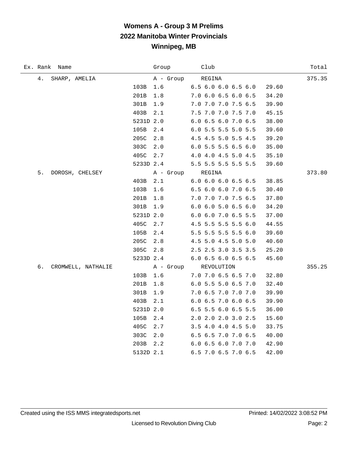| Ex. Rank Name            | Group       | Club                | Total  |
|--------------------------|-------------|---------------------|--------|
| 4.<br>SHARP, AMELIA      | A - Group   | REGINA              | 375.35 |
|                          | 103B<br>1.6 | 6.5 6.0 6.0 6.5 6.0 | 29.60  |
|                          | 201B<br>1.8 | 7.0 6.0 6.5 6.0 6.5 | 34.20  |
|                          | 301B<br>1.9 | 7.0 7.0 7.0 7.5 6.5 | 39.90  |
|                          | 403B<br>2.1 | 7.5 7.0 7.0 7.5 7.0 | 45.15  |
|                          | 5231D 2.0   | 6.0 6.5 6.0 7.0 6.5 | 38.00  |
|                          | 105B<br>2.4 | 6.0 5.5 5.5 5.0 5.5 | 39.60  |
|                          | 205C<br>2.8 | 4.5 4.5 5.0 5.5 4.5 | 39.20  |
|                          | 303C<br>2.0 | 6.0 5.5 5.5 6.5 6.0 | 35.00  |
|                          | 405C<br>2.7 | 4.0 4.0 4.5 5.0 4.5 | 35.10  |
|                          | 5233D 2.4   | 5.5 5.5 5.5 5.5 5.5 | 39.60  |
| 5.<br>DOROSH, CHELSEY    | A - Group   | REGINA              | 373.80 |
|                          | 403B<br>2.1 | 6.0 6.0 6.0 6.5 6.5 | 38.85  |
|                          | 103B<br>1.6 | 6.5 6.0 6.0 7.0 6.5 | 30.40  |
|                          | 201B<br>1.8 | 7.0 7.0 7.0 7.5 6.5 | 37.80  |
|                          | 301B<br>1.9 | 6.0 6.0 5.0 6.5 6.0 | 34.20  |
|                          | 5231D 2.0   | 6.0 6.0 7.0 6.5 5.5 | 37.00  |
|                          | 405C<br>2.7 | 4.5 5.5 5.5 5.5 6.0 | 44.55  |
|                          | 105B<br>2.4 | 5.5 5.5 5.5 5.5 6.0 | 39.60  |
|                          | 205C<br>2.8 | 4.5 5.0 4.5 5.0 5.0 | 40.60  |
|                          | 305C<br>2.8 | 2.5 2.5 3.0 3.5 3.5 | 25.20  |
|                          | 5233D 2.4   | 6.0 6.5 6.0 6.5 6.5 | 45.60  |
| б.<br>CROMWELL, NATHALIE | A - Group   | REVOLUTION          | 355.25 |
|                          | 103B<br>1.6 | 7.0 7.0 6.5 6.5 7.0 | 32.80  |
|                          | 201B<br>1.8 | 6.0 5.5 5.0 6.5 7.0 | 32.40  |
|                          | 301B<br>1.9 | 7.0 6.5 7.0 7.0 7.0 | 39.90  |
|                          | 403B<br>2.1 | 6.0 6.5 7.0 6.0 6.5 | 39.90  |
|                          | 5231D 2.0   | 6.5 5.5 6.0 6.5 5.5 | 36.00  |
|                          | 105B<br>2.4 | 2.0 2.0 2.0 3.0 2.5 | 15.60  |
|                          | 405C<br>2.7 | 3.5 4.0 4.0 4.5 5.0 | 33.75  |
|                          | 303C<br>2.0 | 6.5 6.5 7.0 7.0 6.5 | 40.00  |
|                          | 203B<br>2.2 | 6.0 6.5 6.0 7.0 7.0 | 42.90  |
|                          | 5132D 2.1   | 6.5 7.0 6.5 7.0 6.5 | 42.00  |

÷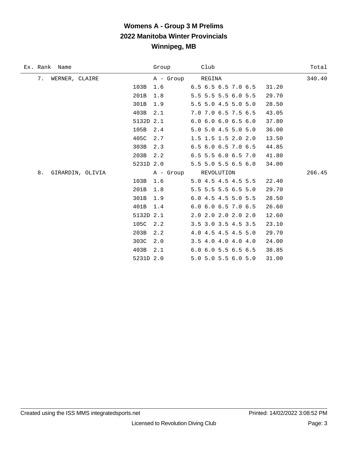|    | Ex. Rank Name  |                  |           | Group                | Club |                               |       | Total  |
|----|----------------|------------------|-----------|----------------------|------|-------------------------------|-------|--------|
| 7. | WERNER, CLAIRE |                  |           | A - Group REGINA     |      |                               |       | 340.40 |
|    |                |                  | 103B      | 1.6                  |      | $6.5$ $6.5$ $6.5$ $7.0$ $6.5$ | 31.20 |        |
|    |                |                  | 201B      | 1.8                  |      | 5.5 5.5 5.5 6.0 5.5           | 29.70 |        |
|    |                |                  | 301B      | 1.9                  |      | 5.5 5.0 4.5 5.0 5.0           | 28.50 |        |
|    |                |                  | 403B      | 2.1                  |      | 7.0 7.0 6.5 7.5 6.5           | 43.05 |        |
|    |                |                  | 5132D 2.1 |                      |      | 6.06.06.06.56.0               | 37.80 |        |
|    |                |                  | 105B      | 2.4                  |      | 5.0 5.0 4.5 5.0 5.0           | 36.00 |        |
|    |                |                  | 405C      | 2.7                  |      | 1.5 1.5 1.5 2.0 2.0           | 13.50 |        |
|    |                |                  | 303B      | 2.3                  |      | 6.5 6.0 6.5 7.0 6.5           | 44.85 |        |
|    |                |                  | 203B      | 2.2                  |      | 6.5 5.5 6.0 6.5 7.0           | 41.80 |        |
|    |                |                  | 5231D 2.0 |                      |      | 5.5 5.0 5.5 6.5 6.0           | 34.00 |        |
| 8. |                | GIRARDIN, OLIVIA |           | A - Group REVOLUTION |      |                               |       | 266.45 |
|    |                |                  | 103B      | 1.6                  |      | 5.0 4.5 4.5 4.5 5.5           | 22.40 |        |
|    |                |                  | 201B      | 1.8                  |      | 5.5 5.5 5.5 6.5 5.0           | 29.70 |        |
|    |                |                  | 301B      | 1.9                  |      | 6.0 4.5 4.5 5.0 5.5           | 28.50 |        |
|    |                |                  | 401B      | 1.4                  |      | 6.0 6.0 6.5 7.0 6.5           | 26.60 |        |
|    |                |                  | 5132D 2.1 |                      |      | 2.0 2.0 2.0 2.0 2.0           | 12.60 |        |
|    |                |                  | 105C      | 2.2                  |      | 3.5 3.0 3.5 4.5 3.5           | 23.10 |        |
|    |                |                  | 203B      | 2.2                  |      | 4.0 4.5 4.5 4.5 5.0           | 29.70 |        |
|    |                |                  | 303C      | 2.0                  |      | 3.5 4.0 4.0 4.0 4.0           | 24.00 |        |
|    |                |                  | 403B      | 2.1                  |      | 6.0 6.0 5.5 6.5 6.5           | 38.85 |        |
|    |                |                  | 5231D 2.0 |                      |      | 5.0 5.0 5.5 6.0 5.0           | 31.00 |        |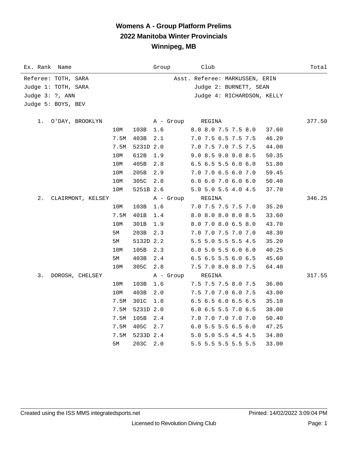### **Womens A - Group Platform Prelims 2022 Manitoba Winter Provincials Winnipeg, MB**

| Ex. Rank Name           |      |           | Group     | Club                           | Total  |
|-------------------------|------|-----------|-----------|--------------------------------|--------|
| Referee: TOTH, SARA     |      |           |           | Asst. Referee: MARKUSSEN, ERIN |        |
| Judge 1: TOTH, SARA     |      |           |           | Judge 2: BURNETT, SEAN         |        |
| Judge 3: ?, ANN         |      |           |           | Judge 4: RICHARDSON, KELLY     |        |
| Judge 5: BOYS, BEV      |      |           |           |                                |        |
|                         |      |           |           |                                |        |
| O'DAY, BROOKLYN<br>1.   |      |           | A - Group | REGINA                         | 377.50 |
|                         | 10M  | 103B      | 1.6       | 8.0 8.0 7.5 7.5 8.0<br>37.60   |        |
|                         | 7.5M | 403B      | 2.1       | 7.0 7.5 6.5 7.5 7.5<br>46.20   |        |
|                         | 7.5M | 5231D 2.0 |           | 7.0 7.5 7.0 7.5 7.5<br>44.00   |        |
|                         | 10M  | 612B      | 1.9       | 9.0 8.5 9.0 9.0 8.5<br>50.35   |        |
|                         | 10M  | 405B      | 2.8       | 6.5 6.5 5.5 6.0 6.0<br>51.80   |        |
|                         | 10M  | 205B      | 2.9       | 7.0 7.0 6.5 6.0 7.0<br>59.45   |        |
|                         | 10M  | 305C      | 2.8       | 6.0 6.0 7.0 6.0 6.0<br>50.40   |        |
|                         | 10M  | 5251B 2.6 |           | 5.0 5.0 5.5 4.0 4.5<br>37.70   |        |
| 2.<br>CLAIRMONT, KELSEY |      |           | A - Group | REGINA                         | 346.25 |
|                         | 10M  | 103B      | 1.6       | 7.0 7.5 7.5 7.5 7.0<br>35.20   |        |
|                         | 7.5M | 401B      | 1.4       | 8.0 8.0 8.0 8.0 8.5<br>33.60   |        |
|                         | 10M  | 301B      | 1.9       | 8.0 7.0 8.0 6.5 8.0<br>43.70   |        |
|                         | 5М   | 203B      | 2.3       | 7.0 7.0 7.5 7.0 7.0<br>48.30   |        |
|                         | 5М   | 5132D 2.2 |           | 5.5 5.0 5.5 5.5 4.5<br>35.20   |        |
|                         | 10M  | 105B      | 2.3       | $6.0$ 5.0 5.5 6.0 6.0<br>40.25 |        |
|                         | 5M   | 403B      | 2.4       | 6.5 6.5 5.5 6.0 6.5<br>45.60   |        |
|                         | 10M  | 305C      | 2.8       | 7.5 7.0 8.0 8.0 7.5<br>64.40   |        |
| 3.<br>DOROSH, CHELSEY   |      |           | A - Group | REGINA                         | 317.55 |
|                         | 10M  | 103B      | 1.6       | 7.5 7.5 7.5 8.0 7.5<br>36.00   |        |
|                         | 10M  | 403B      | 2.0       | 7.5 7.0 7.0 6.0 7.5<br>43.00   |        |
|                         | 7.5M | 301C      | 1.8       | 6.5 6.5 6.0 6.5 6.5<br>35.10   |        |
|                         | 7.5M | 5231D 2.0 |           | 6.0 6.5 5.5 7.0 6.5<br>38.00   |        |
|                         | 7.5M | 105B      | 2.4       | 7.0 7.0 7.0 7.0 7.0<br>50.40   |        |
|                         | 7.5M | 405C      | 2.7       | 6.0 5.5 5.5 6.5 6.0<br>47.25   |        |
|                         | 7.5M | 5233D 2.4 |           | 5.0 5.0 5.5 4.5 4.5<br>34.80   |        |
|                         | 5М   | 203C      | 2.0       | 5.5 5.5 5.5 5.5 5.5<br>33.00   |        |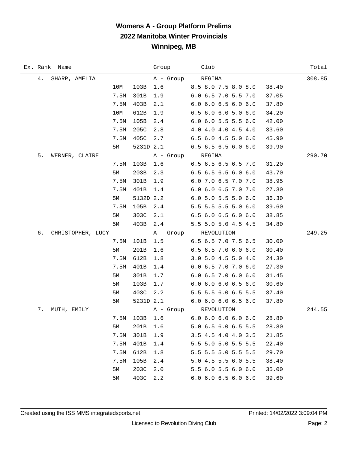### **Womens A - Group Platform Prelims 2022 Manitoba Winter Provincials Winnipeg, MB**

|    | Ex. Rank Name     |      |               | Group Club       |                                   |       | Total  |
|----|-------------------|------|---------------|------------------|-----------------------------------|-------|--------|
| 4. | SHARP, AMELIA     |      |               | A - Group REGINA |                                   |       | 308.85 |
|    |                   | 10M  | 103B          | 1.6              | 8.5 8.0 7.5 8.0 8.0               | 38.40 |        |
|    |                   | 7.5M | 301B          | 1.9              | 6.0 6.5 7.0 5.5 7.0               | 37.05 |        |
|    |                   | 7.5M | 403B          | 2.1              | $6.0 \, 6.0 \, 6.5 \, 6.0 \, 6.0$ | 37.80 |        |
|    |                   | 10M  | 612B          | 1.9              | 6.5 6.0 6.0 5.0 6.0               | 34.20 |        |
|    |                   | 7.5M | 105B          | 2.4              | 6.0 6.0 5.5 5.5 6.0               | 42.00 |        |
|    |                   | 7.5M | 205C          | 2.8              | 4.0 4.0 4.0 4.5 4.0               | 33.60 |        |
|    |                   | 7.5M | 405C          | 2.7              | 6.5 6.0 4.5 5.0 6.0               | 45.90 |        |
|    |                   | 5M   |               |                  | 5231D 2.1 6.5 6.5 6.5 6.0 6.0     | 39.90 |        |
| 5. | WERNER, CLAIRE    |      |               | A - Group REGINA |                                   |       | 290.70 |
|    |                   |      | 7.5M 103B 1.6 |                  | $6.5$ $6.5$ $6.5$ $6.5$ $7.0$     | 31.20 |        |
|    |                   | 5M   | 203B          | 2.3              | 6.5 6.5 6.5 6.0 6.0               | 43.70 |        |
|    |                   | 7.5M | 301B          | 1.9              | 6.0 7.0 6.5 7.0 7.0               | 38.95 |        |
|    |                   | 7.5M | 401B          | 1.4              | 6.0 6.0 6.5 7.0 7.0               | 27.30 |        |
|    |                   | 5M   | 5132D 2.2     |                  | 6.0 5.0 5.5 5.0 6.0               | 36.30 |        |
|    |                   | 7.5M | 105B          | 2.4              | 5.5 5.5 5.5 5.0 6.0               | 39.60 |        |
|    |                   | 5M   | 303C          | 2.1              | 6.56.06.56.06.0                   | 38.85 |        |
|    |                   | 5M   | 403B          | 2.4              | 5.5 5.0 5.0 4.5 4.5               | 34.80 |        |
| б. | CHRISTOPHER, LUCY |      |               |                  | A - Group REVOLUTION              |       | 249.25 |
|    |                   | 7.5M | 101B          | 1.5              | $6.5$ 6.5 7.0 7.5 6.5             | 30.00 |        |
|    |                   | 5M   | 201B          | 1.6              | $6.5$ $6.5$ $7.0$ $6.0$ $6.0$     | 30.40 |        |
|    |                   | 7.5M | 612B          | 1.8              | 3.0 5.0 4.5 5.0 4.0               | 24.30 |        |
|    |                   | 7.5M | 401B          | 1.4              | 6.0 6.5 7.0 7.0 6.0               | 27.30 |        |
|    |                   | 5M   | 301B          | 1.7              | 6.0 6.5 7.0 6.0 6.0               | 31.45 |        |
|    |                   | 5M   | 103B          | 1.7              | $6.0$ $6.0$ $6.0$ $6.5$ $6.0$     | 30.60 |        |
|    |                   | 5M   | 403C          | 2.2              | 5.5 5.5 6.0 6.5 5.5               | 37.40 |        |
|    |                   | 5M   |               |                  | 5231D 2.1 6.0 6.0 6.0 6.5 6.0     | 37.80 |        |
| 7. | MUTH, EMILY       |      |               | A - Group        | REVOLUTION                        |       | 244.55 |
|    |                   |      | 7.5M 103B 1.6 |                  | $6.0 \t6.0 \t6.0 \t6.0 \t6.0$     | 28.80 |        |
|    |                   | 5M   | 201B          | 1.6              | 5.0 6.5 6.0 6.5 5.5               | 28.80 |        |
|    |                   | 7.5M | 301B          | 1.9              | 3.5 4.5 4.0 4.0 3.5               | 21.85 |        |
|    |                   | 7.5M | 401B          | 1.4              | 5.5 5.0 5.0 5.5 5.5               | 22.40 |        |
|    |                   | 7.5M | 612B          | 1.8              | 5.5 5.5 5.0 5.5 5.5               | 29.70 |        |
|    |                   | 7.5M | 105B          | 2.4              | 5.0 4.5 5.5 6.0 5.5               | 38.40 |        |
|    |                   | 5M   | 203C          | 2.0              | 5.5 6.0 5.5 6.0 6.0               | 35.00 |        |
|    |                   | 5M   | 403C          | 2.2              | 6.0 6.0 6.5 6.0 6.0               | 39.60 |        |

 $\overline{\phantom{0}}$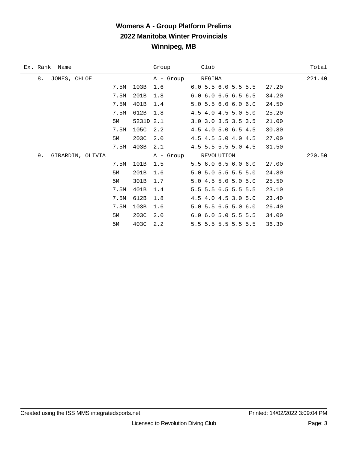### **Womens A - Group Platform Prelims 2022 Manitoba Winter Provincials Winnipeg, MB**

| 8.<br>JONES, CHLOE<br>REGINA<br>A - Group<br>103B<br>6.0 5.5 6.0 5.5 5.5<br>7.5M<br>1.6<br>27.20<br>7.5M<br>201B<br>$6.0$ $6.0$ $6.5$ $6.5$ $6.5$<br>34.20<br>1.8<br>401B<br>$5.0$ 5.5 6.0 6.0 6.0<br>7.5M<br>1.4<br>24.50<br>612B<br>4.5 4.0 4.5 5.0 5.0<br>7.5M<br>1.8<br>25.20<br>5231D 2.1<br>3.0 3.0 3.5 3.5 3.5<br>21.00<br>5М | Total  |  |
|--------------------------------------------------------------------------------------------------------------------------------------------------------------------------------------------------------------------------------------------------------------------------------------------------------------------------------------|--------|--|
|                                                                                                                                                                                                                                                                                                                                      | 221.40 |  |
|                                                                                                                                                                                                                                                                                                                                      |        |  |
|                                                                                                                                                                                                                                                                                                                                      |        |  |
|                                                                                                                                                                                                                                                                                                                                      |        |  |
|                                                                                                                                                                                                                                                                                                                                      |        |  |
|                                                                                                                                                                                                                                                                                                                                      |        |  |
| 105C<br>2.2<br>4.5 4.0 5.0 6.5 4.5<br>30.80<br>7.5M                                                                                                                                                                                                                                                                                  |        |  |
| 203C<br>2.0<br>4.5 4.5 5.0 4.0 4.5<br>27.00<br>5М                                                                                                                                                                                                                                                                                    |        |  |
| 403B<br>4.5 5.5 5.5 5.0 4.5<br>7.5M<br>2.1<br>31.50                                                                                                                                                                                                                                                                                  |        |  |
| 9.<br>GIRARDIN, OLIVIA<br>A - Group REVOLUTION                                                                                                                                                                                                                                                                                       | 220.50 |  |
| 7.5M<br>101B<br>$5.5$ 6.0 6.5 6.0 6.0<br>27.00<br>1.5                                                                                                                                                                                                                                                                                |        |  |
| 5.0 5.0 5.5 5.5 5.0<br>201B<br>1.6<br>24.80<br>5М                                                                                                                                                                                                                                                                                    |        |  |
| 301B<br>5.0 4.5 5.0 5.0 5.0<br>25.50<br>1.7<br>5М                                                                                                                                                                                                                                                                                    |        |  |
| 5.5 5.5 6.5 5.5 5.5<br>7.5M<br>401B<br>23.10<br>1.4                                                                                                                                                                                                                                                                                  |        |  |
| 612B<br>7.5M<br>1.8<br>4.5 4.0 4.5 3.0 5.0<br>23.40                                                                                                                                                                                                                                                                                  |        |  |
| 103B<br>7.5M<br>$5.0$ 5.5 6.5 5.0 6.0<br>26.40<br>1.6                                                                                                                                                                                                                                                                                |        |  |
| 203C<br>2.0<br>6.0 6.0 5.0 5.5 5.5<br>5M<br>34.00                                                                                                                                                                                                                                                                                    |        |  |
| 403C<br>2.2<br>5M<br>5.5 5.5 5.5 5.5 5.5<br>36.30                                                                                                                                                                                                                                                                                    |        |  |

 $\overline{\phantom{0}}$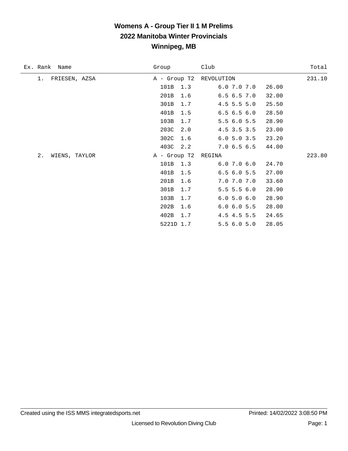### **Womens A - Group Tier II 1 M Prelims 2022 Manitoba Winter Provincials Winnipeg, MB**

| Ex. Rank Name       | Group        | Club                   | Total  |
|---------------------|--------------|------------------------|--------|
| FRIESEN, AZSA<br>1. | A - Group T2 | REVOLUTION             | 231.10 |
|                     | 101B<br>1.3  | 6.07.07.0<br>26.00     |        |
|                     | 201B<br>1.6  | 6.56.57.0<br>32.00     |        |
|                     | 301B<br>1.7  | $4.5$ 5.5 5.0<br>25.50 |        |
|                     | 401B<br>1.5  | 6.56.56.0<br>28.50     |        |
|                     | 103B<br>1.7  | 5.56.05.5<br>28.90     |        |
|                     | 203C<br>2.0  | 4.5 3.5 3.5<br>23.00   |        |
|                     | 302C<br>1.6  | 6.05.03.5<br>23.20     |        |
|                     | 403C<br>2.2  | 7.06.56.5<br>44.00     |        |
| 2.<br>WIENS, TAYLOR | A - Group T2 | REGINA                 | 223.80 |
|                     | 101B<br>1.3  | 6.07.06.0<br>24.70     |        |
|                     | 401B<br>1.5  | 6.56.05.5<br>27.00     |        |
|                     | 201B<br>1.6  | 7.0 7.0 7.0<br>33.60   |        |
|                     | 301B<br>1.7  | $5.5$ 5.5 6.0<br>28.90 |        |
|                     | 103B<br>1.7  | 6.05.06.0<br>28.90     |        |
|                     | 202B<br>1.6  | 6.0 6.0 5.5<br>28.00   |        |
|                     | 402B<br>1.7  | 4.5 4.5 5.5<br>24.65   |        |
|                     | 5221D 1.7    | 5.56.05.0<br>28.05     |        |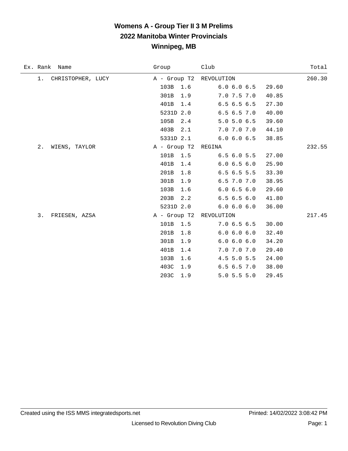#### **Womens A - Group Tier II 3 M Prelims 2022 Manitoba Winter Provincials Winnipeg, MB**

| Ex. Rank Name              | Group                   | Club          | Total  |
|----------------------------|-------------------------|---------------|--------|
| CHRISTOPHER, LUCY<br>$1$ . | A - Group T2 REVOLUTION |               | 260.30 |
|                            | 103B<br>1.6             | 6.06.06.5     | 29.60  |
|                            | 301B<br>1.9             | 7.0 7.5 7.0   | 40.85  |
|                            | 401B<br>1.4             | 6.56.56.5     | 27.30  |
|                            | 5231D 2.0               | 6.56.57.0     | 40.00  |
|                            | 105B<br>2.4             | $5.0$ 5.0 6.5 | 39.60  |
|                            | 403B<br>2.1             | 7.0 7.0 7.0   | 44.10  |
|                            | 5331D 2.1               | 6.0 6.0 6.5   | 38.85  |
| WIENS, TAYLOR<br>2.        | A - Group T2            | REGINA        | 232.55 |
|                            | 101B<br>1.5             | 6.56.05.5     | 27.00  |
|                            | 401B<br>1.4             | 6.06.56.0     | 25.90  |
|                            | 201B<br>1.8             | 6.56.55.5     | 33.30  |
|                            | 301B<br>1.9             | 6.5 7.0 7.0   | 38.95  |
|                            | 103B<br>1.6             | 6.06.56.0     | 29.60  |
|                            | 203B<br>2.2             | 6.56.56.0     | 41.80  |
|                            | 5231D 2.0               | 6.0 6.0 6.0   | 36.00  |
| 3.<br>FRIESEN, AZSA        | A - Group T2            | REVOLUTION    | 217.45 |
|                            | 101B<br>1.5             | 7.06.56.5     | 30.00  |
|                            | 201B<br>1.8             | 6.0 6.0 6.0   | 32.40  |
|                            | 301B<br>1.9             | 6.0 6.0 6.0   | 34.20  |
|                            | 401B<br>1.4             | 7.0 7.0 7.0   | 29.40  |
|                            | 103B<br>1.6             | 4.5 5.0 5.5   | 24.00  |
|                            | 403C<br>1.9             | 6.56.57.0     | 38.00  |
|                            | 203C<br>1.9             | $5.0$ 5.5 5.0 | 29.45  |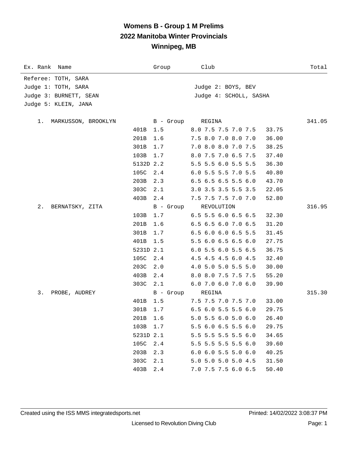# **Womens B - Group 1 M Prelims 2022 Manitoba Winter Provincials Winnipeg, MB**

| Ex. Rank Name            |           | Group     | Club                          | Total  |
|--------------------------|-----------|-----------|-------------------------------|--------|
| Referee: TOTH, SARA      |           |           |                               |        |
| Judge 1: TOTH, SARA      |           |           | Judge 2: BOYS, BEV            |        |
| Judge 3: BURNETT, SEAN   |           |           | Judge 4: SCHOLL, SASHA        |        |
| Judge 5: KLEIN, JANA     |           |           |                               |        |
|                          |           |           |                               |        |
| 1. MARKUSSON, BROOKLYN   |           | B - Group | REGINA                        | 341.05 |
|                          | 401B      | 1.5       | 8.0 7.5 7.5 7.0 7.5           | 33.75  |
|                          | 201B      | 1.6       | 7.5 8.0 7.0 8.0 7.0           | 36.00  |
|                          | 301B      | 1.7       | 7.0 8.0 8.0 7.0 7.5           | 38.25  |
|                          | 103B      | 1.7       | 8.0 7.5 7.0 6.5 7.5           | 37.40  |
|                          | 5132D 2.2 |           | 5.5 5.5 6.0 5.5 5.5           | 36.30  |
|                          | 105C      | 2.4       | 6.0 5.5 5.5 7.0 5.5           | 40.80  |
|                          | 203B      | 2.3       | $6.5$ 6.5 6.5 5.5 6.0         | 43.70  |
|                          | 303C      | 2.1       | 3.0 3.5 3.5 5.5 3.5           | 22.05  |
|                          | 403B      | 2.4       | 7.5 7.5 7.5 7.0 7.0           | 52.80  |
| $2$ .<br>BERNATSKY, ZITA |           | B - Group | REVOLUTION                    | 316.95 |
|                          | 103B      | 1.7       | 6.5 5.5 6.0 6.5 6.5           | 32.30  |
|                          | 201B      | 1.6       | 6.5 6.5 6.0 7.0 6.5           | 31.20  |
|                          | 301B      | 1.7       | 6.5 6.0 6.0 6.5 5.5           | 31.45  |
|                          | 401B      | 1.5       | 5.5 6.0 6.5 6.5 6.0           | 27.75  |
|                          | 5231D 2.1 |           | 6.0 5.5 6.0 5.5 6.5           | 36.75  |
|                          | 105C      | 2.4       | 4.5 4.5 4.5 6.0 4.5           | 32.40  |
|                          | 203C      | 2.0       | 4.0 5.0 5.0 5.5 5.0           | 30.00  |
|                          | 403B      | 2.4       | 8.0 8.0 7.5 7.5 7.5           | 55.20  |
|                          | 303C      | 2.1       | 6.0 7.0 6.0 7.0 6.0           | 39.90  |
| PROBE, AUDREY<br>3.      |           | B - Group | REGINA                        | 315.30 |
|                          | 401B      | 1.5       | 7.5 7.5 7.0 7.5 7.0           | 33.00  |
|                          | 301B      | 1.7       | 6.5 6.0 5.5 5.5 6.0           | 29.75  |
|                          | 201B 1.6  |           | 5.0 5.5 6.0 5.0 6.0           | 26.40  |
|                          | 103B      | 1.7       | 5.5 6.0 6.5 5.5 6.0           | 29.75  |
|                          | 5231D 2.1 |           | 5.5 5.5 5.5 5.5 6.0           | 34.65  |
|                          | 105C      | 2.4       | 5.5 5.5 5.5 5.5 6.0           | 39.60  |
|                          | 203B      | 2.3       | $6.0$ $6.0$ $5.5$ $5.0$ $6.0$ | 40.25  |
|                          | 303C      | 2.1       | 5.0 5.0 5.0 5.0 4.5           | 31.50  |
|                          | 403B      | 2.4       | 7.0 7.5 7.5 6.0 6.5           | 50.40  |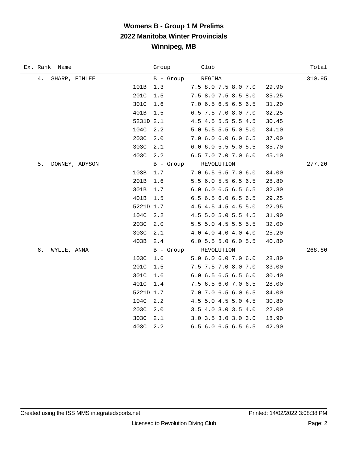# **Womens B - Group 1 M Prelims 2022 Manitoba Winter Provincials Winnipeg, MB**

| Ex. Rank Name        | Group         | Club                 | Total  |
|----------------------|---------------|----------------------|--------|
| 4.<br>SHARP, FINLEE  | B - Group     | REGINA               | 310.95 |
|                      | 101B<br>1.3   | 7.5 8.0 7.5 8.0 7.0  | 29.90  |
|                      | 201C<br>1.5   | 7.5 8.0 7.5 8.5 8.0  | 35.25  |
|                      | 301C<br>1.6   | 7.0 6.5 6.5 6.5 6.5  | 31.20  |
|                      | 401B<br>1.5   | 6.5 7.5 7.0 8.0 7.0  | 32.25  |
|                      | 5231D 2.1     | 4.5 4.5 5.5 5.5 4.5  | 30.45  |
|                      | 104C<br>2.2   | 5.0 5.5 5.5 5.0 5.0  | 34.10  |
|                      | 203C<br>2.0   | 7.0 6.0 6.0 6.0 6.5  | 37.00  |
|                      | 303C<br>2.1   | 6.0 6.0 5.5 5.0 5.5  | 35.70  |
|                      | 403C<br>2.2   | 6.5 7.0 7.0 7.0 6.0  | 45.10  |
| 5.<br>DOWNEY, ADYSON |               | B - Group REVOLUTION | 277.20 |
|                      | 103B<br>$1.7$ | 7.0 6.5 6.5 7.0 6.0  | 34.00  |
|                      | 201B<br>1.6   | 5.5 6.0 5.5 6.5 6.5  | 28.80  |
|                      | 301B<br>1.7   | 6.0 6.0 6.5 6.5 6.5  | 32.30  |
|                      | 401B<br>1.5   | 6.5 6.5 6.0 6.5 6.5  | 29.25  |
|                      | 5221D 1.7     | 4.5 4.5 4.5 4.5 5.0  | 22.95  |
|                      | 104C<br>2.2   | 4.5 5.0 5.0 5.5 4.5  | 31.90  |
|                      | 203C<br>2.0   | 5.5 5.0 4.5 5.5 5.5  | 32.00  |
|                      | 303C<br>2.1   | 4.0 4.0 4.0 4.0 4.0  | 25.20  |
|                      | 403B<br>2.4   | 6.0 5.5 5.0 6.0 5.5  | 40.80  |
| б.<br>WYLIE, ANNA    |               | B - Group REVOLUTION | 268.80 |
|                      | 103C<br>1.6   | 5.0 6.0 6.0 7.0 6.0  | 28.80  |
|                      | 201C<br>1.5   | 7.5 7.5 7.0 8.0 7.0  | 33.00  |
|                      | 301C<br>1.6   | 6.0 6.5 6.5 6.5 6.0  | 30.40  |
|                      | 401C<br>$1.4$ | 7.5 6.5 6.0 7.0 6.5  | 28.00  |
|                      | 5221D 1.7     | 7.0 7.0 6.5 6.0 6.5  | 34.00  |
|                      | 104C<br>2.2   | 4.5 5.0 4.5 5.0 4.5  | 30.80  |
|                      | 203C<br>2.0   | 3.5 4.0 3.0 3.5 4.0  | 22.00  |
|                      | 303C<br>2.1   | 3.0 3.5 3.0 3.0 3.0  | 18.90  |
|                      | 403C<br>2.2   | 6.5 6.0 6.5 6.5 6.5  | 42.90  |

÷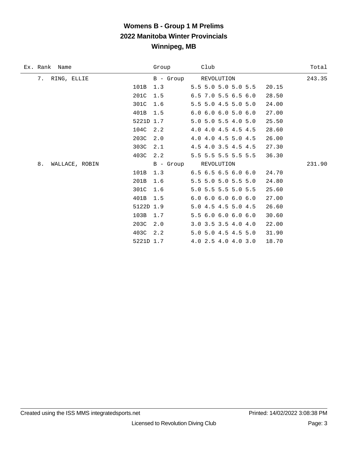# **Womens B - Group 1 M Prelims 2022 Manitoba Winter Provincials Winnipeg, MB**

| Group | Club                                | Total                             |
|-------|-------------------------------------|-----------------------------------|
|       |                                     | 243.35                            |
| 1.3   | 5.5 5.0 5.0 5.0 5.5                 | 20.15                             |
| 1.5   | 6.5 7.0 5.5 6.5 6.0                 | 28.50                             |
| 1.6   | 5.5 5.0 4.5 5.0 5.0                 | 24.00                             |
| 1.5   | $6.0$ $6.0$ $6.0$ $5.0$ $6.0$       | 27.00                             |
|       | 5.0 5.0 5.5 4.0 5.0                 | 25.50                             |
| 2.2   | 4.0 4.0 4.5 4.5 4.5                 | 28.60                             |
| 2.0   | 4.0 4.0 4.5 5.0 4.5                 | 26.00                             |
| 2.1   | 4.5 4.0 3.5 4.5 4.5                 | 27.30                             |
| 2.2   | 5.5 5.5 5.5 5.5 5.5                 | 36.30                             |
|       | REVOLUTION                          | 231.90                            |
| 1.3   | $6.5$ $6.5$ $6.5$ $6.0$ $6.0$       | 24.70                             |
| 1.6   | 5.5 5.0 5.0 5.5 5.0                 | 24.80                             |
| 1.6   | 5.0 5.5 5.5 5.0 5.5                 | 25.60                             |
| 1.5   | 6.06.06.06.06.0                     | 27.00                             |
|       | 5.0 4.5 4.5 5.0 4.5                 | 26.60                             |
| 1.7   | 5.5 6.0 6.0 6.0 6.0                 | 30.60                             |
| 2.0   | 3.0 3.5 3.5 4.0 4.0                 | 22.00                             |
| 2.2   | 5.0 5.0 4.5 4.5 5.0                 | 31.90                             |
|       | 4.0 2.5 4.0 4.0 3.0                 | 18.70                             |
|       | 5221D 1.7<br>5122D 1.9<br>5221D 1.7 | B - Group REVOLUTION<br>B - Group |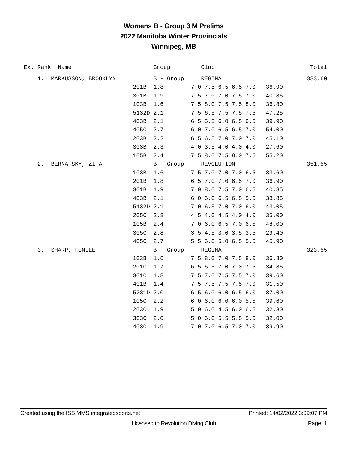# **Womens B - Group 3 M Prelims 2022 Manitoba Winter Provincials Winnipeg, MB**

|       | Ex. Rank Name       |           | Group            | Club                 | Total  |
|-------|---------------------|-----------|------------------|----------------------|--------|
| $1$ . | MARKUSSON, BROOKLYN |           | B - Group        | REGINA               | 383.60 |
|       |                     | 201B      | 1.8              | 7.0 7.5 6.5 6.5 7.0  | 36.90  |
|       |                     | 301B      | 1.9              | 7.5 7.0 7.0 7.5 7.0  | 40.85  |
|       |                     | 103B      | 1.6              | 7.5 8.0 7.5 7.5 8.0  | 36.80  |
|       |                     | 5132D 2.1 |                  | 7.5 6.5 7.5 7.5 7.5  | 47.25  |
|       |                     | 403B      | 2.1              | 6.5 5.5 6.0 6.5 6.5  | 39.90  |
|       |                     | 405C      | 2.7              | 6.0 7.0 6.5 6.5 7.0  | 54.00  |
|       |                     | 203B      | 2.2              | 6.5 6.5 7.0 7.0 7.0  | 45.10  |
|       |                     | 303B      | 2.3              | 4.0 3.5 4.0 4.0 4.0  | 27.60  |
|       |                     | 105B      | 2.4              | 7.5 8.0 7.5 8.0 7.5  | 55.20  |
| 2.    | BERNATSKY, ZITA     |           |                  | B - Group REVOLUTION | 351.55 |
|       |                     | 103B      | 1.6              | 7.5 7.0 7.0 7.0 6.5  | 33.60  |
|       |                     | 201B      | 1.8              | 6.5 7.0 7.0 6.5 7.0  | 36.90  |
|       |                     | 301B      | 1.9              | 7.0 8.0 7.5 7.0 6.5  | 40.85  |
|       |                     | 403B      | 2.1              | 6.0 6.0 6.5 6.5 5.5  | 38.85  |
|       |                     | 5132D 2.1 |                  | 7.0 6.5 7.0 7.0 6.0  | 43.05  |
|       |                     | 205C      | 2.8              | 4.5 4.0 4.5 4.0 4.0  | 35.00  |
|       |                     | 105B      | 2.4              | 7.0 6.0 6.5 7.0 6.5  | 48.00  |
|       |                     | 305C      | 2.8              | 3.5 4.5 3.0 3.5 3.5  | 29.40  |
|       |                     | 405C      | 2.7              | 5.5 6.0 5.0 6.5 5.5  | 45.90  |
| 3.    | SHARP, FINLEE       |           | B - Group REGINA |                      | 323.55 |
|       |                     | 103B      | 1.6              | 7.5 8.0 7.0 7.5 8.0  | 36.80  |
|       |                     | 201C      | 1.7              | 6.5 6.5 7.0 7.0 7.5  | 34.85  |
|       |                     | 301C      | 1.8              | 7.5 7.0 7.5 7.5 7.0  | 39.60  |
|       |                     | 401B      | 1.4              | 7.5 7.5 7.5 7.5 7.0  | 31.50  |
|       |                     | 5231D 2.0 |                  | 6.5 6.0 6.0 6.5 6.0  | 37.00  |
|       |                     | 105C      | 2.2              | 6.0 6.0 6.0 6.0 5.5  | 39.60  |
|       |                     | 203C      | 1.9              | 5.0 6.0 4.5 6.0 6.5  | 32.30  |
|       |                     | 303C      | 2.0              | 5.0 6.0 5.5 5.5 5.0  | 32.00  |
|       |                     | 403C      | 1.9              | 7.0 7.0 6.5 7.0 7.0  | 39.90  |

÷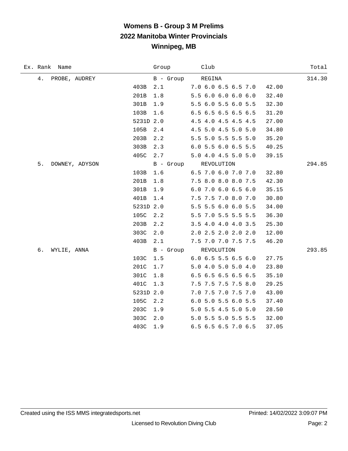# **Womens B - Group 3 M Prelims 2022 Manitoba Winter Provincials Winnipeg, MB**

| Ex. Rank Name        |           | Group     | Club                  | Total  |
|----------------------|-----------|-----------|-----------------------|--------|
| 4.<br>PROBE, AUDREY  |           | B - Group | REGINA                | 314.30 |
|                      | 403B      | 2.1       | 7.0 6.0 6.5 6.5 7.0   | 42.00  |
|                      | 201B      | 1.8       | 5.5 6.0 6.0 6.0 6.0   | 32.40  |
|                      | 301B      | 1.9       | 5.5 6.0 5.5 6.0 5.5   | 32.30  |
|                      | 103B      | 1.6       | 6.5 6.5 6.5 6.5 6.5   | 31.20  |
|                      | 5231D 2.0 |           | 4.5 4.0 4.5 4.5 4.5   | 27.00  |
|                      | 105B      | $2.4\,$   | 4.5 5.0 4.5 5.0 5.0   | 34.80  |
|                      | 203B      | 2.2       | 5.5 5.0 5.5 5.5 5.0   | 35.20  |
|                      | 303B      | 2.3       | 6.0 5.5 6.0 6.5 5.5   | 40.25  |
|                      | 405C      | 2.7       | 5.0 4.0 4.5 5.0 5.0   | 39.15  |
| 5.<br>DOWNEY, ADYSON |           |           | B - Group REVOLUTION  | 294.85 |
|                      | 103B      | 1.6       | 6.5 7.0 6.0 7.0 7.0   | 32.80  |
|                      | 201B      | 1.8       | 7.5 8.0 8.0 8.0 7.5   | 42.30  |
|                      | 301B      | 1.9       | 6.0 7.0 6.0 6.5 6.0   | 35.15  |
|                      | 401B      | 1.4       | 7.5 7.5 7.0 8.0 7.0   | 30.80  |
|                      | 5231D 2.0 |           | 5.5 5.5 6.0 6.0 5.5   | 34.00  |
|                      | 105C      | 2.2       | 5.5 7.0 5.5 5.5 5.5   | 36.30  |
|                      | 203B      | 2.2       | 3.5 4.0 4.0 4.0 3.5   | 25.30  |
|                      | 303C      | 2.0       | 2.0 2.5 2.0 2.0 2.0   | 12.00  |
|                      | 403B      | 2.1       | 7.5 7.0 7.0 7.5 7.5   | 46.20  |
| б.<br>WYLIE, ANNA    |           |           | B - Group REVOLUTION  | 293.85 |
|                      | 103C      | 1.5       | $6.0$ 6.5 5.5 6.5 6.0 | 27.75  |
|                      | 201C      | 1.7       | 5.0 4.0 5.0 5.0 4.0   | 23.80  |
|                      | 301C      | 1.8       | 6.5 6.5 6.5 6.5 6.5   | 35.10  |
|                      | 401C      | 1.3       | 7.5 7.5 7.5 7.5 8.0   | 29.25  |
|                      | 5231D 2.0 |           | 7.0 7.5 7.0 7.5 7.0   | 43.00  |
|                      | 105C      | 2.2       | 6.0 5.0 5.5 6.0 5.5   | 37.40  |
|                      | 203C      | 1.9       | 5.0 5.5 4.5 5.0 5.0   | 28.50  |
|                      | 303C      | 2.0       | 5.0 5.5 5.0 5.5 5.5   | 32.00  |
|                      | 403C      | 1.9       | 6.5 6.5 6.5 7.0 6.5   | 37.05  |

÷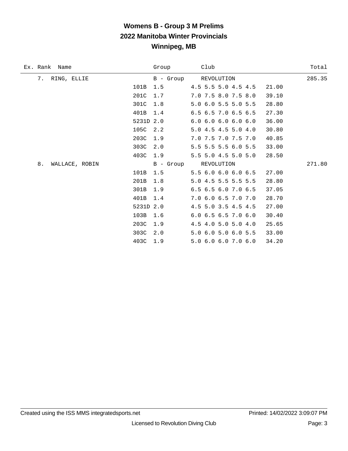# **Womens B - Group 3 M Prelims 2022 Manitoba Winter Provincials Winnipeg, MB**

| Ex. Rank Name           |           | Group     | Club                 | Total  |
|-------------------------|-----------|-----------|----------------------|--------|
| 7.<br>RING, ELLIE       |           |           | B - Group REVOLUTION | 285.35 |
|                         | 101B      | 1.5       | 4.5 5.5 5.0 4.5 4.5  | 21.00  |
|                         | 201C      | 1.7       | 7.0 7.5 8.0 7.5 8.0  | 39.10  |
|                         | 301C      | 1.8       | 5.0 6.0 5.5 5.0 5.5  | 28.80  |
|                         | 401B      | 1.4       | 6.5 6.5 7.0 6.5 6.5  | 27.30  |
|                         | 5231D 2.0 |           | 6.06.06.06.06.0      | 36.00  |
|                         | 105C      | 2.2       | 5.0 4.5 4.5 5.0 4.0  | 30.80  |
|                         | 203C      | 1.9       | 7.0 7.5 7.0 7.5 7.0  | 40.85  |
|                         | 303C      | 2.0       | 5.5 5.5 5.5 6.0 5.5  | 33.00  |
|                         | 403C      | 1.9       | 5.5 5.0 4.5 5.0 5.0  | 28.50  |
| $8$ .<br>WALLACE, ROBIN |           | B - Group | REVOLUTION           | 271.80 |
|                         | 101B      | 1.5       | 5.5 6.0 6.0 6.0 6.5  | 27.00  |
|                         | 201B      | 1.8       | 5.0 4.5 5.5 5.5 5.5  | 28.80  |
|                         | 301B      | 1.9       | 6.5 6.5 6.0 7.0 6.5  | 37.05  |
|                         | 401B      | 1.4       | 7.0 6.0 6.5 7.0 7.0  | 28.70  |
|                         | 5231D     | 2.0       | 4.5 5.0 3.5 4.5 4.5  | 27.00  |
|                         | 103B      | 1.6       | 6.0 6.5 6.5 7.0 6.0  | 30.40  |
|                         | 203C      | 1.9       | 4.5 4.0 5.0 5.0 4.0  | 25.65  |
|                         | 303C      | 2.0       | 5.0 6.0 5.0 6.0 5.5  | 33.00  |
|                         | 403C      | 1.9       | 5.0 6.0 6.0 7.0 6.0  | 34.20  |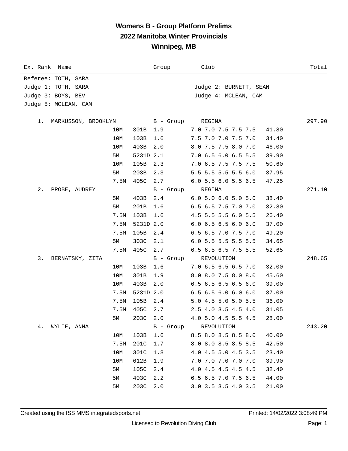#### **Womens B - Group Platform Prelims 2022 Manitoba Winter Provincials Winnipeg, MB**

| Ex. Rank<br>Name            |      |           | Group     | Club                                   | Total  |
|-----------------------------|------|-----------|-----------|----------------------------------------|--------|
| Referee: TOTH, SARA         |      |           |           |                                        |        |
| Judge 1: TOTH, SARA         |      |           |           | Judge 2: BURNETT, SEAN                 |        |
| Judge 3: BOYS, BEV          |      |           |           | Judge 4: MCLEAN, CAM                   |        |
| Judge 5: MCLEAN, CAM        |      |           |           |                                        |        |
|                             |      |           |           |                                        |        |
| MARKUSSON, BROOKLYN<br>1. . |      |           | B - Group | REGINA                                 | 297.90 |
|                             | 10M  | 301B      | 1.9       | 7.0 7.0 7.5 7.5 7.5<br>41.80           |        |
|                             | 10M  | 103B      | 1.6       | 7.5 7.0 7.0 7.5 7.0<br>34.40           |        |
|                             | 10M  | 403B      | 2.0       | 8.0 7.5 7.5 8.0 7.0<br>46.00           |        |
|                             | 5М   | 5231D 2.1 |           | 7.0 6.5 6.0 6.5 5.5<br>39.90           |        |
|                             | 10M  | 105B      | 2.3       | 7.0 6.5 7.5 7.5 7.5<br>50.60           |        |
|                             | 5М   | 203B      | 2.3       | 5.5 5.5 5.5 5.5 6.0<br>37.95           |        |
|                             | 7.5M | 405C      | 2.7       | 6.0 5.5 6.0 5.5 6.5<br>47.25           |        |
| 2.<br>PROBE, AUDREY         |      |           | B - Group | REGINA                                 | 271.10 |
|                             | 5M   | 403B      | 2.4       | 6.05.06.05.05.0<br>38.40               |        |
|                             | 5М   | 201B      | 1.6       | 6.5 6.5 7.5 7.0 7.0<br>32.80           |        |
|                             | 7.5M | 103B      | 1.6       | 4.5 5.5 5.5 6.0 5.5<br>26.40           |        |
|                             | 7.5M | 5231D 2.0 |           | 6.06.56.56.06.0<br>37.00               |        |
|                             | 7.5M | 105B      | 2.4       | 6.5 6.5 7.0 7.5 7.0<br>49.20           |        |
|                             | 5M   | 303C      | 2.1       | 6.0 5.5 5.5 5.5 5.5<br>34.65           |        |
|                             | 7.5M | 405C      | 2.7       | 6.5 6.5 6.5 7.5 5.5<br>52.65           |        |
| 3.<br>BERNATSKY, ZITA       |      |           | B - Group | REVOLUTION                             | 248.65 |
|                             | 10M  | 103B      | 1.6       | 7.0 6.5 6.5 6.5 7.0<br>32.00           |        |
|                             | 10M  | 301B      | 1.9       | 8.0 8.0 7.5 8.0 8.0<br>45.60           |        |
|                             | 10M  | 403B      | 2.0       | 6.5 6.5 6.5 6.5 6.0<br>39.00           |        |
|                             | 7.5M | 5231D 2.0 |           | $6.5$ $6.5$ $6.0$ $6.0$ $6.0$<br>37.00 |        |
|                             | 7.5M | 105B      | 2.4       | 5.0 4.5 5.0 5.0 5.5<br>36.00           |        |
|                             | 7.5M | 405C      | 2.7       | 2.5 4.0 3.5 4.5 4.0<br>31.05           |        |
|                             | 5M   | 203C 2.0  |           | 4.0 5.0 4.5 5.5 4.5<br>28.00           |        |
| 4.<br>WYLIE, ANNA           |      |           |           | B - Group REVOLUTION                   | 243.20 |
|                             | 10M  | 103B      | 1.6       | 8.5 8.0 8.5 8.5 8.0<br>40.00           |        |
|                             | 7.5M | 201C      | 1.7       | 8.0 8.0 8.5 8.5 8.5<br>42.50           |        |
|                             | 10M  | 301C      | 1.8       | 4.0 4.5 5.0 4.5 3.5<br>23.40           |        |
|                             | 10M  | 612B      | 1.9       | 7.0 7.0 7.0 7.0 7.0<br>39.90           |        |
|                             | 5M   | 105C      | 2.4       | 4.0 4.5 4.5 4.5 4.5<br>32.40           |        |
|                             | 5M   | 403C      | 2.2       | 6.5 6.5 7.0 7.5 6.5<br>44.00           |        |
|                             | 5M   | 203C      | 2.0       | 3.0 3.5 3.5 4.0 3.5<br>21.00           |        |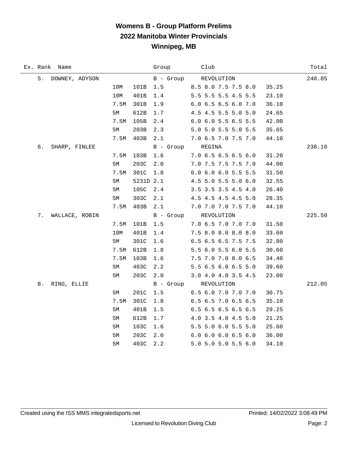### **Womens B - Group Platform Prelims 2022 Manitoba Winter Provincials Winnipeg, MB**

|    | Ex. Rank Name  |      |           | Group            | Club                         | Total  |
|----|----------------|------|-----------|------------------|------------------------------|--------|
| 5. | DOWNEY, ADYSON |      |           | B - Group        | REVOLUTION                   | 240.85 |
|    |                | 10M  | 101B      | $1.5$            | 8.5 8.0 7.5 7.5 8.0<br>35.25 |        |
|    |                | 10M  | 401B      | 1.4              | 5.5 5.5 5.5 4.5 5.5<br>23.10 |        |
|    |                | 7.5M | 301B      | 1.9              | 6.0 6.5 6.5 6.0 7.0<br>36.10 |        |
|    |                | 5M   | 612B      | 1.7              | 4.5 4.5 5.5 5.0 5.0<br>24.65 |        |
|    |                | 7.5M | 105B      | 2.4              | 6.0 6.0 5.5 6.5 5.5<br>42.00 |        |
|    |                | 5M   | 203B      | 2.3              | 5.0 5.0 5.5 5.0 5.5<br>35.65 |        |
|    |                | 7.5M | 403B      | 2.1              | 7.0 6.5 7.0 7.5 7.0<br>44.10 |        |
| б. | SHARP, FINLEE  |      |           | B - Group REGINA |                              | 238.10 |
|    |                | 7.5M | 103B      | 1.6              | 7.0 6.5 6.5 6.5 6.0<br>31.20 |        |
|    |                | 5M   | 203C      | 2.0              | 7.0 7.5 7.5 7.5 7.0<br>44.00 |        |
|    |                | 7.5M | 301C      | $1.8$            | 6.0 6.0 6.0 5.5 5.5<br>31.50 |        |
|    |                | 5M   | 5231D 2.1 |                  | 4.5 5.0 5.5 5.0 6.0<br>32.55 |        |
|    |                | 5M   | 105C      | 2.4              | 3.5 3.5 3.5 4.5 4.0<br>26.40 |        |
|    |                | 5M   | 303C      | 2.1              | 4.5 4.5 4.5 4.5 5.0<br>28.35 |        |
|    |                | 7.5M | 403B      | 2.1              | 7.0 7.0 7.0 7.5 7.0<br>44.10 |        |
| 7. | WALLACE, ROBIN |      |           |                  | B - Group REVOLUTION         | 225.50 |
|    |                | 7.5M | 101B      | $1.5$            | 7.0 6.5 7.0 7.0 7.0<br>31.50 |        |
|    |                | 10M  | 401B      | 1.4              | 7.5 8.0 8.0 8.0 8.0<br>33.60 |        |
|    |                | 5М   | 301C      | 1.6              | 6.5 6.5 6.5 7.5 7.5<br>32.80 |        |
|    |                | 7.5M | 612B      | 1.8              | 5.5 6.0 5.5 6.0 5.5<br>30.60 |        |
|    |                | 7.5M | 103B      | 1.6              | 7.5 7.0 7.0 8.0 6.5<br>34.40 |        |
|    |                | 5M   | 403C      | 2.2              | 5.5 6.5 6.0 6.5 5.0<br>39.60 |        |
|    |                | 5M   | 203C      | 2.0              | 3.0 4.0 4.0 3.5 4.5<br>23.00 |        |
| 8. | RING, ELLIE    |      |           |                  | B - Group REVOLUTION         | 212.05 |
|    |                | 5М   | 201C      | 1.5              | 6.5 6.0 7.0 7.0 7.0<br>30.75 |        |
|    |                | 7.5M | 301C      | 1.8              | 6.5 6.5 7.0 6.5 6.5<br>35.10 |        |
|    |                | 5M   | 401B      | $1.5\,$          | 6.5 6.5 6.5 6.5 6.5<br>29.25 |        |
|    |                | 5M   | 612B      | 1.7              | 4.0 3.5 4.0 4.5 5.0<br>21.25 |        |
|    |                | 5M   | 103C      | 1.6              | 5.5 5.0 6.0 5.5 5.0<br>25.60 |        |
|    |                | 5M   | 203C      | 2.0              | 6.06.06.06.56.0<br>36.00     |        |
|    |                | 5M   | 403C      | 2.2              | 5.0 5.0 5.0 5.5 6.0<br>34.10 |        |

÷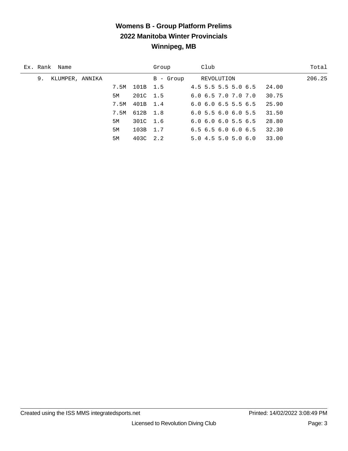# **Womens B - Group Platform Prelims 2022 Manitoba Winter Provincials Winnipeg, MB**

| Ex. Rank Name         |      |          | Group     | Club                                   | Total  |
|-----------------------|------|----------|-----------|----------------------------------------|--------|
| KLUMPER, ANNIKA<br>9. |      |          | B - Group | REVOLUTION                             | 206.25 |
|                       | 7.5M | 101B 1.5 |           | $4.5$ 5.5 5.5 5.0 6.5<br>24.00         |        |
|                       | 5M   | 201C 1.5 |           | 30.75<br>6.06.57.07.07.0               |        |
|                       | 7.5M | 401B 1.4 |           | 25.90<br>$6.0$ $6.0$ $6.5$ $5.5$ $6.5$ |        |
|                       | 7.5M | 612B 1.8 |           | 6.05.56.06.05.5<br>31.50               |        |
|                       | 5M   | 301C 1.6 |           | 28.80<br>6.06.06.05.56.5               |        |
|                       | 5M   | 103B 1.7 |           | 32.30<br>6.56.56.06.06.5               |        |
|                       | 5M   | 403C 2.2 |           | 33.00<br>5.04.55.05.06.0               |        |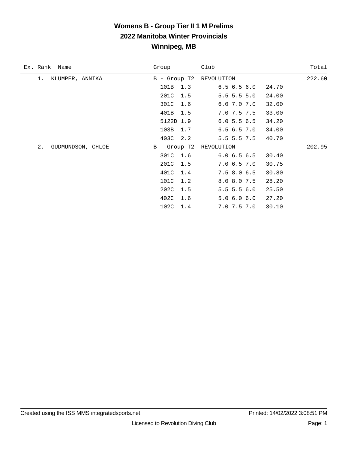### **Womens B - Group Tier II 1 M Prelims 2022 Manitoba Winter Provincials Winnipeg, MB**

| Ex. Rank<br>Name        | Group          | Club              | Total  |
|-------------------------|----------------|-------------------|--------|
| KLUMPER, ANNIKA<br>1.   | $B -$ Group T2 | REVOLUTION        | 222.60 |
|                         | 101B<br>1.3    | 6.56.56.0         | 24.70  |
|                         | 201C<br>1.5    | $5.5$ 5.5 5.0     | 24.00  |
|                         | 301C<br>1.6    | $6.0$ $7.0$ $7.0$ | 32.00  |
|                         | 401B<br>1.5    | 7.0 7.5 7.5       | 33.00  |
|                         | 5122D 1.9      | 6.05.56.5         | 34.20  |
|                         | 103B 1.7       | 6.56.57.0         | 34.00  |
|                         | 403C<br>2.2    | $5.5$ 5.5 7.5     | 40.70  |
| 2.<br>GUDMUNDSON, CHLOE | B - Group T2   | REVOLUTION        | 202.95 |
|                         | 301C 1.6       | 6.06.56.5         | 30.40  |
|                         | 201C<br>1.5    | 7.06.57.0         | 30.75  |
|                         | 401C<br>1.4    | 7.58.06.5         | 30.80  |
|                         | 101C<br>1.2    | 8.0 8.0 7.5       | 28.20  |
|                         | 202C<br>1.5    | $5.5$ 5.5 6.0     | 25.50  |
|                         | 402C<br>1.6    | 5.06.06.0         | 27.20  |
|                         | 102C<br>1.4    | 7.0 7.5 7.0       | 30.10  |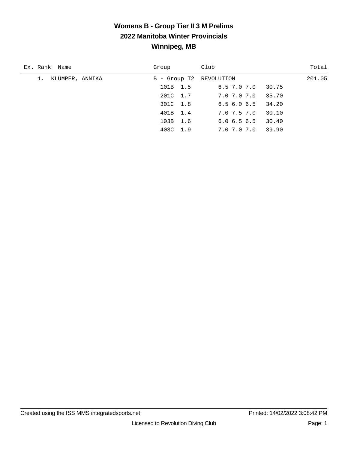## **Womens B - Group Tier II 3 M Prelims 2022 Manitoba Winter Provincials Winnipeg, MB**

| Ex. Rank Name         | Group                   | Club        | Total  |
|-----------------------|-------------------------|-------------|--------|
| KLUMPER, ANNIKA<br>1. | B - Group T2 REVOLUTION |             | 201.05 |
|                       | 101B 1.5                | 6.5 7.0 7.0 | 30.75  |
|                       | 201C 1.7                | 7.0 7.0 7.0 | 35.70  |
|                       | 301C 1.8                | 6.56.06.5   | 34.20  |
|                       | 401B 1.4                | 7.0 7.5 7.0 | 30.10  |
|                       | 103B 1.6                | 6.06.56.5   | 30.40  |
|                       | 403C 1.9                | 7.0 7.0 7.0 | 39.90  |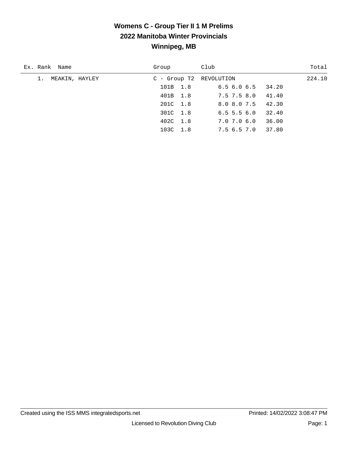### **Womens C - Group Tier II 1 M Prelims 2022 Manitoba Winter Provincials Winnipeg, MB**

| Ex. Rank Name        | Group                   | Club                      | Total  |
|----------------------|-------------------------|---------------------------|--------|
| MEAKIN, HAYLEY<br>1. | C - Group T2 REVOLUTION |                           | 224.10 |
|                      | 101B 1.8                | $6.5$ $6.0$ $6.5$ $34.20$ |        |
|                      | 401B 1.8                | 7.5 7.5 8.0 41.40         |        |
|                      | 201C 1.8                | 42.30<br>8.0 8.0 7.5      |        |
|                      | 301C 1.8                | 32.40<br>$6.5\,5.5\,6.0$  |        |
|                      | 402C 1.8                | 36.00<br>7.0 7.0 6.0      |        |
|                      | 103C 1.8                | 37.80<br>7.5 6.5 7.0      |        |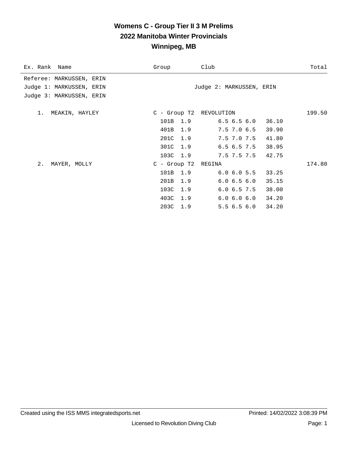#### **Womens C - Group Tier II 3 M Prelims 2022 Manitoba Winter Provincials Winnipeg, MB**

| Ex. Rank Name                                                                    | Group                                                                               | Club                                                                                                                             | Total  |
|----------------------------------------------------------------------------------|-------------------------------------------------------------------------------------|----------------------------------------------------------------------------------------------------------------------------------|--------|
| Referee: MARKUSSEN, ERIN<br>Judge 1: MARKUSSEN, ERIN<br>Judge 3: MARKUSSEN, ERIN |                                                                                     | Judge 2: MARKUSSEN, ERIN                                                                                                         |        |
| 1. MEAKIN, HAYLEY                                                                | C - Group T2 REVOLUTION<br>101B 1.9<br>401B 1.9<br>201C 1.9<br>301C 1.9<br>103C 1.9 | $6.5$ $6.5$ $6.0$ $36.10$<br>$7.5$ $7.0$ $6.5$ $39.90$<br>7.5 7.0 7.5<br>41.80<br>$6.5$ $6.5$ $7.5$ $38.95$<br>7.5 7.5 7.5 42.75 | 199.50 |
| 2.<br>MAYER, MOLLY                                                               | C - Group T2 REGINA<br>101B 1.9<br>201B<br>1.9<br>103C 1.9<br>403C 1.9<br>203C 1.9  | 6.0 6.0 5.5 33.25<br>6.06.56.0<br>35.15<br>$6.0$ $6.5$ $7.5$ $38.00$<br>6.0 6.0 6.0 34.20<br>$5.5$ 6.5 6.0 34.20                 | 174.80 |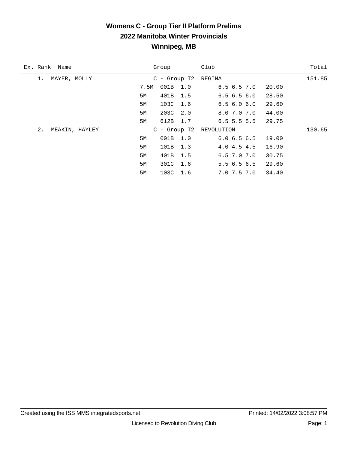## **Womens C - Group Tier II Platform Prelims 2022 Manitoba Winter Provincials Winnipeg, MB**

| Ex. Rank Name        |      | Group          | Club                    | Total  |
|----------------------|------|----------------|-------------------------|--------|
| MAYER, MOLLY<br>1.   |      | $C -$ Group T2 | REGINA                  | 151.85 |
|                      | 7.5M | 001B<br>1.0    | 6.56.57.0               | 20.00  |
|                      | 5М   | 401B<br>1.5    | 6.56.56.0               | 28.50  |
|                      | 5M   | 103C 1.6       | 6.56.06.0               | 29.60  |
|                      | 5M   | 203C 2.0       | 8.0 7.0 7.0             | 44.00  |
|                      | 5M   | 612B<br>1.7    | $6.5$ 5.5 5.5           | 29.75  |
| 2.<br>MEAKIN, HAYLEY |      |                | C - Group T2 REVOLUTION | 130.65 |
|                      | 5M   | 001B 1.0       | 6.06.56.5               | 19.00  |
|                      | 5M   | 101B<br>1.3    | 4.04.54.5               | 16.90  |
|                      | 5M   | 401B<br>1.5    | $6.5$ $7.0$ $7.0$       | 30.75  |
|                      | 5М   | 301C<br>1.6    | 5.56.56.5               | 29.60  |
|                      | 5M   | 103C 1.6       | 7.0 7.5 7.0             | 34.40  |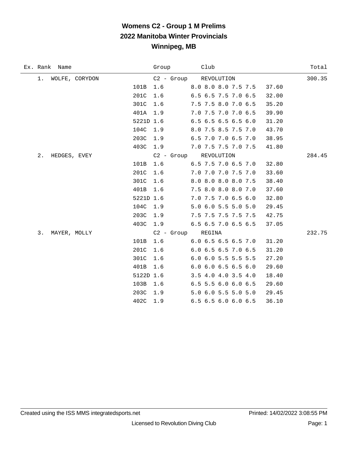# **Womens C2 - Group 1 M Prelims 2022 Manitoba Winter Provincials Winnipeg, MB**

| Ex. Rank Name         | Group Club        |                                        | Total  |
|-----------------------|-------------------|----------------------------------------|--------|
| 1. WOLFE, CORYDON     |                   | C2 - Group REVOLUTION                  | 300.35 |
| 101B                  | 1.6               | 8.0 8.0 8.0 7.5 7.5<br>37.60           |        |
| 201C                  | 1.6               | 6.5 6.5 7.5 7.0 6.5<br>32.00           |        |
| 301C 1.6              |                   | 7.5 7.5 8.0 7.0 6.5<br>35.20           |        |
| 401A 1.9              |                   | 7.0 7.5 7.0 7.0 6.5<br>39.90           |        |
| 5221D 1.6             |                   | 6.5 6.5 6.5 6.5 6.0<br>31.20           |        |
| 104C 1.9              |                   | 8.0 7.5 8.5 7.5 7.0<br>43.70           |        |
| 203C 1.9              |                   | 6.5 7.0 7.0 6.5 7.0<br>38.95           |        |
| 403C 1.9              |                   | 7.0 7.5 7.5 7.0 7.5<br>41.80           |        |
| $2$ .<br>HEDGES, EVEY |                   | C2 - Group REVOLUTION                  | 284.45 |
| 101B                  | 1.6               | 6.5 7.5 7.0 6.5 7.0<br>32.80           |        |
| 201C                  | 1.6               | 7.0 7.0 7.0 7.5 7.0<br>33.60           |        |
| 301C                  | 1.6               | 8.0 8.0 8.0 8.0 7.5<br>38.40           |        |
| 401B                  | 1.6               | 7.5 8.0 8.0 8.0 7.0<br>37.60           |        |
| 5221D 1.6             |                   | 7.0 7.5 7.0 6.5 6.0<br>32.80           |        |
| 104C 1.9              |                   | 5.0 6.0 5.5 5.0 5.0<br>29.45           |        |
| 203C 1.9              |                   | 7.5 7.5 7.5 7.5 7.5<br>42.75           |        |
| 403C                  | 1.9               | 6.5 6.5 7.0 6.5 6.5<br>37.05           |        |
| 3.<br>MAYER, MOLLY    | C2 - Group REGINA |                                        | 232.75 |
| 101B                  | 1.6               | 6.0 6.5 6.5 6.5 7.0<br>31.20           |        |
| 201C                  | 1.6               | 6.0 6.5 6.5 7.0 6.5<br>31.20           |        |
| 301C                  | 1.6               | 6.0 6.0 5.5 5.5 5.5<br>27.20           |        |
| 401B                  | 1.6               | $6.0$ $6.0$ $6.5$ $6.5$ $6.0$<br>29.60 |        |
| 5122D 1.6             |                   | 3.5 4.0 4.0 3.5 4.0<br>18.40           |        |
| 103B                  | 1.6               | 6.5 5.5 6.0 6.0 6.5<br>29.60           |        |
| 203C                  | 1.9               | 5.0 6.0 5.5 5.0 5.0<br>29.45           |        |
| 402C                  | 1.9               | 6.5 6.5 6.0 6.0 6.5<br>36.10           |        |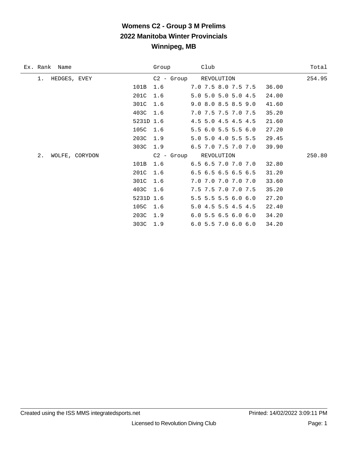# **Womens C2 - Group 3 M Prelims 2022 Manitoba Winter Provincials Winnipeg, MB**

| Ex. Rank Name        |           | Group | Club                                   | Total  |
|----------------------|-----------|-------|----------------------------------------|--------|
| HEDGES, EVEY<br>1.   |           |       | C2 - Group REVOLUTION                  | 254.95 |
|                      | 101B      | 1.6   | 7.0 7.5 8.0 7.5 7.5<br>36.00           |        |
|                      | 201C      | 1.6   | 5.0 5.0 5.0 5.0 4.5<br>24.00           |        |
|                      | 301C      | 1.6   | 9.0 8.0 8.5 8.5 9.0<br>41.60           |        |
|                      | 403C      | 1.6   | 7.0 7.5 7.5 7.0 7.5<br>35.20           |        |
|                      | 5231D 1.6 |       | 4.5 5.0 4.5 4.5 4.5<br>21.60           |        |
|                      | 105C 1.6  |       | 5.5 6.0 5.5 5.5 6.0<br>27.20           |        |
|                      | 203C 1.9  |       | 5.0 5.0 4.0 5.5 5.5<br>29.45           |        |
|                      | 303C      | 1.9   | 6.5 7.0 7.5 7.0 7.0<br>39.90           |        |
| 2.<br>WOLFE, CORYDON |           |       | C2 - Group REVOLUTION                  | 250.80 |
|                      | 101B      | 1.6   | 6.5 6.5 7.0 7.0 7.0<br>32.80           |        |
|                      | 201C      | 1.6   | $6.5$ $6.5$ $6.5$ $6.5$ $6.5$<br>31.20 |        |
|                      | 301C 1.6  |       | 7.0 7.0 7.0 7.0 7.0<br>33.60           |        |
|                      | 403C 1.6  |       | 7.5 7.5 7.0 7.0 7.5<br>35.20           |        |
|                      | 5231D 1.6 |       | 5.5 5.5 5.5 6.0 6.0<br>27.20           |        |
|                      | 105C      | 1.6   | 22.40<br>5.04.55.54.54.5               |        |
|                      | 203C      | 1.9   | 6.0 5.5 6.5 6.0 6.0<br>34.20           |        |
|                      | 303C      | 1.9   | 6.05.57.06.06.0<br>34.20               |        |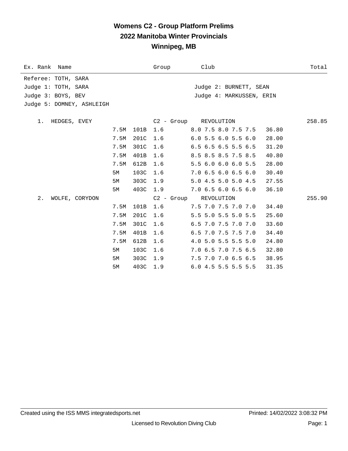#### **Womens C2 - Group Platform Prelims 2022 Manitoba Winter Provincials Winnipeg, MB**

| Ex. Rank Name             | Group       | Club                               | Total  |
|---------------------------|-------------|------------------------------------|--------|
| Referee: TOTH, SARA       |             |                                    |        |
| Judge 1: TOTH, SARA       |             | Judge 2: BURNETT, SEAN             |        |
| Judge 3: BOYS, BEV        |             | Judge 4: MARKUSSEN, ERIN           |        |
| Judge 5: DOMNEY, ASHLEIGH |             |                                    |        |
|                           |             |                                    |        |
| 1. HEDGES, EVEY           |             | C2 - Group REVOLUTION              | 258.85 |
| 7.5M                      | 101B<br>1.6 | 8.0 7.5 8.0 7.5 7.5<br>36.80       |        |
| 7.5M                      | 201C<br>1.6 | $6.0$ 5.5 $6.0$ 5.5 $6.0$<br>28.00 |        |
| 7.5M                      | 301C<br>1.6 | 6.5 6.5 6.5 5.5 6.5<br>31.20       |        |
| 7.5M                      | 401B<br>1.6 | 8.5 8.5 8.5 7.5 8.5<br>40.80       |        |
| 7.5M                      | 612B<br>1.6 | 5.5 6.0 6.0 6.0 5.5<br>28.00       |        |
| 5M                        | 103C<br>1.6 | 7.0 6.5 6.0 6.5 6.0<br>30.40       |        |
| 5М                        | 303C<br>1.9 | 5.0 4.5 5.0 5.0 4.5<br>27.55       |        |
| 5М                        | 403C<br>1.9 | 7.0 6.5 6.0 6.5 6.0<br>36.10       |        |
| 2.<br>WOLFE, CORYDON      | C2 - Group  | REVOLUTION                         | 255.90 |
| 7.5M                      | 101B<br>1.6 | 7.5 7.0 7.5 7.0 7.0<br>34.40       |        |
| 7.5M                      | 201C<br>1.6 | 5.5 5.0 5.5 5.0 5.5<br>25.60       |        |
| 7.5M                      | 301C<br>1.6 | 6.5 7.0 7.5 7.0 7.0<br>33.60       |        |
| 7.5M                      | 401B<br>1.6 | 6.5 7.0 7.5 7.5 7.0<br>34.40       |        |
| 7.5M                      | 612B<br>1.6 | 4.0 5.0 5.5 5.5 5.0<br>24.80       |        |
| 5M                        | 103C<br>1.6 | 7.0 6.5 7.0 7.5 6.5<br>32.80       |        |
| 5M                        | 303C<br>1.9 | 7.5 7.0 7.0 6.5 6.5<br>38.95       |        |
| 5M                        | 403C<br>1.9 | 6.0 4.5 5.5 5.5 5.5<br>31.35       |        |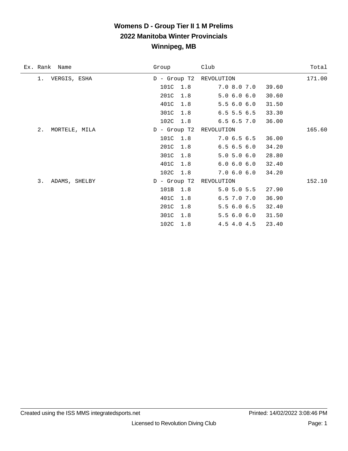### **Womens D - Group Tier II 1 M Prelims 2022 Manitoba Winter Provincials Winnipeg, MB**

| Ex. Rank Name       | Group          | Club            | Total  |
|---------------------|----------------|-----------------|--------|
| 1. VERGIS, ESHA     | $D -$ Group T2 | REVOLUTION      | 171.00 |
|                     | 101C<br>1.8    | 7.0 8.0 7.0     | 39.60  |
|                     | 201C<br>1.8    | 5.06.06.0       | 30.60  |
|                     | 401C<br>1.8    | 5.56.06.0       | 31.50  |
|                     | 301C<br>1.8    | $6.5$ 5.5 $6.5$ | 33.30  |
|                     | 102C<br>1.8    | 6.56.57.0       | 36.00  |
| 2.<br>MORTELE, MILA | $D -$ Group T2 | REVOLUTION      | 165.60 |
|                     | 101C<br>1.8    | 7.06.56.5       | 36.00  |
|                     | 201C<br>1.8    | 6.56.56.0       | 34.20  |
|                     | 301C<br>1.8    | 5.0 5.0 6.0     | 28.80  |
|                     | 401C<br>1.8    | 6.0 6.0 6.0     | 32.40  |
|                     | 102C 1.8       | 7.06.06.0       | 34.20  |
| 3.<br>ADAMS, SHELBY | D - Group T2   | REVOLUTION      | 152.10 |
|                     | 101B<br>1.8    | $5.0$ 5.0 5.5   | 27.90  |
|                     | 401C<br>1.8    | 6.5 7.0 7.0     | 36.90  |
|                     | 201C<br>1.8    | 5.56.06.5       | 32.40  |
|                     | 301C<br>1.8    | 5.56.06.0       | 31.50  |
|                     | 102C<br>1.8    | 4.5 4.0 4.5     | 23.40  |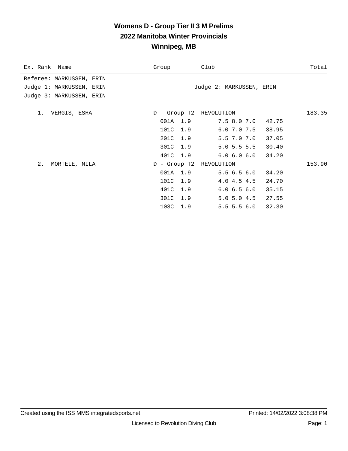#### **Womens D - Group Tier II 3 M Prelims 2022 Manitoba Winter Provincials Winnipeg, MB**

| Ex. Rank Name            | Group                   | Club                     | Total  |
|--------------------------|-------------------------|--------------------------|--------|
| Referee: MARKUSSEN, ERIN |                         |                          |        |
| Judge 1: MARKUSSEN, ERIN |                         | Judge 2: MARKUSSEN, ERIN |        |
| Judge 3: MARKUSSEN, ERIN |                         |                          |        |
| 1. VERGIS, ESHA          | D - Group T2 REVOLUTION |                          | 183.35 |
|                          | 001A 1.9                | 7.5 8.0 7.0 42.75        |        |
|                          | 101C 1.9                | $6.0$ 7.0 7.5 38.95      |        |
|                          | 201C 1.9                | 5.5 7.0 7.0<br>37.05     |        |
|                          | 301C 1.9                | 5.0 5.5 5.5 30.40        |        |
|                          | 401C 1.9                | 6.0 6.0 6.0 34.20        |        |
| 2.<br>MORTELE, MILA      | D - Group T2 REVOLUTION |                          | 153.90 |
|                          | 001A 1.9                | 5.56.56.0<br>34.20       |        |
|                          | 101C 1.9                | 4.0 4.5 4.5 24.70        |        |
|                          | 401C 1.9                | 6.0 6.5 6.0 35.15        |        |
|                          | 301C 1.9                | 5.0 5.0 4.5 27.55        |        |
|                          | 103C 1.9                | $5.5$ 5.5 6.0<br>32.30   |        |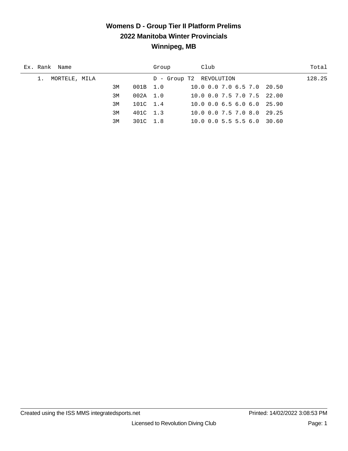### **Womens D - Group Tier II Platform Prelims 2022 Manitoba Winter Provincials Winnipeg, MB**

| Ex. Rank Name       |    |          | Group                   | Club                                    | Total  |
|---------------------|----|----------|-------------------------|-----------------------------------------|--------|
| MORTELE, MILA<br>1. |    |          | D - Group T2 REVOLUTION |                                         | 128.25 |
|                     | 3M | 001B 1.0 |                         | 10.0 0.0 7.0 6.5 7.0 20.50              |        |
|                     | 3M | 002A 1.0 |                         | 10.0 0.0 7.5 7.0 7.5 22.00              |        |
|                     | 3M | 101C 1.4 |                         | $10.0$ 0.0 6.5 6.0 6.0 25.90            |        |
|                     | 3M | 401C 1.3 |                         | $10.0 \t0.0 \t7.5 \t7.0 \t8.0$<br>29.25 |        |
|                     | 3M | 301C 1.8 |                         | $10.0$ 0.0 5.5 5.5 6.0 30.60            |        |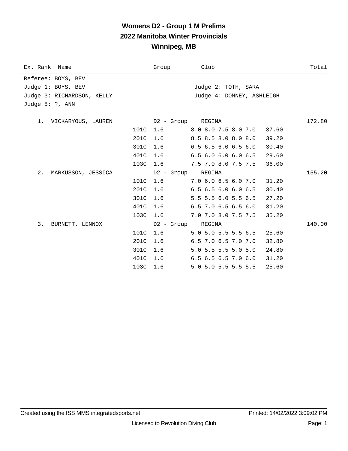# **Womens D2 - Group 1 M Prelims 2022 Manitoba Winter Provincials Winnipeg, MB**

| Ex. Rank Name              | Group    | Club                          | Total  |
|----------------------------|----------|-------------------------------|--------|
| Referee: BOYS, BEV         |          |                               |        |
| Judge 1: BOYS, BEV         |          | Judge 2: TOTH, SARA           |        |
| Judge 3: RICHARDSON, KELLY |          | Judge 4: DOMNEY, ASHLEIGH     |        |
| Judge $5: ?$ , ANN         |          |                               |        |
| 1. VICKARYOUS, LAUREN      |          | D2 - Group REGINA             | 172.80 |
|                            | 101C 1.6 | $8.0$ $8.0$ $7.5$ $8.0$ $7.0$ | 37.60  |
| 201C                       | 1.6      | 8.5 8.5 8.0 8.0 8.0           | 39.20  |
| 301C                       | 1.6      | $6.5$ $6.5$ $6.0$ $6.5$ $6.0$ | 30.40  |
| 401C                       | 1.6      | $6.5$ $6.0$ $6.0$ $6.0$ $6.5$ | 29.60  |
| 103C                       | 1.6      | 7.5 7.0 8.0 7.5 7.5           | 36.00  |
| 2. MARKUSSON, JESSICA      |          | D2 - Group REGINA             | 155.20 |
|                            | 101C 1.6 | $7.0\,6.0\,6.5\,6.0\,7.0$     | 31.20  |
|                            | 201C 1.6 | 6.5 6.5 6.0 6.0 6.5           | 30.40  |
| 301C                       | 1.6      | 5.5 5.5 6.0 5.5 6.5           | 27.20  |
| 401C                       | 1.6      | 6.5 7.0 6.5 6.5 6.0           | 31.20  |
|                            | 103C 1.6 | 7.0 7.0 8.0 7.5 7.5           | 35.20  |
| 3. BURNETT, LENNOX         |          | D2 - Group REGINA             | 140.00 |
| 101C                       | 1.6      | 5.0 5.0 5.5 5.5 6.5           | 25.60  |
| 201C                       | 1.6      | 6.5 7.0 6.5 7.0 7.0           | 32.80  |
| 301C                       | 1.6      | 5.0 5.5 5.5 5.0 5.0           | 24.80  |
| 401C                       | 1.6      | $6.5$ $6.5$ $6.5$ $7.0$ $6.0$ | 31.20  |
|                            | 103C 1.6 | 5.0 5.0 5.5 5.5 5.5           | 25.60  |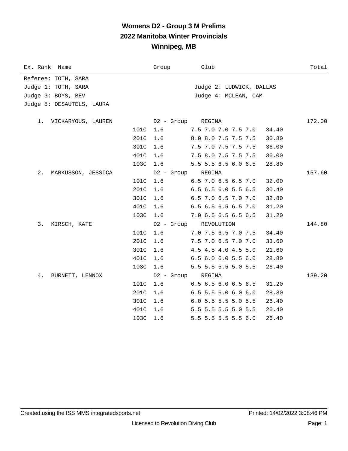# **Womens D2 - Group 3 M Prelims 2022 Manitoba Winter Provincials Winnipeg, MB**

| Ex. Rank Name               | Group      | Club                          | Total  |
|-----------------------------|------------|-------------------------------|--------|
| Referee: TOTH, SARA         |            |                               |        |
| Judge 1: TOTH, SARA         |            | Judge 2: LUDWICK, DALLAS      |        |
| Judge 3: BOYS, BEV          |            | Judge 4: MCLEAN, CAM          |        |
| Judge 5: DESAUTELS, LAURA   |            |                               |        |
|                             |            |                               |        |
| 1. VICKARYOUS, LAUREN       | D2 - Group | REGINA                        | 172.00 |
| 101C                        | 1.6        | 7.5 7.0 7.0 7.5 7.0           | 34.40  |
| 201C                        | 1.6        | 8.0 8.0 7.5 7.5 7.5           | 36.80  |
| 301C                        | 1.6        | 7.5 7.0 7.5 7.5 7.5           | 36.00  |
| 401C                        | 1.6        | 7.5 8.0 7.5 7.5 7.5           | 36.00  |
| 103C                        | 1.6        | 5.5 5.5 6.5 6.0 6.5           | 28.80  |
| $2$ .<br>MARKUSSON, JESSICA | D2 - Group | REGINA                        | 157.60 |
| 101C                        | 1.6        | 6.5 7.0 6.5 6.5 7.0           | 32.00  |
| 201C                        | 1.6        | 6.5 6.5 6.0 5.5 6.5           | 30.40  |
| 301C                        | 1.6        | 6.5 7.0 6.5 7.0 7.0           | 32.80  |
| 401C                        | 1.6        | 6.5 6.5 6.5 6.5 7.0           | 31.20  |
| 103C                        | 1.6        | 7.0 6.5 6.5 6.5 6.5           | 31.20  |
| 3.<br>KIRSCH, KATE          | D2 - Group | REVOLUTION                    | 144.80 |
| 101C                        | 1.6        | 7.0 7.5 6.5 7.0 7.5           | 34.40  |
| 201C                        | 1.6        | 7.5 7.0 6.5 7.0 7.0           | 33.60  |
| 301C                        | 1.6        | 4.5 4.5 4.0 4.5 5.0           | 21.60  |
| 401C                        | 1.6        | $6.5$ $6.0$ $6.0$ $5.5$ $6.0$ | 28.80  |
| 103C                        | 1.6        | 5.5 5.5 5.5 5.0 5.5           | 26.40  |
| 4.<br>BURNETT, LENNOX       | D2 - Group | REGINA                        | 139.20 |
| 101C                        | 1.6        | 6.5 6.5 6.0 6.5 6.5           | 31.20  |
| 201C                        | 1.6        | $6.5$ 5.5 6.0 6.0 6.0         | 28.80  |
| 301C                        | 1.6        | 6.0 5.5 5.5 5.0 5.5           | 26.40  |
| 401C                        | 1.6        | 5.5 5.5 5.5 5.0 5.5           | 26.40  |
| 103C                        | 1.6        | 5.5 5.5 5.5 5.5 6.0           | 26.40  |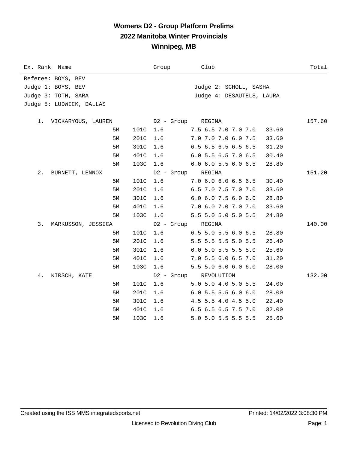#### **Womens D2 - Group Platform Prelims 2022 Manitoba Winter Provincials Winnipeg, MB**

| Ex. Rank Name            | Group             | Club                           | Total  |
|--------------------------|-------------------|--------------------------------|--------|
| Referee: BOYS, BEV       |                   |                                |        |
| Judge 1: BOYS, BEV       |                   | Judge 2: SCHOLL, SASHA         |        |
| Judge 3: TOTH, SARA      |                   | Judge 4: DESAUTELS, LAURA      |        |
| Judge 5: LUDWICK, DALLAS |                   |                                |        |
|                          |                   |                                |        |
| 1. VICKARYOUS, LAUREN    | D2 - Group REGINA |                                | 157.60 |
| 101C<br>5М               | 1.6               | 7.5 6.5 7.0 7.0 7.0<br>33.60   |        |
| 201C<br>5М               | 1.6               | 7.0 7.0 7.0 6.0 7.5<br>33.60   |        |
| 301C<br>5М               | 1.6               | 6.5 6.5 6.5 6.5 6.5<br>31.20   |        |
| 401C<br>5M               | 1.6               | 6.0 5.5 6.5 7.0 6.5<br>30.40   |        |
| 103C<br>5М               | 1.6               | 6.0 6.0 5.5 6.0 6.5<br>28.80   |        |
| 2.<br>BURNETT, LENNOX    | D2 - Group        | REGINA                         | 151.20 |
| 5M<br>101C               | 1.6               | 7.0 6.0 6.0 6.5 6.5<br>30.40   |        |
| 201C<br>5M               | 1.6               | 6.5 7.0 7.5 7.0 7.0<br>33.60   |        |
| 301C<br>5М               | 1.6               | 6.0 6.0 7.5 6.0 6.0<br>28.80   |        |
| 401C<br>5М               | 1.6               | 7.0 6.0 7.0 7.0 7.0<br>33.60   |        |
| 103C<br>5М               | 1.6               | 5.5 5.0 5.0 5.0 5.5<br>24.80   |        |
| 3.<br>MARKUSSON, JESSICA | D2 - Group        | REGINA                         | 140.00 |
| 101C<br>5М               | 1.6               | 6.5 5.0 5.5 6.0 6.5<br>28.80   |        |
| 201C<br>5M               | 1.6               | 5.5 5.5 5.5 5.0 5.5<br>26.40   |        |
| 301C<br>5М               | 1.6               | 6.0 5.0 5.5 5.5 5.0<br>25.60   |        |
| 401C<br>5М               | 1.6               | 7.0 5.5 6.0 6.5 7.0<br>31.20   |        |
| 103C<br>5M               | 1.6               | 5.5 5.0 6.0 6.0 6.0<br>28.00   |        |
| 4.<br>KIRSCH, KATE       | D2 - Group        | REVOLUTION                     | 132.00 |
| 101C<br>5M               | 1.6               | 5.0 5.0 4.0 5.0 5.5<br>24.00   |        |
| 201C<br>5M               | 1.6               | $6.0$ 5.5 5.5 6.0 6.0<br>28.00 |        |
| 301C<br>5M               | 1.6               | 4.5 5.5 4.0 4.5 5.0<br>22.40   |        |
| 401C<br>5М               | 1.6               | 6.5 6.5 6.5 7.5 7.0<br>32.00   |        |
| 103C<br>5M               | 1.6               | 5.0 5.0 5.5 5.5 5.5<br>25.60   |        |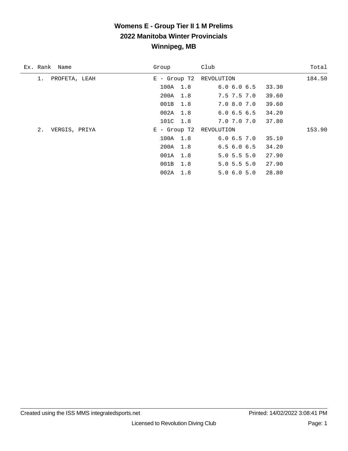### **Womens E - Group Tier II 1 M Prelims 2022 Manitoba Winter Provincials Winnipeg, MB**

| Ex. Rank Name       | Group                   | Club              | Total  |
|---------------------|-------------------------|-------------------|--------|
| PROFETA, LEAH<br>1. | $E -$ Group T2          | REVOLUTION        | 184.50 |
|                     | 100A 1.8                | 6.06.06.5         | 33.30  |
|                     | 200A 1.8                | $7.5$ $7.5$ $7.0$ | 39.60  |
|                     | 001B 1.8                | 7.0 8.0 7.0       | 39.60  |
|                     | 002A 1.8                | 6.06.56.5         | 34.20  |
|                     | 101C 1.8                | 7.0 7.0 7.0       | 37.80  |
| 2.<br>VERGIS, PRIYA | E - Group T2 REVOLUTION |                   | 153.90 |
|                     | 100A 1.8                | 6.06.57.0         | 35.10  |
|                     | 200A 1.8                | 6.56.06.5         | 34.20  |
|                     | 001A 1.8                | $5.0$ 5.5 5.0     | 27.90  |
|                     | 001B 1.8                | $5.0$ 5.5 5.0     | 27.90  |
|                     | 002A 1.8                | 5.06.05.0         | 28.80  |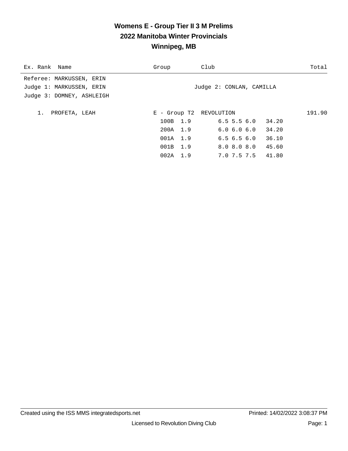#### **Womens E - Group Tier II 3 M Prelims 2022 Manitoba Winter Provincials Winnipeg, MB**

| Ex. Rank Name                                                                     | Group      | Club                     | Total  |
|-----------------------------------------------------------------------------------|------------|--------------------------|--------|
| Referee: MARKUSSEN, ERIN<br>Judge 1: MARKUSSEN, ERIN<br>Judge 3: DOMNEY, ASHLEIGH |            | Judge 2: CONLAN, CAMILLA |        |
| PROFETA, LEAH<br>1.                                                               |            | E - Group T2 REVOLUTION  | 191.90 |
|                                                                                   | 100B 1.9   | $6.5$ 5.5 6.0 34.20      |        |
|                                                                                   | 200A 1.9   | 6.06.06.0<br>34.20       |        |
|                                                                                   | 001A 1.9   | 36.10<br>6.56.56.0       |        |
|                                                                                   | 001B 1.9   | 8.0 8.0 8.0 45.60        |        |
|                                                                                   | $002A$ 1.9 | 7.0 7.5 7.5 41.80        |        |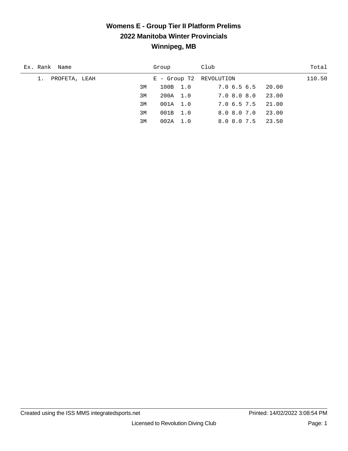### **Womens E - Group Tier II Platform Prelims 2022 Manitoba Winter Provincials Winnipeg, MB**

| Ex. Rank Name    | Group                   | Club              | Total  |
|------------------|-------------------------|-------------------|--------|
| 1. PROFETA, LEAH | E - Group T2 REVOLUTION |                   | 110.50 |
| 3M               | 100B 1.0                | 7.0 6.5 6.5 20.00 |        |
| 3M               | 200A 1.0                | 7.08.08.0         | 23.00  |
| 3M               | 001A 1.0                | 7.0 6.5 7.5 21.00 |        |
| 3M               | 001B 1.0                | 8.0 8.0 7.0       | 23.00  |
| 3M               | 002A 1.0                | 8.0 8.0 7.5       | 23.50  |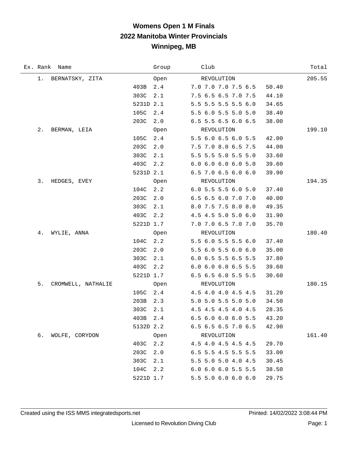# **Womens Open 1 M Finals 2022 Manitoba Winter Provincials Winnipeg, MB**

|       | Ex. Rank Name      |           | Group | Club                                   | Total  |
|-------|--------------------|-----------|-------|----------------------------------------|--------|
| 1.    | BERNATSKY, ZITA    |           | Open  | REVOLUTION                             | 205.55 |
|       |                    | 403B      | 2.4   | 7.0 7.0 7.0 7.5 6.5<br>50.40           |        |
|       |                    | 303C      | 2.1   | 7.5 6.5 6.5 7.0 7.5<br>44.10           |        |
|       |                    | 5231D 2.1 |       | 5.5 5.5 5.5 5.5 6.0<br>34.65           |        |
|       |                    | 105C      | 2.4   | 5.5 6.0 5.5 5.0 5.0<br>38.40           |        |
|       |                    | 203C      | 2.0   | 6.5 5.5 6.5 6.0 6.5<br>38.00           |        |
| $2$ . | BERMAN, LEIA       |           | Open  | REVOLUTION                             | 199.10 |
|       |                    | 105C      | 2.4   | 5.5 6.0 6.5 6.0 5.5<br>42.00           |        |
|       |                    | 203C      | 2.0   | 7.5 7.0 8.0 6.5 7.5<br>44.00           |        |
|       |                    | 303C      | 2.1   | 33.60<br>5.5 5.5 5.0 5.5 5.0           |        |
|       |                    | 403C      | 2.2   | 6.06.06.06.05.0<br>39.60               |        |
|       |                    | 5231D 2.1 |       | 6.5 7.0 6.5 6.0 6.0<br>39.90           |        |
| 3.    | HEDGES, EVEY       |           | Open  | REVOLUTION                             | 194.35 |
|       |                    | 104C      | 2.2   | 6.0 5.5 5.5 6.0 5.0<br>37.40           |        |
|       |                    | 203C      | 2.0   | 6.5 6.5 6.0 7.0 7.0<br>40.00           |        |
|       |                    | 303C      | 2.1   | 8.0 7.5 7.5 8.0 8.0<br>49.35           |        |
|       |                    | 403C      | 2.2   | 4.5 4.5 5.0 5.0 6.0<br>31.90           |        |
|       |                    | 5221D 1.7 |       | 7.0 7.0 6.5 7.0 7.0<br>35.70           |        |
| 4.    | WYLIE, ANNA        |           | Open  | REVOLUTION                             | 180.40 |
|       |                    | 104C      | 2.2   | 5.5 6.0 5.5 5.5 6.0<br>37.40           |        |
|       |                    | 203C      | 2.0   | 5.5 6.0 5.5 6.0 6.0<br>35.00           |        |
|       |                    | 303C      | 2.1   | 6.0 6.5 5.5 6.5 5.5<br>37.80           |        |
|       |                    | 403C      | 2.2   | 6.0 6.0 6.0 6.5 5.5<br>39.60           |        |
|       |                    | 5221D 1.7 |       | 6.5 6.5 6.0 5.5 5.5<br>30.60           |        |
| 5.    | CROMWELL, NATHALIE |           | Open  | REVOLUTION                             | 180.15 |
|       |                    | 105C 2.4  |       | 4.5 4.0 4.0 4.5 4.5<br>31.20           |        |
|       |                    | 203B      | 2.3   | 5.0 5.0 5.5 5.0 5.0<br>34.50           |        |
|       |                    | 303C      | 2.1   | 4.5 4.5 4.5 4.0 4.5<br>28.35           |        |
|       |                    | 403B 2.4  |       | 6.5 6.0 6.0 6.0 5.5<br>43.20           |        |
|       |                    | 5132D 2.2 |       | 6.5 6.5 6.5 7.0 6.5<br>42.90           |        |
| б.    | WOLFE, CORYDON     |           | Open  | REVOLUTION                             | 161.40 |
|       |                    | 403C 2.2  |       | 4.5 4.0 4.5 4.5 4.5<br>29.70           |        |
|       |                    | 203C      | 2.0   | 6.5 5.5 4.5 5.5 5.5<br>33.00           |        |
|       |                    | 303C      | 2.1   | 5.5 5.0 5.0 4.0 4.5<br>30.45           |        |
|       |                    | 104C      | 2.2   | $6.0$ $6.0$ $6.0$ $5.5$ $5.5$<br>38.50 |        |
|       |                    | 5221D 1.7 |       | 5.5 5.0 6.0 6.0 6.0<br>29.75           |        |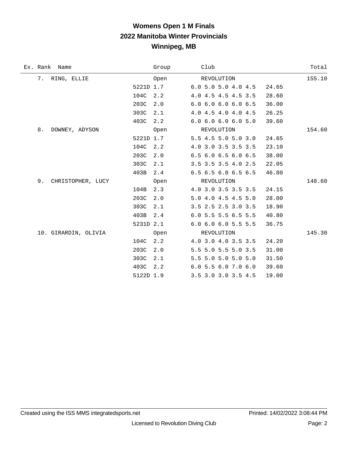# **Womens Open 1 M Finals 2022 Manitoba Winter Provincials Winnipeg, MB**

| Ex. Rank Name           |           | Group | Club                  |  |       | Total  |
|-------------------------|-----------|-------|-----------------------|--|-------|--------|
| 7.<br>RING, ELLIE       |           | Open  | REVOLUTION            |  |       | 155.10 |
|                         | 5221D 1.7 |       | $6.0$ 5.0 5.0 4.0 4.5 |  | 24.65 |        |
|                         | 104C      | 2.2   | 4.0 4.5 4.5 4.5 3.5   |  | 28.60 |        |
|                         | 203C      | 2.0   | 6.0 6.0 6.0 6.0 6.5   |  | 36.00 |        |
|                         | 303C      | 2.1   | 4.0 4.5 4.0 4.0 4.5   |  | 26.25 |        |
|                         | 403C      | 2.2   | 6.0 6.0 6.0 6.0 5.0   |  | 39.60 |        |
| 8.<br>DOWNEY, ADYSON    |           | Open  | REVOLUTION            |  |       | 154.60 |
|                         | 5221D 1.7 |       | 5.5 4.5 5.0 5.0 3.0   |  | 24.65 |        |
|                         | 104C      | 2.2   | 4.0 3.0 3.5 3.5 3.5   |  | 23.10 |        |
|                         | 203C      | 2.0   | 6.5 6.0 6.5 6.0 6.5   |  | 38.00 |        |
|                         | 303C      | 2.1   | 3.5 3.5 3.5 4.0 2.5   |  | 22.05 |        |
|                         | 403B      | 2.4   | 6.5 6.5 6.0 6.5 6.5   |  | 46.80 |        |
| 9.<br>CHRISTOPHER, LUCY |           | Open  | REVOLUTION            |  |       | 148.60 |
|                         | 104B      | 2.3   | 4.0 3.0 3.5 3.5 3.5   |  | 24.15 |        |
|                         | 203C      | 2.0   | 5.0 4.0 4.5 4.5 5.0   |  | 28.00 |        |
|                         | 303C      | 2.1   | 3.5 2.5 2.5 3.0 3.5   |  | 18.90 |        |
|                         | 403B      | 2.4   | 6.0 5.5 5.5 6.5 5.5   |  | 40.80 |        |
|                         | 5231D 2.1 |       | 6.0 6.0 6.0 5.5 5.5   |  | 36.75 |        |
| 10. GIRARDIN, OLIVIA    |           | Open  | REVOLUTION            |  |       | 145.30 |
|                         | 104C      | 2.2   | 4.0 3.0 4.0 3.5 3.5   |  | 24.20 |        |
|                         | 203C      | 2.0   | 5.5 5.0 5.5 5.0 3.5   |  | 31.00 |        |
|                         | 303C      | 2.1   | 5.5 5.0 5.0 5.0 5.0   |  | 31.50 |        |
|                         | 403C      | 2.2   | 6.0 5.5 6.0 7.0 6.0   |  | 39.60 |        |
|                         | 5122D 1.9 |       | 3.5 3.0 3.0 3.5 4.5   |  | 19.00 |        |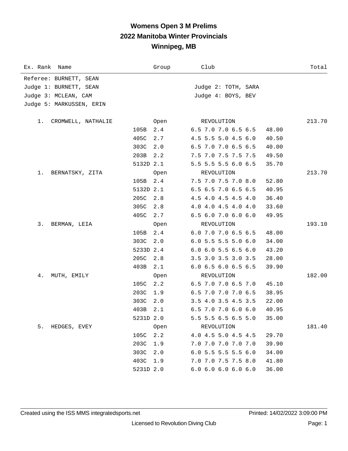# **Womens Open 3 M Prelims 2022 Manitoba Winter Provincials Winnipeg, MB**

| Ex. Rank Name            |           | Group | Club                          | Total  |
|--------------------------|-----------|-------|-------------------------------|--------|
| Referee: BURNETT, SEAN   |           |       |                               |        |
| Judge 1: BURNETT, SEAN   |           |       | Judge 2: TOTH, SARA           |        |
| Judge 3: MCLEAN, CAM     |           |       | Judge 4: BOYS, BEV            |        |
| Judge 5: MARKUSSEN, ERIN |           |       |                               |        |
|                          |           |       |                               |        |
| CROMWELL, NATHALIE<br>1. |           | Open  | REVOLUTION                    | 213.70 |
|                          | 105B      | 2.4   | 6.5 7.0 7.0 6.5 6.5           | 48.00  |
|                          | 405C      | 2.7   | 4.5 5.5 5.0 4.5 6.0           | 40.50  |
|                          | 303C      | 2.0   | 6.5 7.0 7.0 6.5 6.5           | 40.00  |
|                          | 203B      | 2.2   | 7.5 7.0 7.5 7.5 7.5           | 49.50  |
|                          | 5132D 2.1 |       | 5.5 5.5 5.5 6.0 6.5           | 35.70  |
| 1.<br>BERNATSKY, ZITA    |           | Open  | REVOLUTION                    | 213.70 |
|                          | 105B      | 2.4   | 7.5 7.0 7.5 7.0 8.0           | 52.80  |
|                          | 5132D 2.1 |       | 6.5 6.5 7.0 6.5 6.5           | 40.95  |
|                          | 205C      | 2.8   | 4.5 4.0 4.5 4.5 4.0           | 36.40  |
|                          | 305C      | 2.8   | 4.0 4.0 4.5 4.0 4.0           | 33.60  |
|                          | 405C      | 2.7   | $6.5$ $6.0$ $7.0$ $6.0$ $6.0$ | 49.95  |
| 3.<br>BERMAN, LEIA       |           | Open  | REVOLUTION                    | 193.10 |
|                          | 105B      | 2.4   | 6.0 7.0 7.0 6.5 6.5           | 48.00  |
|                          | 303C      | 2.0   | $6.0$ 5.5 5.5 5.0 6.0         | 34.00  |
|                          | 5233D 2.4 |       | $6.0$ $6.0$ $5.5$ $6.5$ $6.0$ | 43.20  |
|                          | 205C      | 2.8   | 3.5 3.0 3.5 3.0 3.5           | 28.00  |
|                          | 403B      | 2.1   | 6.0 6.5 6.0 6.5 6.5           | 39.90  |
| 4.<br>MUTH, EMILY        |           | Open  | REVOLUTION                    | 182.00 |
|                          | 105C      | 2.2   | 6.5 7.0 7.0 6.5 7.0           | 45.10  |
|                          | 203C      | 1.9   | 6.5 7.0 7.0 7.0 6.5           | 38.95  |
|                          | 303C      | 2.0   | 3.5 4.0 3.5 4.5 3.5           | 22.00  |
|                          | 403B      | 2.1   | 6.5 7.0 7.0 6.0 6.0           | 40.95  |
|                          | 5231D 2.0 |       | 5.5 5.5 6.5 6.5 5.0           | 35.00  |
| 5.<br>HEDGES, EVEY       |           | Open  | REVOLUTION                    | 181.40 |
|                          | 105C      | 2.2   | 4.0 4.5 5.0 4.5 4.5           | 29.70  |
|                          | 203C      | 1.9   | 7.0 7.0 7.0 7.0 7.0           | 39.90  |
|                          | 303C      | 2.0   | $6.0$ 5.5 5.5 5.5 6.0         | 34.00  |
|                          | 403C      | 1.9   | 7.0 7.0 7.5 7.5 8.0           | 41.80  |
|                          | 5231D 2.0 |       | 6.0 6.0 6.0 6.0 6.0           | 36.00  |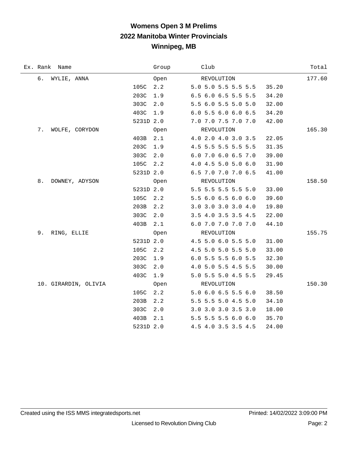# **Womens Open 3 M Prelims 2022 Manitoba Winter Provincials Winnipeg, MB**

| Ex. Rank Name        |           | Group | Club                | Total  |
|----------------------|-----------|-------|---------------------|--------|
| б.<br>WYLIE, ANNA    |           | Open  | REVOLUTION          | 177.60 |
|                      | 105C      | 2.2   | 5.0 5.0 5.5 5.5 5.5 | 35.20  |
|                      | 203C      | 1.9   | 6.5 6.0 6.5 5.5 5.5 | 34.20  |
|                      | 303C      | 2.0   | 5.5 6.0 5.5 5.0 5.0 | 32.00  |
|                      | 403C      | 1.9   | 6.0 5.5 6.0 6.0 6.5 | 34.20  |
|                      | 5231D 2.0 |       | 7.0 7.0 7.5 7.0 7.0 | 42.00  |
| 7.<br>WOLFE, CORYDON |           | 0pen  | REVOLUTION          | 165.30 |
|                      | 403B      | 2.1   | 4.0 2.0 4.0 3.0 3.5 | 22.05  |
|                      | 203C      | 1.9   | 4.5 5.5 5.5 5.5 5.5 | 31.35  |
|                      | 303C      | 2.0   | 6.0 7.0 6.0 6.5 7.0 | 39.00  |
|                      | 105C      | 2.2   | 4.0 4.5 5.0 5.0 6.0 | 31.90  |
|                      | 5231D 2.0 |       | 6.5 7.0 7.0 7.0 6.5 | 41.00  |
| 8.<br>DOWNEY, ADYSON |           | Open  | REVOLUTION          | 158.50 |
|                      | 5231D 2.0 |       | 5.5 5.5 5.5 5.5 5.0 | 33.00  |
|                      | 105C      | 2.2   | 5.5 6.0 6.5 6.0 6.0 | 39.60  |
|                      | 203B      | 2.2   | 3.0 3.0 3.0 3.0 4.0 | 19.80  |
|                      | 303C      | 2.0   | 3.5 4.0 3.5 3.5 4.5 | 22.00  |
|                      | 403B      | 2.1   | 6.0 7.0 7.0 7.0 7.0 | 44.10  |
| 9.<br>RING, ELLIE    |           | Open  | REVOLUTION          | 155.75 |
|                      | 5231D 2.0 |       | 4.5 5.0 6.0 5.5 5.0 | 31.00  |
|                      | 105C      | 2.2   | 4.5 5.0 5.0 5.5 5.0 | 33.00  |
|                      | 203C      | 1.9   | 6.0 5.5 5.5 6.0 5.5 | 32.30  |
|                      | 303C      | 2.0   | 4.0 5.0 5.5 4.5 5.5 | 30.00  |
|                      | 403C      | 1.9   | 5.0 5.5 5.0 4.5 5.5 | 29.45  |
| 10. GIRARDIN, OLIVIA |           | Open  | REVOLUTION          | 150.30 |
|                      | 105C      | 2.2   | 5.0 6.0 6.5 5.5 6.0 | 38.50  |
|                      | 203B      | 2.2   | 5.5 5.5 5.0 4.5 5.0 | 34.10  |
|                      | 303C      | 2.0   | 3.0 3.0 3.0 3.5 3.0 | 18.00  |
|                      | 403B      | 2.1   | 5.5 5.5 5.5 6.0 6.0 | 35.70  |
|                      | 5231D 2.0 |       | 4.5 4.0 3.5 3.5 4.5 | 24.00  |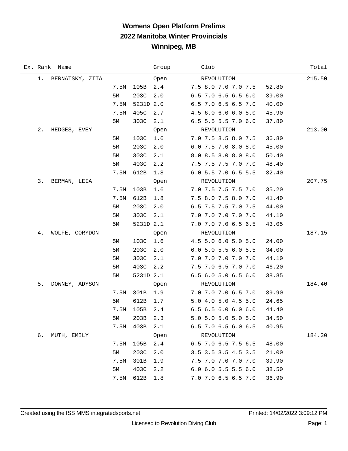# **Womens Open Platform Prelims 2022 Manitoba Winter Provincials Winnipeg, MB**

|    | Ex. Rank Name   |      |           | Group | Club                                   | Total  |
|----|-----------------|------|-----------|-------|----------------------------------------|--------|
| 1. | BERNATSKY, ZITA |      |           | Open  | REVOLUTION                             | 215.50 |
|    |                 | 7.5M | 105B      | 2.4   | 7.5 8.0 7.0 7.0 7.5<br>52.80           |        |
|    |                 | 5M   | 203C      | 2.0   | 6.5 7.0 6.5 6.5 6.0<br>39.00           |        |
|    |                 | 7.5M | 5231D 2.0 |       | 6.5 7.0 6.5 6.5 7.0<br>40.00           |        |
|    |                 | 7.5M | 405C      | 2.7   | 4.5 6.0 6.0 6.0 5.0<br>45.90           |        |
|    |                 | 5M   | 303C      | 2.1   | 6.5 5.5 5.5 7.0 6.0<br>37.80           |        |
| 2. | HEDGES, EVEY    |      |           | Open  | REVOLUTION                             | 213.00 |
|    |                 | 5M   | 103C      | 1.6   | 7.0 7.5 8.5 8.0 7.5<br>36.80           |        |
|    |                 | 5M   | 203C      | 2.0   | 6.0 7.5 7.0 8.0 8.0<br>45.00           |        |
|    |                 | 5M   | 303C      | 2.1   | 8.0 8.5 8.0 8.0 8.0<br>50.40           |        |
|    |                 | 5M   | 403C      | 2.2   | 7.5 7.5 7.5 7.0 7.0<br>48.40           |        |
|    |                 | 7.5M | 612B      | 1.8   | 6.0 5.5 7.0 6.5 5.5<br>32.40           |        |
| 3. | BERMAN, LEIA    |      |           | Open  | REVOLUTION                             | 207.75 |
|    |                 | 7.5M | 103B      | 1.6   | 7.0 7.5 7.5 7.5 7.0<br>35.20           |        |
|    |                 | 7.5M | 612B      | 1.8   | 7.5 8.0 7.5 8.0 7.0<br>41.40           |        |
|    |                 | 5M   | 203C      | 2.0   | 6.5 7.5 7.5 7.0 7.5<br>44.00           |        |
|    |                 | 5M   | 303C      | 2.1   | 7.0 7.0 7.0 7.0 7.0<br>44.10           |        |
|    |                 | 5M   | 5231D 2.1 |       | 7.0 7.0 7.0 6.5 6.5<br>43.05           |        |
| 4. | WOLFE, CORYDON  |      |           | Open  | REVOLUTION                             | 187.15 |
|    |                 | 5M   | 103C      | 1.6   | 4.5 5.0 6.0 5.0 5.0<br>24.00           |        |
|    |                 | 5M   | 203C      | 2.0   | 6.0 5.0 5.5 6.0 5.5<br>34.00           |        |
|    |                 | 5M   | 303C      | 2.1   | 7.0 7.0 7.0 7.0 7.0<br>44.10           |        |
|    |                 | 5M   | 403C      | 2.2   | 7.5 7.0 6.5 7.0 7.0<br>46.20           |        |
|    |                 | 5M   | 5231D 2.1 |       | 6.5 6.0 5.0 6.5 6.0<br>38.85           |        |
| 5. | DOWNEY, ADYSON  |      |           | Open  | REVOLUTION                             | 184.40 |
|    |                 | 7.5M | 301B      | 1.9   | 7.0 7.0 7.0 6.5 7.0<br>39.90           |        |
|    |                 | 5M   | 612B      | 1.7   | 5.0 4.0 5.0 4.5 5.0<br>24.65           |        |
|    |                 | 7.5M | 105B      | 2.4   | $6.5$ $6.5$ $6.0$ $6.0$ $6.0$<br>44.40 |        |
|    |                 | 5М   | 203B      | 2.3   | 5.0 5.0 5.0 5.0 5.0<br>34.50           |        |
|    |                 | 7.5M | 403B      | 2.1   | 6.5 7.0 6.5 6.0 6.5<br>40.95           |        |
| 6. | MUTH, EMILY     |      |           | Open  | REVOLUTION                             | 184.30 |
|    |                 | 7.5M | 105B      | 2.4   | 6.5 7.0 6.5 7.5 6.5<br>48.00           |        |
|    |                 | 5M   | 203C      | 2.0   | 3.5 3.5 3.5 4.5 3.5<br>21.00           |        |
|    |                 | 7.5M | 301B      | 1.9   | 7.5 7.0 7.0 7.0 7.0<br>39.90           |        |
|    |                 | 5M   | 403C      | 2.2   | 6.0 6.0 5.5 5.5 6.0<br>38.50           |        |
|    |                 | 7.5M | 612B      | 1.8   | 7.0 7.0 6.5 6.5 7.0<br>36.90           |        |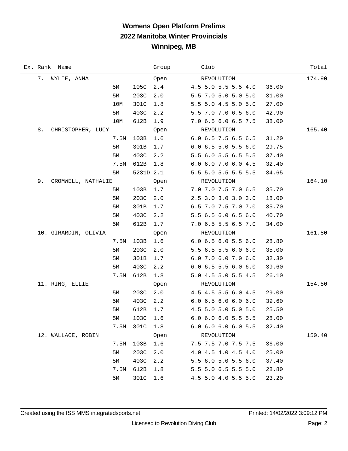## **Womens Open Platform Prelims 2022 Manitoba Winter Provincials Winnipeg, MB**

| Ex. Rank | Name                 |      |           | Group | Club                                   | Total  |
|----------|----------------------|------|-----------|-------|----------------------------------------|--------|
| 7.       | WYLIE, ANNA          |      |           | Open  | REVOLUTION                             | 174.90 |
|          |                      | 5M   | 105C      | 2.4   | 4.5 5.0 5.5 5.5 4.0<br>36.00           |        |
|          |                      | 5M   | 203C      | 2.0   | 5.5 7.0 5.0 5.0 5.0<br>31.00           |        |
|          |                      | 10M  | 301C      | 1.8   | 5.5 5.0 4.5 5.0 5.0<br>27.00           |        |
|          |                      | 5M   | 403C      | 2.2   | 5.5 7.0 7.0 6.5 6.0<br>42.90           |        |
|          |                      | 10M  | 612B      | 1.9   | 7.0 6.5 6.0 6.5 7.5<br>38.00           |        |
| 8.       | CHRISTOPHER, LUCY    |      |           | Open  | REVOLUTION                             | 165.40 |
|          |                      | 7.5M | 103B      | 1.6   | 6.0 6.5 7.5 6.5 6.5<br>31.20           |        |
|          |                      | 5M   | 301B      | 1.7   | $6.0$ $6.5$ $5.0$ $5.5$ $6.0$<br>29.75 |        |
|          |                      | 5M   | 403C      | 2.2   | 5.5 6.0 5.5 6.5 5.5<br>37.40           |        |
|          |                      | 7.5M | 612B      | 1.8   | 6.0 6.0 7.0 6.0 4.5<br>32.40           |        |
|          |                      | 5M   | 5231D 2.1 |       | 5.5 5.0 5.5 5.5 5.5<br>34.65           |        |
| 9.       | CROMWELL, NATHALIE   |      |           | Open  | REVOLUTION                             | 164.10 |
|          |                      | 5M   | 103B      | 1.7   | 7.0 7.0 7.5 7.0 6.5<br>35.70           |        |
|          |                      | 5M   | 203C      | 2.0   | 2.5 3.0 3.0 3.0 3.0<br>18.00           |        |
|          |                      | 5M   | 301B      | 1.7   | 6.5 7.0 7.5 7.0 7.0<br>35.70           |        |
|          |                      | 5M   | 403C      | 2.2   | 5.5 6.5 6.0 6.5 6.0<br>40.70           |        |
|          |                      | 5M   | 612B      | 1.7   | 7.0 6.5 5.5 6.5 7.0<br>34.00           |        |
|          | 10. GIRARDIN, OLIVIA |      |           | Open  | REVOLUTION                             | 161.80 |
|          |                      | 7.5M | 103B      | 1.6   | 6.06.56.05.56.0<br>28.80               |        |
|          |                      | 5M   | 203C      | 2.0   | 5.5 6.5 5.5 6.0 6.0<br>35.00           |        |
|          |                      | 5M   | 301B      | 1.7   | 6.0 7.0 6.0 7.0 6.0<br>32.30           |        |
|          |                      | 5M   | 403C      | 2.2   | $6.0$ $6.5$ $5.5$ $6.0$ $6.0$<br>39.60 |        |
|          |                      | 7.5M | 612B      | 1.8   | 5.0 4.5 5.0 5.5 4.5<br>26.10           |        |
|          | 11. RING, ELLIE      |      |           | Open  | REVOLUTION                             | 154.50 |
|          |                      | 5M   | 203C      | 2.0   | 4.5 4.5 5.5 6.0 4.5<br>29.00           |        |
|          |                      | 5M   | 403C      | 2.2   | 6.06.56.06.06.0<br>39.60               |        |
|          |                      | 5M   | 612B      | 1.7   | 4.5 5.0 5.0 5.0 5.0<br>25.50           |        |
|          |                      | $5M$ | 103C      | 1.6   | 6.0 6.0 6.0 5.5 5.5<br>28.00           |        |
|          |                      | 7.5M | 301C      | 1.8   | $6.0$ $6.0$ $6.0$ $6.0$ $5.5$<br>32.40 |        |
|          | 12. WALLACE, ROBIN   |      |           | Open  | REVOLUTION                             | 150.40 |
|          |                      | 7.5M | 103B      | 1.6   | 7.5 7.5 7.0 7.5 7.5<br>36.00           |        |
|          |                      | 5M   | 203C      | 2.0   | 4.0 4.5 4.0 4.5 4.0<br>25.00           |        |
|          |                      | 5M   | 403C      | 2.2   | 5.5 6.0 5.0 5.5 6.0<br>37.40           |        |
|          |                      | 7.5M | 612B      | 1.8   | 5.5 5.0 6.5 5.5 5.0<br>28.80           |        |
|          |                      | 5M   | 301C      | 1.6   | 4.5 5.0 4.0 5.5 5.0<br>23.20           |        |

 $\overline{\phantom{0}}$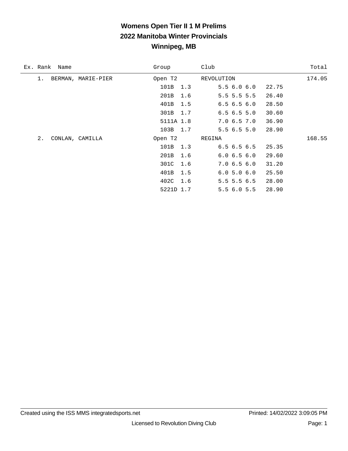## **Womens Open Tier II 1 M Prelims 2022 Manitoba Winter Provincials Winnipeg, MB**

| Ex. Rank Name |                    | Group     |     | Club          |       | Total  |
|---------------|--------------------|-----------|-----|---------------|-------|--------|
| 1.            | BERMAN, MARIE-PIER | Open T2   |     | REVOLUTION    |       | 174.05 |
|               |                    | 101B 1.3  |     | 5.56.06.0     | 22.75 |        |
|               |                    | 201B 1.6  |     | $5.5$ 5.5 5.5 | 26.40 |        |
|               |                    | 401B 1.5  |     | 6.56.56.0     | 28.50 |        |
|               |                    | 301B 1.7  |     | 6.56.55.0     | 30.60 |        |
|               |                    | 5111A 1.8 |     | 7.06.57.0     | 36.90 |        |
|               |                    | 103B 1.7  |     | 5.56.55.0     | 28.90 |        |
| 2.            | CONLAN, CAMILLA    | Open T2   |     | REGINA        |       | 168.55 |
|               |                    | 101B 1.3  |     | 6.56.56.5     | 25.35 |        |
|               |                    | 201B 1.6  |     | 6.06.56.0     | 29.60 |        |
|               |                    | 301C      | 1.6 | 7.06.56.0     | 31.20 |        |
|               |                    | 401B 1.5  |     | 6.05.06.0     | 25.50 |        |
|               |                    | 402C 1.6  |     | $5.5$ 5.5 6.5 | 28.00 |        |
|               |                    | 5221D 1.7 |     | 5.56.05.5     | 28.90 |        |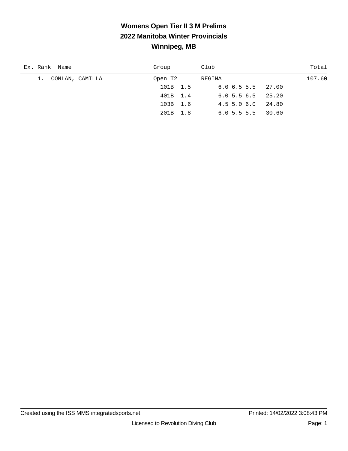## **Womens Open Tier II 3 M Prelims 2022 Manitoba Winter Provincials Winnipeg, MB**

| Ex. Rank Name      | Group    | Club                      | Total  |
|--------------------|----------|---------------------------|--------|
| 1. CONLAN, CAMILLA | Open T2  | REGINA                    | 107.60 |
|                    | 101B 1.5 | $6.0 \t6.5 \t5.5 \t27.00$ |        |
|                    | 401B 1.4 | $6.0$ 5.5 $6.5$ 25.20     |        |
|                    | 103B 1.6 | 24.80<br>4.55.06.0        |        |
|                    | 201B 1.8 | $6.0$ 5.5 5.5 30.60       |        |